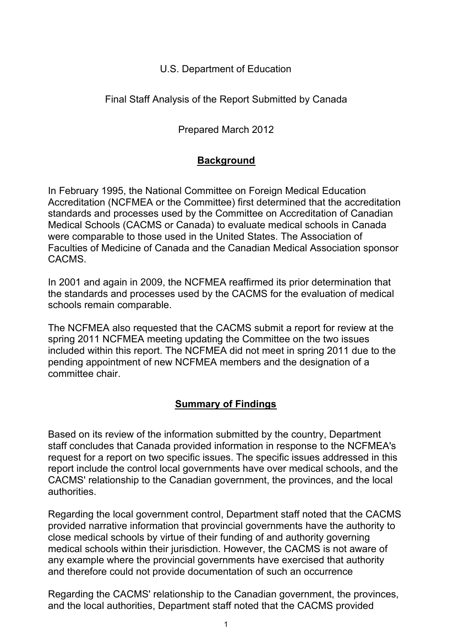### U.S. Department of Education

### Final Staff Analysis of the Report Submitted by Canada

Prepared March 2012

## **Background**

In February 1995, the National Committee on Foreign Medical Education Accreditation (NCFMEA or the Committee) first determined that the accreditation standards and processes used by the Committee on Accreditation of Canadian Medical Schools (CACMS or Canada) to evaluate medical schools in Canada were comparable to those used in the United States. The Association of Faculties of Medicine of Canada and the Canadian Medical Association sponsor CACMS.

In 2001 and again in 2009, the NCFMEA reaffirmed its prior determination that the standards and processes used by the CACMS for the evaluation of medical schools remain comparable.

The NCFMEA also requested that the CACMS submit a report for review at the spring 2011 NCFMEA meeting updating the Committee on the two issues included within this report. The NCFMEA did not meet in spring 2011 due to the pending appointment of new NCFMEA members and the designation of a committee chair.

# **Summary of Findings**

Based on its review of the information submitted by the country, Department staff concludes that Canada provided information in response to the NCFMEA's request for a report on two specific issues. The specific issues addressed in this report include the control local governments have over medical schools, and the CACMS' relationship to the Canadian government, the provinces, and the local authorities.

Regarding the local government control, Department staff noted that the CACMS provided narrative information that provincial governments have the authority to close medical schools by virtue of their funding of and authority governing medical schools within their jurisdiction. However, the CACMS is not aware of any example where the provincial governments have exercised that authority and therefore could not provide documentation of such an occurrence

Regarding the CACMS' relationship to the Canadian government, the provinces, and the local authorities, Department staff noted that the CACMS provided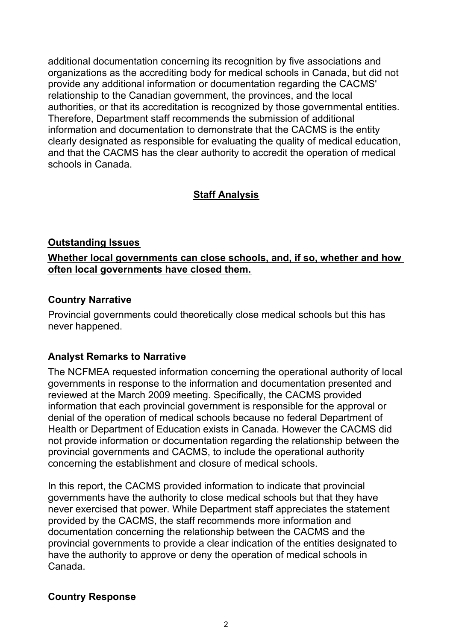additional documentation concerning its recognition by five associations and organizations as the accrediting body for medical schools in Canada, but did not provide any additional information or documentation regarding the CACMS' relationship to the Canadian government, the provinces, and the local authorities, or that its accreditation is recognized by those governmental entities. Therefore, Department staff recommends the submission of additional information and documentation to demonstrate that the CACMS is the entity clearly designated as responsible for evaluating the quality of medical education, and that the CACMS has the clear authority to accredit the operation of medical schools in Canada.

## **Staff Analysis**

#### **Outstanding Issues**

**Whether local governments can close schools, and, if so, whether and how often local governments have closed them.** 

#### **Country Narrative**

Provincial governments could theoretically close medical schools but this has never happened.

### **Analyst Remarks to Narrative**

The NCFMEA requested information concerning the operational authority of local governments in response to the information and documentation presented and reviewed at the March 2009 meeting. Specifically, the CACMS provided information that each provincial government is responsible for the approval or denial of the operation of medical schools because no federal Department of Health or Department of Education exists in Canada. However the CACMS did not provide information or documentation regarding the relationship between the provincial governments and CACMS, to include the operational authority concerning the establishment and closure of medical schools.

In this report, the CACMS provided information to indicate that provincial governments have the authority to close medical schools but that they have never exercised that power. While Department staff appreciates the statement provided by the CACMS, the staff recommends more information and documentation concerning the relationship between the CACMS and the provincial governments to provide a clear indication of the entities designated to have the authority to approve or deny the operation of medical schools in Canada.

### **Country Response**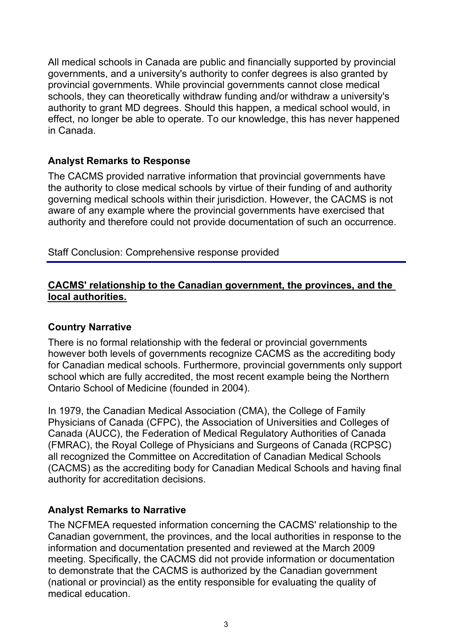All medical schools in Canada are public and financially supported by provincial governments, and a university's authority to confer degrees is also granted by provincial governments. While provincial governments cannot close medical schools, they can theoretically withdraw funding and/or withdraw a university's authority to grant MD degrees. Should this happen, a medical school would, in effect, no longer be able to operate. To our knowledge, this has never happened in Canada.

### **Analyst Remarks to Response**

The CACMS provided narrative information that provincial governments have the authority to close medical schools by virtue of their funding of and authority governing medical schools within their jurisdiction. However, the CACMS is not aware of any example where the provincial governments have exercised that authority and therefore could not provide documentation of such an occurrence.

Staff Conclusion: Comprehensive response provided

## **CACMS' relationship to the Canadian government, the provinces, and the local authorities.**

### **Country Narrative**

There is no formal relationship with the federal or provincial governments however both levels of governments recognize CACMS as the accrediting body for Canadian medical schools. Furthermore, provincial governments only support school which are fully accredited, the most recent example being the Northern Ontario School of Medicine (founded in 2004).

In 1979, the Canadian Medical Association (CMA), the College of Family Physicians of Canada (CFPC), the Association of Universities and Colleges of Canada (AUCC), the Federation of Medical Regulatory Authorities of Canada (FMRAC), the Royal College of Physicians and Surgeons of Canada (RCPSC) all recognized the Committee on Accreditation of Canadian Medical Schools (CACMS) as the accrediting body for Canadian Medical Schools and having final authority for accreditation decisions.

# **Analyst Remarks to Narrative**

The NCFMEA requested information concerning the CACMS' relationship to the Canadian government, the provinces, and the local authorities in response to the information and documentation presented and reviewed at the March 2009 meeting. Specifically, the CACMS did not provide information or documentation to demonstrate that the CACMS is authorized by the Canadian government (national or provincial) as the entity responsible for evaluating the quality of medical education.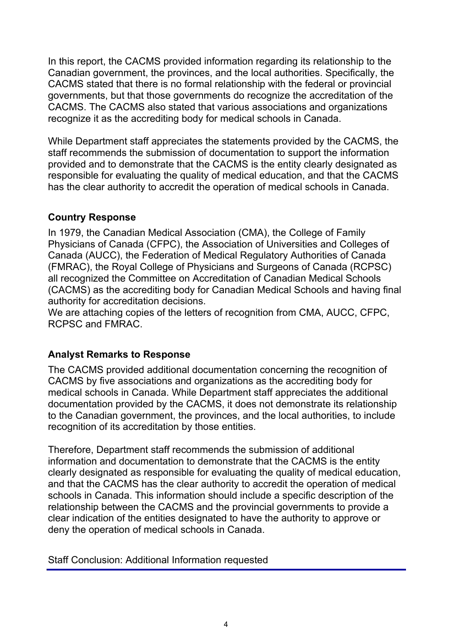In this report, the CACMS provided information regarding its relationship to the Canadian government, the provinces, and the local authorities. Specifically, the CACMS stated that there is no formal relationship with the federal or provincial governments, but that those governments do recognize the accreditation of the CACMS. The CACMS also stated that various associations and organizations recognize it as the accrediting body for medical schools in Canada.

While Department staff appreciates the statements provided by the CACMS, the staff recommends the submission of documentation to support the information provided and to demonstrate that the CACMS is the entity clearly designated as responsible for evaluating the quality of medical education, and that the CACMS has the clear authority to accredit the operation of medical schools in Canada.

### **Country Response**

In 1979, the Canadian Medical Association (CMA), the College of Family Physicians of Canada (CFPC), the Association of Universities and Colleges of Canada (AUCC), the Federation of Medical Regulatory Authorities of Canada (FMRAC), the Royal College of Physicians and Surgeons of Canada (RCPSC) all recognized the Committee on Accreditation of Canadian Medical Schools (CACMS) as the accrediting body for Canadian Medical Schools and having final authority for accreditation decisions.

We are attaching copies of the letters of recognition from CMA, AUCC, CFPC, RCPSC and FMRAC.

# **Analyst Remarks to Response**

The CACMS provided additional documentation concerning the recognition of CACMS by five associations and organizations as the accrediting body for medical schools in Canada. While Department staff appreciates the additional documentation provided by the CACMS, it does not demonstrate its relationship to the Canadian government, the provinces, and the local authorities, to include recognition of its accreditation by those entities.

Therefore, Department staff recommends the submission of additional information and documentation to demonstrate that the CACMS is the entity clearly designated as responsible for evaluating the quality of medical education, and that the CACMS has the clear authority to accredit the operation of medical schools in Canada. This information should include a specific description of the relationship between the CACMS and the provincial governments to provide a clear indication of the entities designated to have the authority to approve or deny the operation of medical schools in Canada.

Staff Conclusion: Additional Information requested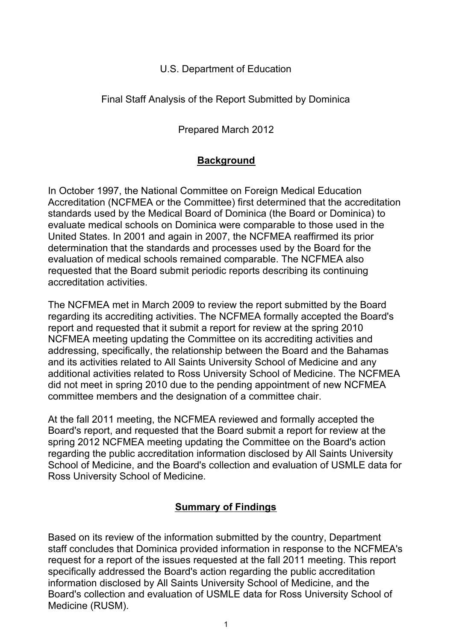### U.S. Department of Education

### Final Staff Analysis of the Report Submitted by Dominica

Prepared March 2012

# **Background**

In October 1997, the National Committee on Foreign Medical Education Accreditation (NCFMEA or the Committee) first determined that the accreditation standards used by the Medical Board of Dominica (the Board or Dominica) to evaluate medical schools on Dominica were comparable to those used in the United States. In 2001 and again in 2007, the NCFMEA reaffirmed its prior determination that the standards and processes used by the Board for the evaluation of medical schools remained comparable. The NCFMEA also requested that the Board submit periodic reports describing its continuing accreditation activities.

The NCFMEA met in March 2009 to review the report submitted by the Board regarding its accrediting activities. The NCFMEA formally accepted the Board's report and requested that it submit a report for review at the spring 2010 NCFMEA meeting updating the Committee on its accrediting activities and addressing, specifically, the relationship between the Board and the Bahamas and its activities related to All Saints University School of Medicine and any additional activities related to Ross University School of Medicine. The NCFMEA did not meet in spring 2010 due to the pending appointment of new NCFMEA committee members and the designation of a committee chair.

At the fall 2011 meeting, the NCFMEA reviewed and formally accepted the Board's report, and requested that the Board submit a report for review at the spring 2012 NCFMEA meeting updating the Committee on the Board's action regarding the public accreditation information disclosed by All Saints University School of Medicine, and the Board's collection and evaluation of USMLE data for Ross University School of Medicine.

# **Summary of Findings**

Based on its review of the information submitted by the country, Department staff concludes that Dominica provided information in response to the NCFMEA's request for a report of the issues requested at the fall 2011 meeting. This report specifically addressed the Board's action regarding the public accreditation information disclosed by All Saints University School of Medicine, and the Board's collection and evaluation of USMLE data for Ross University School of Medicine (RUSM).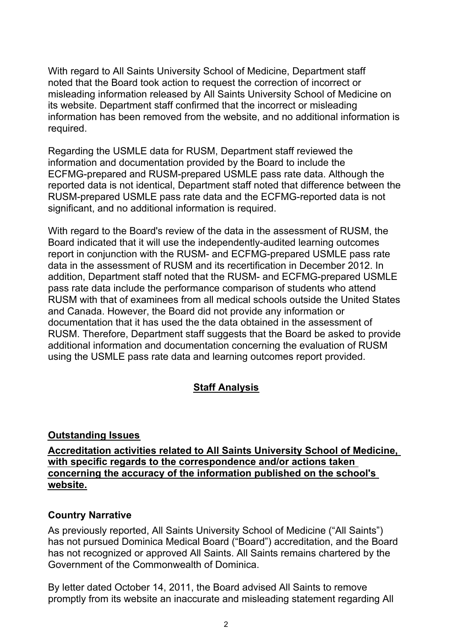With regard to All Saints University School of Medicine, Department staff noted that the Board took action to request the correction of incorrect or misleading information released by All Saints University School of Medicine on its website. Department staff confirmed that the incorrect or misleading information has been removed from the website, and no additional information is required.

Regarding the USMLE data for RUSM, Department staff reviewed the information and documentation provided by the Board to include the ECFMG-prepared and RUSM-prepared USMLE pass rate data. Although the reported data is not identical, Department staff noted that difference between the RUSM-prepared USMLE pass rate data and the ECFMG-reported data is not significant, and no additional information is required.

With regard to the Board's review of the data in the assessment of RUSM, the Board indicated that it will use the independently-audited learning outcomes report in conjunction with the RUSM- and ECFMG-prepared USMLE pass rate data in the assessment of RUSM and its recertification in December 2012. In addition, Department staff noted that the RUSM- and ECFMG-prepared USMLE pass rate data include the performance comparison of students who attend RUSM with that of examinees from all medical schools outside the United States and Canada. However, the Board did not provide any information or documentation that it has used the the data obtained in the assessment of RUSM. Therefore, Department staff suggests that the Board be asked to provide additional information and documentation concerning the evaluation of RUSM using the USMLE pass rate data and learning outcomes report provided.

# **Staff Analysis**

### **Outstanding Issues**

**Accreditation activities related to All Saints University School of Medicine, with specific regards to the correspondence and/or actions taken concerning the accuracy of the information published on the school's website.** 

### **Country Narrative**

As previously reported, All Saints University School of Medicine ("All Saints") has not pursued Dominica Medical Board ("Board") accreditation, and the Board has not recognized or approved All Saints. All Saints remains chartered by the Government of the Commonwealth of Dominica.

By letter dated October 14, 2011, the Board advised All Saints to remove promptly from its website an inaccurate and misleading statement regarding All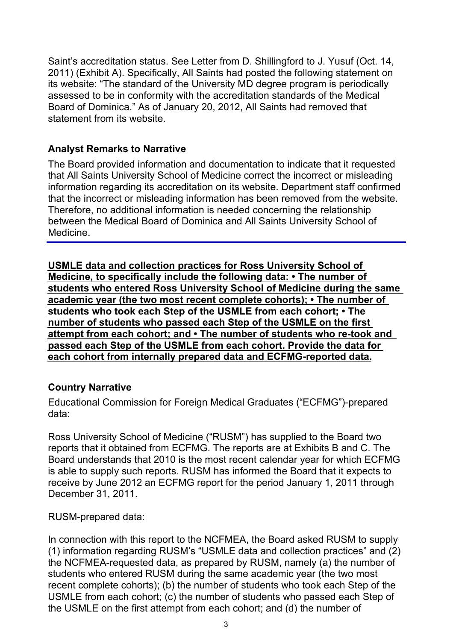Saint's accreditation status. See Letter from D. Shillingford to J. Yusuf (Oct. 14, 2011) (Exhibit A). Specifically, All Saints had posted the following statement on its website: "The standard of the University MD degree program is periodically assessed to be in conformity with the accreditation standards of the Medical Board of Dominica." As of January 20, 2012, All Saints had removed that statement from its website.

#### **Analyst Remarks to Narrative**

The Board provided information and documentation to indicate that it requested that All Saints University School of Medicine correct the incorrect or misleading information regarding its accreditation on its website. Department staff confirmed that the incorrect or misleading information has been removed from the website. Therefore, no additional information is needed concerning the relationship between the Medical Board of Dominica and All Saints University School of Medicine.

**USMLE data and collection practices for Ross University School of Medicine, to specifically include the following data: • The number of students who entered Ross University School of Medicine during the same academic year (the two most recent complete cohorts); • The number of students who took each Step of the USMLE from each cohort; • The number of students who passed each Step of the USMLE on the first attempt from each cohort; and • The number of students who re-took and passed each Step of the USMLE from each cohort. Provide the data for each cohort from internally prepared data and ECFMG-reported data.** 

### **Country Narrative**

Educational Commission for Foreign Medical Graduates ("ECFMG")-prepared data:

Ross University School of Medicine ("RUSM") has supplied to the Board two reports that it obtained from ECFMG. The reports are at Exhibits B and C. The Board understands that 2010 is the most recent calendar year for which ECFMG is able to supply such reports. RUSM has informed the Board that it expects to receive by June 2012 an ECFMG report for the period January 1, 2011 through December 31, 2011.

RUSM-prepared data:

In connection with this report to the NCFMEA, the Board asked RUSM to supply (1) information regarding RUSM's "USMLE data and collection practices" and (2) the NCFMEA-requested data, as prepared by RUSM, namely (a) the number of students who entered RUSM during the same academic year (the two most recent complete cohorts); (b) the number of students who took each Step of the USMLE from each cohort; (c) the number of students who passed each Step of the USMLE on the first attempt from each cohort; and (d) the number of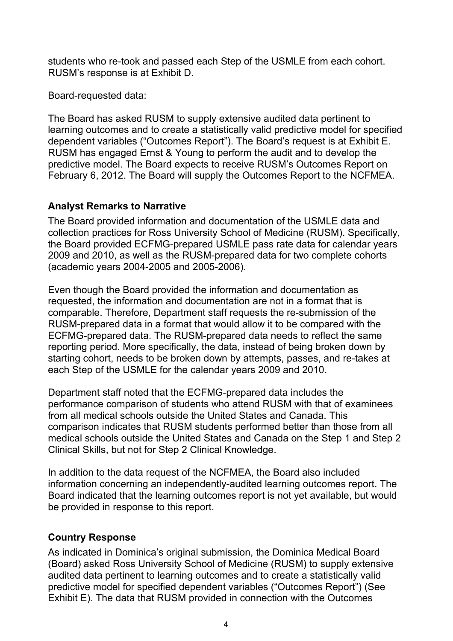students who re-took and passed each Step of the USMLE from each cohort. RUSM's response is at Exhibit D.

Board-requested data:

The Board has asked RUSM to supply extensive audited data pertinent to learning outcomes and to create a statistically valid predictive model for specified dependent variables ("Outcomes Report"). The Board's request is at Exhibit E. RUSM has engaged Ernst & Young to perform the audit and to develop the predictive model. The Board expects to receive RUSM's Outcomes Report on February 6, 2012. The Board will supply the Outcomes Report to the NCFMEA.

## **Analyst Remarks to Narrative**

The Board provided information and documentation of the USMLE data and collection practices for Ross University School of Medicine (RUSM). Specifically, the Board provided ECFMG-prepared USMLE pass rate data for calendar years 2009 and 2010, as well as the RUSM-prepared data for two complete cohorts (academic years 2004-2005 and 2005-2006).

Even though the Board provided the information and documentation as requested, the information and documentation are not in a format that is comparable. Therefore, Department staff requests the re-submission of the RUSM-prepared data in a format that would allow it to be compared with the ECFMG-prepared data. The RUSM-prepared data needs to reflect the same reporting period. More specifically, the data, instead of being broken down by starting cohort, needs to be broken down by attempts, passes, and re-takes at each Step of the USMLE for the calendar years 2009 and 2010.

Department staff noted that the ECFMG-prepared data includes the performance comparison of students who attend RUSM with that of examinees from all medical schools outside the United States and Canada. This comparison indicates that RUSM students performed better than those from all medical schools outside the United States and Canada on the Step 1 and Step 2 Clinical Skills, but not for Step 2 Clinical Knowledge.

In addition to the data request of the NCFMEA, the Board also included information concerning an independently-audited learning outcomes report. The Board indicated that the learning outcomes report is not yet available, but would be provided in response to this report.

# **Country Response**

As indicated in Dominica's original submission, the Dominica Medical Board (Board) asked Ross University School of Medicine (RUSM) to supply extensive audited data pertinent to learning outcomes and to create a statistically valid predictive model for specified dependent variables ("Outcomes Report") (See Exhibit E). The data that RUSM provided in connection with the Outcomes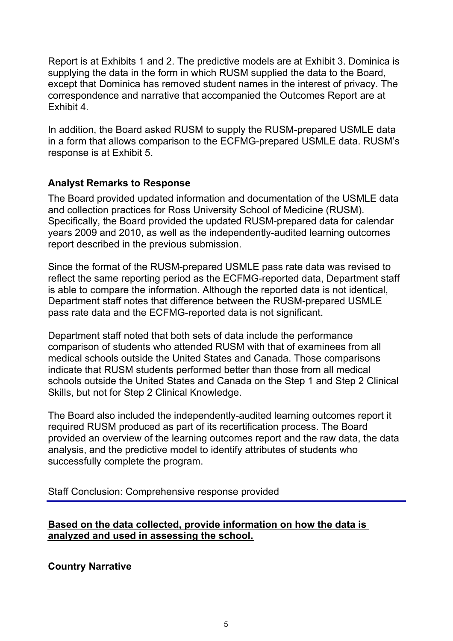Report is at Exhibits 1 and 2. The predictive models are at Exhibit 3. Dominica is supplying the data in the form in which RUSM supplied the data to the Board, except that Dominica has removed student names in the interest of privacy. The correspondence and narrative that accompanied the Outcomes Report are at Exhibit 4.

In addition, the Board asked RUSM to supply the RUSM-prepared USMLE data in a form that allows comparison to the ECFMG-prepared USMLE data. RUSM's response is at Exhibit 5.

## **Analyst Remarks to Response**

The Board provided updated information and documentation of the USMLE data and collection practices for Ross University School of Medicine (RUSM). Specifically, the Board provided the updated RUSM-prepared data for calendar years 2009 and 2010, as well as the independently-audited learning outcomes report described in the previous submission.

Since the format of the RUSM-prepared USMLE pass rate data was revised to reflect the same reporting period as the ECFMG-reported data, Department staff is able to compare the information. Although the reported data is not identical, Department staff notes that difference between the RUSM-prepared USMLE pass rate data and the ECFMG-reported data is not significant.

Department staff noted that both sets of data include the performance comparison of students who attended RUSM with that of examinees from all medical schools outside the United States and Canada. Those comparisons indicate that RUSM students performed better than those from all medical schools outside the United States and Canada on the Step 1 and Step 2 Clinical Skills, but not for Step 2 Clinical Knowledge.

The Board also included the independently-audited learning outcomes report it required RUSM produced as part of its recertification process. The Board provided an overview of the learning outcomes report and the raw data, the data analysis, and the predictive model to identify attributes of students who successfully complete the program.

Staff Conclusion: Comprehensive response provided

## **Based on the data collected, provide information on how the data is analyzed and used in assessing the school.**

**Country Narrative**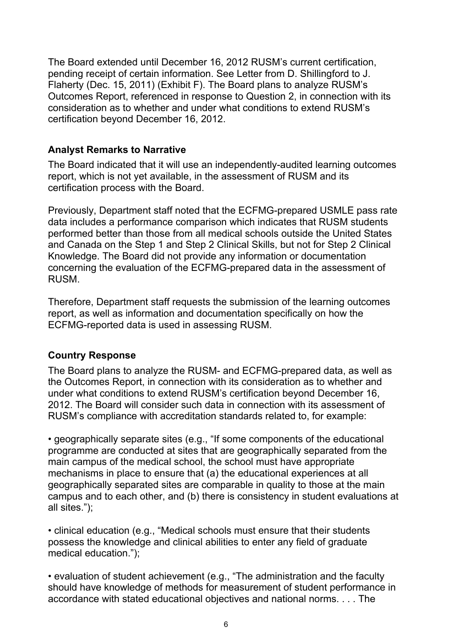The Board extended until December 16, 2012 RUSM's current certification, pending receipt of certain information. See Letter from D. Shillingford to J. Flaherty (Dec. 15, 2011) (Exhibit F). The Board plans to analyze RUSM's Outcomes Report, referenced in response to Question 2, in connection with its consideration as to whether and under what conditions to extend RUSM's certification beyond December 16, 2012.

#### **Analyst Remarks to Narrative**

The Board indicated that it will use an independently-audited learning outcomes report, which is not yet available, in the assessment of RUSM and its certification process with the Board.

Previously, Department staff noted that the ECFMG-prepared USMLE pass rate data includes a performance comparison which indicates that RUSM students performed better than those from all medical schools outside the United States and Canada on the Step 1 and Step 2 Clinical Skills, but not for Step 2 Clinical Knowledge. The Board did not provide any information or documentation concerning the evaluation of the ECFMG-prepared data in the assessment of RUSM.

Therefore, Department staff requests the submission of the learning outcomes report, as well as information and documentation specifically on how the ECFMG-reported data is used in assessing RUSM.

### **Country Response**

The Board plans to analyze the RUSM- and ECFMG-prepared data, as well as the Outcomes Report, in connection with its consideration as to whether and under what conditions to extend RUSM's certification beyond December 16, 2012. The Board will consider such data in connection with its assessment of RUSM's compliance with accreditation standards related to, for example:

• geographically separate sites (e.g., "If some components of the educational programme are conducted at sites that are geographically separated from the main campus of the medical school, the school must have appropriate mechanisms in place to ensure that (a) the educational experiences at all geographically separated sites are comparable in quality to those at the main campus and to each other, and (b) there is consistency in student evaluations at all sites.");

• clinical education (e.g., "Medical schools must ensure that their students possess the knowledge and clinical abilities to enter any field of graduate medical education.");

• evaluation of student achievement (e.g., "The administration and the faculty should have knowledge of methods for measurement of student performance in accordance with stated educational objectives and national norms. . . . The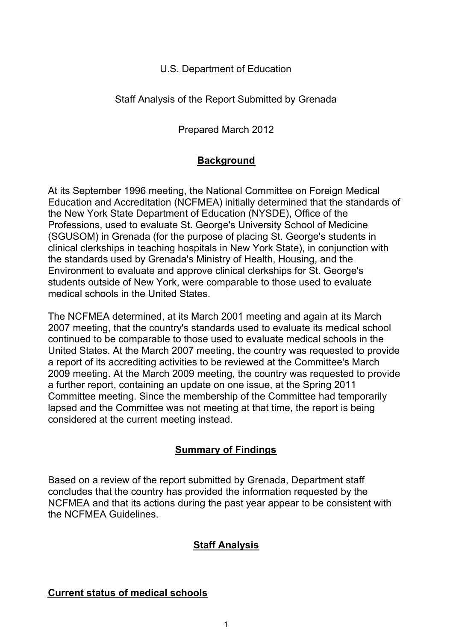### U.S. Department of Education

### Staff Analysis of the Report Submitted by Grenada

Prepared March 2012

## **Background**

At its September 1996 meeting, the National Committee on Foreign Medical Education and Accreditation (NCFMEA) initially determined that the standards of the New York State Department of Education (NYSDE), Office of the Professions, used to evaluate St. George's University School of Medicine (SGUSOM) in Grenada (for the purpose of placing St. George's students in clinical clerkships in teaching hospitals in New York State), in conjunction with the standards used by Grenada's Ministry of Health, Housing, and the Environment to evaluate and approve clinical clerkships for St. George's students outside of New York, were comparable to those used to evaluate medical schools in the United States.

The NCFMEA determined, at its March 2001 meeting and again at its March 2007 meeting, that the country's standards used to evaluate its medical school continued to be comparable to those used to evaluate medical schools in the United States. At the March 2007 meeting, the country was requested to provide a report of its accrediting activities to be reviewed at the Committee's March 2009 meeting. At the March 2009 meeting, the country was requested to provide a further report, containing an update on one issue, at the Spring 2011 Committee meeting. Since the membership of the Committee had temporarily lapsed and the Committee was not meeting at that time, the report is being considered at the current meeting instead.

# **Summary of Findings**

Based on a review of the report submitted by Grenada, Department staff concludes that the country has provided the information requested by the NCFMEA and that its actions during the past year appear to be consistent with the NCFMEA Guidelines.

# **Staff Analysis**

### **Current status of medical schools**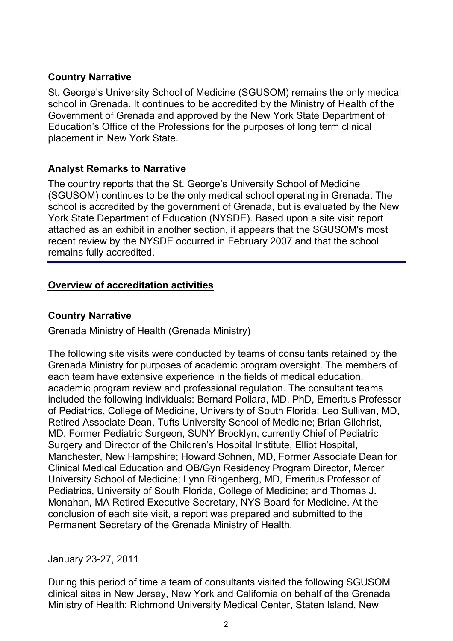### **Country Narrative**

St. George's University School of Medicine (SGUSOM) remains the only medical school in Grenada. It continues to be accredited by the Ministry of Health of the Government of Grenada and approved by the New York State Department of Education's Office of the Professions for the purposes of long term clinical placement in New York State.

## **Analyst Remarks to Narrative**

The country reports that the St. George's University School of Medicine (SGUSOM) continues to be the only medical school operating in Grenada. The school is accredited by the government of Grenada, but is evaluated by the New York State Department of Education (NYSDE). Based upon a site visit report attached as an exhibit in another section, it appears that the SGUSOM's most recent review by the NYSDE occurred in February 2007 and that the school remains fully accredited.

# **Overview of accreditation activities**

## **Country Narrative**

Grenada Ministry of Health (Grenada Ministry)

The following site visits were conducted by teams of consultants retained by the Grenada Ministry for purposes of academic program oversight. The members of each team have extensive experience in the fields of medical education, academic program review and professional regulation. The consultant teams included the following individuals: Bernard Pollara, MD, PhD, Emeritus Professor of Pediatrics, College of Medicine, University of South Florida; Leo Sullivan, MD, Retired Associate Dean, Tufts University School of Medicine; Brian Gilchrist, MD, Former Pediatric Surgeon, SUNY Brooklyn, currently Chief of Pediatric Surgery and Director of the Children's Hospital Institute, Elliot Hospital, Manchester, New Hampshire; Howard Sohnen, MD, Former Associate Dean for Clinical Medical Education and OB/Gyn Residency Program Director, Mercer University School of Medicine; Lynn Ringenberg, MD, Emeritus Professor of Pediatrics, University of South Florida, College of Medicine; and Thomas J. Monahan, MA Retired Executive Secretary, NYS Board for Medicine. At the conclusion of each site visit, a report was prepared and submitted to the Permanent Secretary of the Grenada Ministry of Health.

January 23-27, 2011

During this period of time a team of consultants visited the following SGUSOM clinical sites in New Jersey, New York and California on behalf of the Grenada Ministry of Health: Richmond University Medical Center, Staten Island, New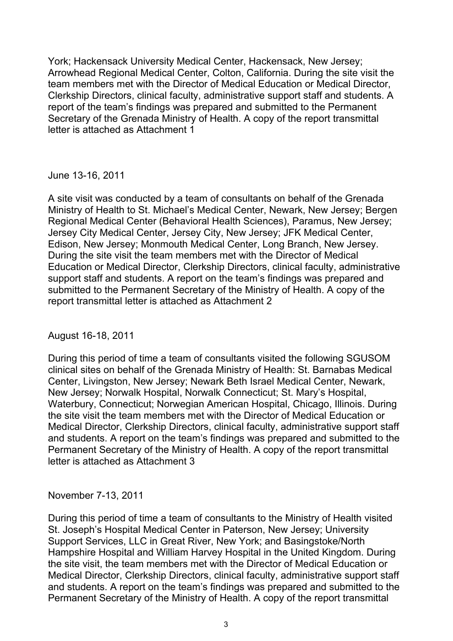York; Hackensack University Medical Center, Hackensack, New Jersey; Arrowhead Regional Medical Center, Colton, California. During the site visit the team members met with the Director of Medical Education or Medical Director, Clerkship Directors, clinical faculty, administrative support staff and students. A report of the team's findings was prepared and submitted to the Permanent Secretary of the Grenada Ministry of Health. A copy of the report transmittal letter is attached as Attachment 1

June 13-16, 2011

A site visit was conducted by a team of consultants on behalf of the Grenada Ministry of Health to St. Michael's Medical Center, Newark, New Jersey; Bergen Regional Medical Center (Behavioral Health Sciences), Paramus, New Jersey; Jersey City Medical Center, Jersey City, New Jersey; JFK Medical Center, Edison, New Jersey; Monmouth Medical Center, Long Branch, New Jersey. During the site visit the team members met with the Director of Medical Education or Medical Director, Clerkship Directors, clinical faculty, administrative support staff and students. A report on the team's findings was prepared and submitted to the Permanent Secretary of the Ministry of Health. A copy of the report transmittal letter is attached as Attachment 2

August 16-18, 2011

During this period of time a team of consultants visited the following SGUSOM clinical sites on behalf of the Grenada Ministry of Health: St. Barnabas Medical Center, Livingston, New Jersey; Newark Beth Israel Medical Center, Newark, New Jersey; Norwalk Hospital, Norwalk Connecticut; St. Mary's Hospital, Waterbury, Connecticut; Norwegian American Hospital, Chicago, Illinois. During the site visit the team members met with the Director of Medical Education or Medical Director, Clerkship Directors, clinical faculty, administrative support staff and students. A report on the team's findings was prepared and submitted to the Permanent Secretary of the Ministry of Health. A copy of the report transmittal letter is attached as Attachment 3

November 7-13, 2011

During this period of time a team of consultants to the Ministry of Health visited St. Joseph's Hospital Medical Center in Paterson, New Jersey; University Support Services, LLC in Great River, New York; and Basingstoke/North Hampshire Hospital and William Harvey Hospital in the United Kingdom. During the site visit, the team members met with the Director of Medical Education or Medical Director, Clerkship Directors, clinical faculty, administrative support staff and students. A report on the team's findings was prepared and submitted to the Permanent Secretary of the Ministry of Health. A copy of the report transmittal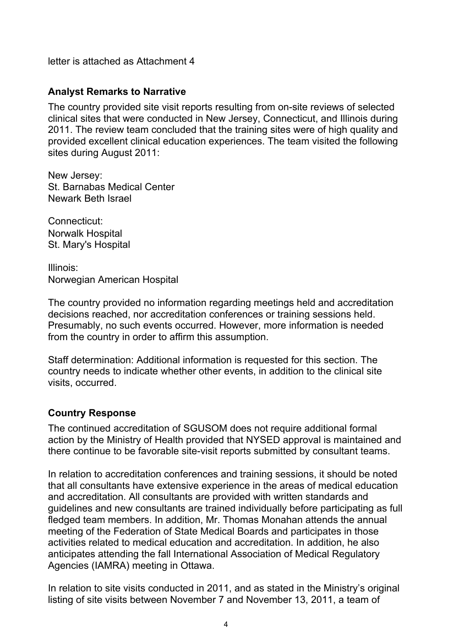letter is attached as Attachment 4

#### **Analyst Remarks to Narrative**

The country provided site visit reports resulting from on-site reviews of selected clinical sites that were conducted in New Jersey, Connecticut, and Illinois during 2011. The review team concluded that the training sites were of high quality and provided excellent clinical education experiences. The team visited the following sites during August 2011:

New Jersey: St. Barnabas Medical Center Newark Beth Israel

Connecticut: Norwalk Hospital St. Mary's Hospital

Illinois: Norwegian American Hospital

The country provided no information regarding meetings held and accreditation decisions reached, nor accreditation conferences or training sessions held. Presumably, no such events occurred. However, more information is needed from the country in order to affirm this assumption.

Staff determination: Additional information is requested for this section. The country needs to indicate whether other events, in addition to the clinical site visits, occurred.

### **Country Response**

The continued accreditation of SGUSOM does not require additional formal action by the Ministry of Health provided that NYSED approval is maintained and there continue to be favorable site-visit reports submitted by consultant teams.

In relation to accreditation conferences and training sessions, it should be noted that all consultants have extensive experience in the areas of medical education and accreditation. All consultants are provided with written standards and guidelines and new consultants are trained individually before participating as full fledged team members. In addition, Mr. Thomas Monahan attends the annual meeting of the Federation of State Medical Boards and participates in those activities related to medical education and accreditation. In addition, he also anticipates attending the fall International Association of Medical Regulatory Agencies (IAMRA) meeting in Ottawa.

In relation to site visits conducted in 2011, and as stated in the Ministry's original listing of site visits between November 7 and November 13, 2011, a team of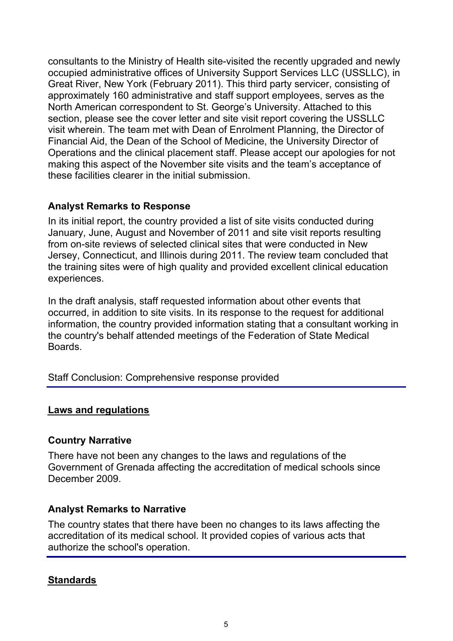consultants to the Ministry of Health site-visited the recently upgraded and newly occupied administrative offices of University Support Services LLC (USSLLC), in Great River, New York (February 2011). This third party servicer, consisting of approximately 160 administrative and staff support employees, serves as the North American correspondent to St. George's University. Attached to this section, please see the cover letter and site visit report covering the USSLLC visit wherein. The team met with Dean of Enrolment Planning, the Director of Financial Aid, the Dean of the School of Medicine, the University Director of Operations and the clinical placement staff. Please accept our apologies for not making this aspect of the November site visits and the team's acceptance of these facilities clearer in the initial submission.

### **Analyst Remarks to Response**

In its initial report, the country provided a list of site visits conducted during January, June, August and November of 2011 and site visit reports resulting from on-site reviews of selected clinical sites that were conducted in New Jersey, Connecticut, and Illinois during 2011. The review team concluded that the training sites were of high quality and provided excellent clinical education experiences.

In the draft analysis, staff requested information about other events that occurred, in addition to site visits. In its response to the request for additional information, the country provided information stating that a consultant working in the country's behalf attended meetings of the Federation of State Medical **Boards** 

Staff Conclusion: Comprehensive response provided

### **Laws and regulations**

### **Country Narrative**

There have not been any changes to the laws and regulations of the Government of Grenada affecting the accreditation of medical schools since December 2009.

### **Analyst Remarks to Narrative**

The country states that there have been no changes to its laws affecting the accreditation of its medical school. It provided copies of various acts that authorize the school's operation.

# **Standards**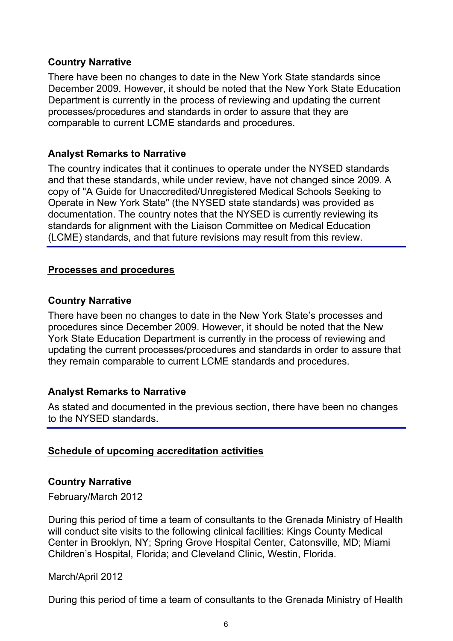#### **Country Narrative**

There have been no changes to date in the New York State standards since December 2009. However, it should be noted that the New York State Education Department is currently in the process of reviewing and updating the current processes/procedures and standards in order to assure that they are comparable to current LCME standards and procedures.

#### **Analyst Remarks to Narrative**

The country indicates that it continues to operate under the NYSED standards and that these standards, while under review, have not changed since 2009. A copy of "A Guide for Unaccredited/Unregistered Medical Schools Seeking to Operate in New York State" (the NYSED state standards) was provided as documentation. The country notes that the NYSED is currently reviewing its standards for alignment with the Liaison Committee on Medical Education (LCME) standards, and that future revisions may result from this review.

#### **Processes and procedures**

#### **Country Narrative**

There have been no changes to date in the New York State's processes and procedures since December 2009. However, it should be noted that the New York State Education Department is currently in the process of reviewing and updating the current processes/procedures and standards in order to assure that they remain comparable to current LCME standards and procedures.

#### **Analyst Remarks to Narrative**

As stated and documented in the previous section, there have been no changes to the NYSED standards.

### **Schedule of upcoming accreditation activities**

#### **Country Narrative**

February/March 2012

During this period of time a team of consultants to the Grenada Ministry of Health will conduct site visits to the following clinical facilities: Kings County Medical Center in Brooklyn, NY; Spring Grove Hospital Center, Catonsville, MD; Miami Children's Hospital, Florida; and Cleveland Clinic, Westin, Florida.

March/April 2012

During this period of time a team of consultants to the Grenada Ministry of Health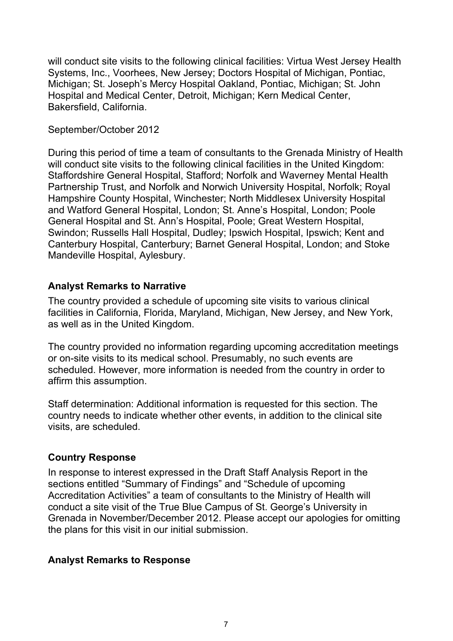will conduct site visits to the following clinical facilities: Virtua West Jersey Health Systems, Inc., Voorhees, New Jersey; Doctors Hospital of Michigan, Pontiac, Michigan; St. Joseph's Mercy Hospital Oakland, Pontiac, Michigan; St. John Hospital and Medical Center, Detroit, Michigan; Kern Medical Center, Bakersfield, California.

#### September/October 2012

During this period of time a team of consultants to the Grenada Ministry of Health will conduct site visits to the following clinical facilities in the United Kingdom: Staffordshire General Hospital, Stafford; Norfolk and Waverney Mental Health Partnership Trust, and Norfolk and Norwich University Hospital, Norfolk; Royal Hampshire County Hospital, Winchester; North Middlesex University Hospital and Watford General Hospital, London; St. Anne's Hospital, London; Poole General Hospital and St. Ann's Hospital, Poole; Great Western Hospital, Swindon; Russells Hall Hospital, Dudley; Ipswich Hospital, Ipswich; Kent and Canterbury Hospital, Canterbury; Barnet General Hospital, London; and Stoke Mandeville Hospital, Aylesbury.

### **Analyst Remarks to Narrative**

The country provided a schedule of upcoming site visits to various clinical facilities in California, Florida, Maryland, Michigan, New Jersey, and New York, as well as in the United Kingdom.

The country provided no information regarding upcoming accreditation meetings or on-site visits to its medical school. Presumably, no such events are scheduled. However, more information is needed from the country in order to affirm this assumption.

Staff determination: Additional information is requested for this section. The country needs to indicate whether other events, in addition to the clinical site visits, are scheduled.

### **Country Response**

In response to interest expressed in the Draft Staff Analysis Report in the sections entitled "Summary of Findings" and "Schedule of upcoming Accreditation Activities" a team of consultants to the Ministry of Health will conduct a site visit of the True Blue Campus of St. George's University in Grenada in November/December 2012. Please accept our apologies for omitting the plans for this visit in our initial submission.

#### **Analyst Remarks to Response**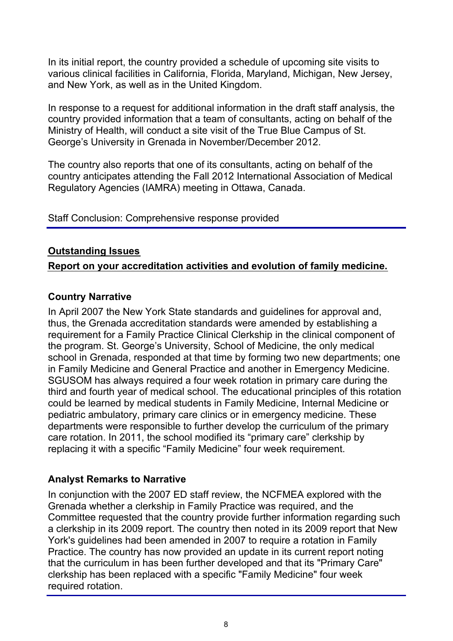In its initial report, the country provided a schedule of upcoming site visits to various clinical facilities in California, Florida, Maryland, Michigan, New Jersey, and New York, as well as in the United Kingdom.

In response to a request for additional information in the draft staff analysis, the country provided information that a team of consultants, acting on behalf of the Ministry of Health, will conduct a site visit of the True Blue Campus of St. George's University in Grenada in November/December 2012.

The country also reports that one of its consultants, acting on behalf of the country anticipates attending the Fall 2012 International Association of Medical Regulatory Agencies (IAMRA) meeting in Ottawa, Canada.

Staff Conclusion: Comprehensive response provided

## **Outstanding Issues**

## **Report on your accreditation activities and evolution of family medicine.**

# **Country Narrative**

In April 2007 the New York State standards and guidelines for approval and, thus, the Grenada accreditation standards were amended by establishing a requirement for a Family Practice Clinical Clerkship in the clinical component of the program. St. George's University, School of Medicine, the only medical school in Grenada, responded at that time by forming two new departments; one in Family Medicine and General Practice and another in Emergency Medicine. SGUSOM has always required a four week rotation in primary care during the third and fourth year of medical school. The educational principles of this rotation could be learned by medical students in Family Medicine, Internal Medicine or pediatric ambulatory, primary care clinics or in emergency medicine. These departments were responsible to further develop the curriculum of the primary care rotation. In 2011, the school modified its "primary care" clerkship by replacing it with a specific "Family Medicine" four week requirement.

# **Analyst Remarks to Narrative**

In conjunction with the 2007 ED staff review, the NCFMEA explored with the Grenada whether a clerkship in Family Practice was required, and the Committee requested that the country provide further information regarding such a clerkship in its 2009 report. The country then noted in its 2009 report that New York's guidelines had been amended in 2007 to require a rotation in Family Practice. The country has now provided an update in its current report noting that the curriculum in has been further developed and that its "Primary Care" clerkship has been replaced with a specific "Family Medicine" four week required rotation.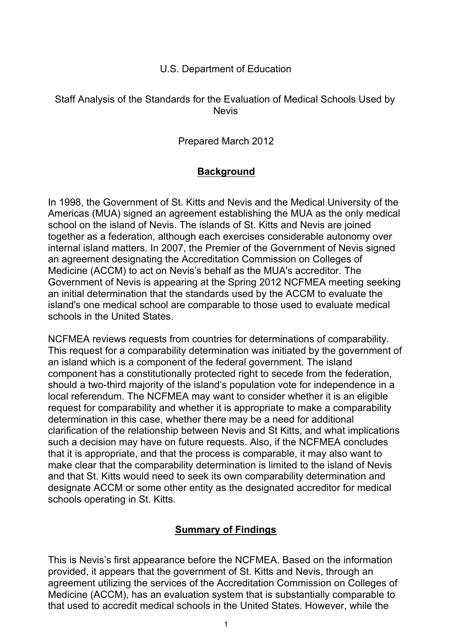#### U.S. Department of Education

#### Staff Analysis of the Standards for the Evaluation of Medical Schools Used by **Nevis**

### Prepared March 2012

### **Background**

In 1998, the Government of St. Kitts and Nevis and the Medical University of the Americas (MUA) signed an agreement establishing the MUA as the only medical school on the island of Nevis. The islands of St. Kitts and Nevis are joined together as a federation, although each exercises considerable autonomy over internal island matters. In 2007, the Premier of the Government of Nevis signed an agreement designating the Accreditation Commission on Colleges of Medicine (ACCM) to act on Nevis's behalf as the MUA's accreditor. The Government of Nevis is appearing at the Spring 2012 NCFMEA meeting seeking an initial determination that the standards used by the ACCM to evaluate the island's one medical school are comparable to those used to evaluate medical schools in the United States.

NCFMEA reviews requests from countries for determinations of comparability. This request for a comparability determination was initiated by the government of an island which is a component of the federal government. The island component has a constitutionally protected right to secede from the federation, should a two-third majority of the island's population vote for independence in a local referendum. The NCFMEA may want to consider whether it is an eligible request for comparability and whether it is appropriate to make a comparability determination in this case, whether there may be a need for additional clarification of the relationship between Nevis and St Kitts, and what implications such a decision may have on future requests. Also, if the NCFMEA concludes that it is appropriate, and that the process is comparable, it may also want to make clear that the comparability determination is limited to the island of Nevis and that St. Kitts would need to seek its own comparability determination and designate ACCM or some other entity as the designated accreditor for medical schools operating in St. Kitts.

### **Summary of Findings**

This is Nevis's first appearance before the NCFMEA. Based on the information provided, it appears that the government of St. Kitts and Nevis, through an agreement utilizing the services of the Accreditation Commission on Colleges of Medicine (ACCM), has an evaluation system that is substantially comparable to that used to accredit medical schools in the United States. However, while the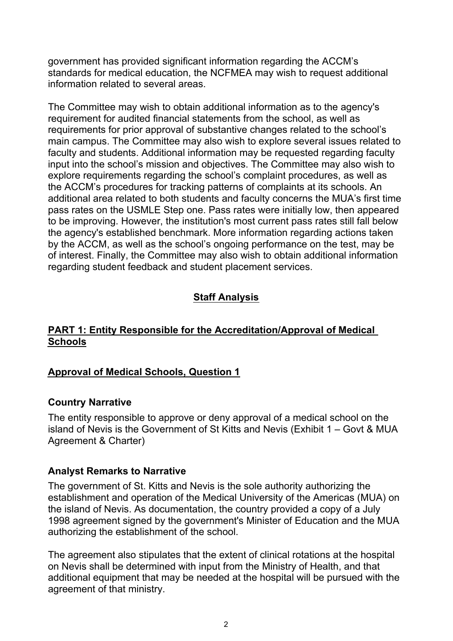government has provided significant information regarding the ACCM's standards for medical education, the NCFMEA may wish to request additional information related to several areas.

The Committee may wish to obtain additional information as to the agency's requirement for audited financial statements from the school, as well as requirements for prior approval of substantive changes related to the school's main campus. The Committee may also wish to explore several issues related to faculty and students. Additional information may be requested regarding faculty input into the school's mission and objectives. The Committee may also wish to explore requirements regarding the school's complaint procedures, as well as the ACCM's procedures for tracking patterns of complaints at its schools. An additional area related to both students and faculty concerns the MUA's first time pass rates on the USMLE Step one. Pass rates were initially low, then appeared to be improving. However, the institution's most current pass rates still fall below the agency's established benchmark. More information regarding actions taken by the ACCM, as well as the school's ongoing performance on the test, may be of interest. Finally, the Committee may also wish to obtain additional information regarding student feedback and student placement services.

# **Staff Analysis**

### **PART 1: Entity Responsible for the Accreditation/Approval of Medical Schools**

### **Approval of Medical Schools, Question 1**

#### **Country Narrative**

The entity responsible to approve or deny approval of a medical school on the island of Nevis is the Government of St Kitts and Nevis (Exhibit 1 – Govt & MUA Agreement & Charter)

### **Analyst Remarks to Narrative**

The government of St. Kitts and Nevis is the sole authority authorizing the establishment and operation of the Medical University of the Americas (MUA) on the island of Nevis. As documentation, the country provided a copy of a July 1998 agreement signed by the government's Minister of Education and the MUA authorizing the establishment of the school.

The agreement also stipulates that the extent of clinical rotations at the hospital on Nevis shall be determined with input from the Ministry of Health, and that additional equipment that may be needed at the hospital will be pursued with the agreement of that ministry.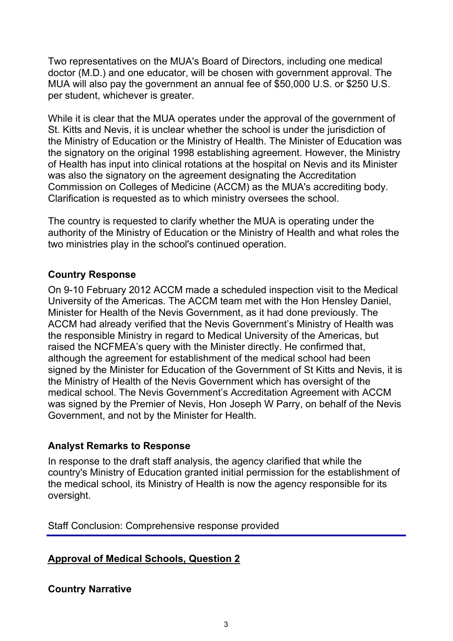Two representatives on the MUA's Board of Directors, including one medical doctor (M.D.) and one educator, will be chosen with government approval. The MUA will also pay the government an annual fee of \$50,000 U.S. or \$250 U.S. per student, whichever is greater.

While it is clear that the MUA operates under the approval of the government of St. Kitts and Nevis, it is unclear whether the school is under the jurisdiction of the Ministry of Education or the Ministry of Health. The Minister of Education was the signatory on the original 1998 establishing agreement. However, the Ministry of Health has input into clinical rotations at the hospital on Nevis and its Minister was also the signatory on the agreement designating the Accreditation Commission on Colleges of Medicine (ACCM) as the MUA's accrediting body. Clarification is requested as to which ministry oversees the school.

The country is requested to clarify whether the MUA is operating under the authority of the Ministry of Education or the Ministry of Health and what roles the two ministries play in the school's continued operation.

### **Country Response**

On 9-10 February 2012 ACCM made a scheduled inspection visit to the Medical University of the Americas. The ACCM team met with the Hon Hensley Daniel, Minister for Health of the Nevis Government, as it had done previously. The ACCM had already verified that the Nevis Government's Ministry of Health was the responsible Ministry in regard to Medical University of the Americas, but raised the NCFMEA's query with the Minister directly. He confirmed that, although the agreement for establishment of the medical school had been signed by the Minister for Education of the Government of St Kitts and Nevis, it is the Ministry of Health of the Nevis Government which has oversight of the medical school. The Nevis Government's Accreditation Agreement with ACCM was signed by the Premier of Nevis, Hon Joseph W Parry, on behalf of the Nevis Government, and not by the Minister for Health.

#### **Analyst Remarks to Response**

In response to the draft staff analysis, the agency clarified that while the country's Ministry of Education granted initial permission for the establishment of the medical school, its Ministry of Health is now the agency responsible for its oversight.

Staff Conclusion: Comprehensive response provided

### **Approval of Medical Schools, Question 2**

**Country Narrative**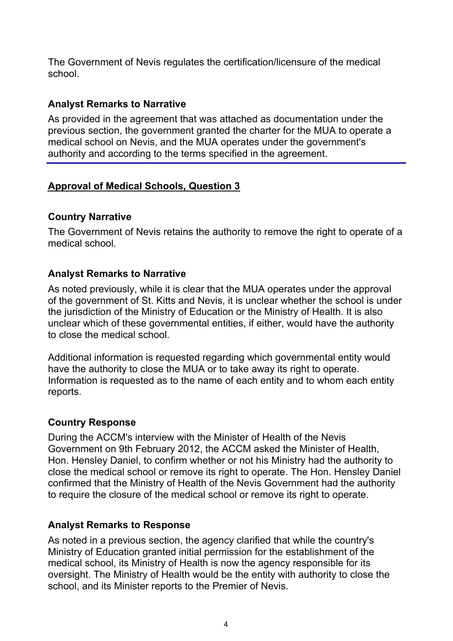The Government of Nevis regulates the certification/licensure of the medical school.

### **Analyst Remarks to Narrative**

As provided in the agreement that was attached as documentation under the previous section, the government granted the charter for the MUA to operate a medical school on Nevis, and the MUA operates under the government's authority and according to the terms specified in the agreement.

## **Approval of Medical Schools, Question 3**

### **Country Narrative**

The Government of Nevis retains the authority to remove the right to operate of a medical school.

### **Analyst Remarks to Narrative**

As noted previously, while it is clear that the MUA operates under the approval of the government of St. Kitts and Nevis, it is unclear whether the school is under the jurisdiction of the Ministry of Education or the Ministry of Health. It is also unclear which of these governmental entities, if either, would have the authority to close the medical school.

Additional information is requested regarding which governmental entity would have the authority to close the MUA or to take away its right to operate. Information is requested as to the name of each entity and to whom each entity reports.

### **Country Response**

During the ACCM's interview with the Minister of Health of the Nevis Government on 9th February 2012, the ACCM asked the Minister of Health, Hon. Hensley Daniel, to confirm whether or not his Ministry had the authority to close the medical school or remove its right to operate. The Hon. Hensley Daniel confirmed that the Ministry of Health of the Nevis Government had the authority to require the closure of the medical school or remove its right to operate.

### **Analyst Remarks to Response**

As noted in a previous section, the agency clarified that while the country's Ministry of Education granted initial permission for the establishment of the medical school, its Ministry of Health is now the agency responsible for its oversight. The Ministry of Health would be the entity with authority to close the school, and its Minister reports to the Premier of Nevis.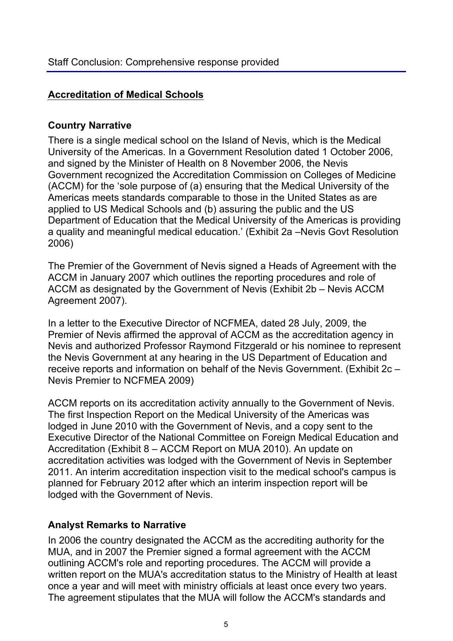## **Accreditation of Medical Schools**

### **Country Narrative**

There is a single medical school on the Island of Nevis, which is the Medical University of the Americas. In a Government Resolution dated 1 October 2006, and signed by the Minister of Health on 8 November 2006, the Nevis Government recognized the Accreditation Commission on Colleges of Medicine (ACCM) for the 'sole purpose of (a) ensuring that the Medical University of the Americas meets standards comparable to those in the United States as are applied to US Medical Schools and (b) assuring the public and the US Department of Education that the Medical University of the Americas is providing a quality and meaningful medical education.' (Exhibit 2a –Nevis Govt Resolution 2006)

The Premier of the Government of Nevis signed a Heads of Agreement with the ACCM in January 2007 which outlines the reporting procedures and role of ACCM as designated by the Government of Nevis (Exhibit 2b – Nevis ACCM Agreement 2007).

In a letter to the Executive Director of NCFMEA, dated 28 July, 2009, the Premier of Nevis affirmed the approval of ACCM as the accreditation agency in Nevis and authorized Professor Raymond Fitzgerald or his nominee to represent the Nevis Government at any hearing in the US Department of Education and receive reports and information on behalf of the Nevis Government. (Exhibit 2c – Nevis Premier to NCFMEA 2009)

ACCM reports on its accreditation activity annually to the Government of Nevis. The first Inspection Report on the Medical University of the Americas was lodged in June 2010 with the Government of Nevis, and a copy sent to the Executive Director of the National Committee on Foreign Medical Education and Accreditation (Exhibit 8 – ACCM Report on MUA 2010). An update on accreditation activities was lodged with the Government of Nevis in September 2011. An interim accreditation inspection visit to the medical school's campus is planned for February 2012 after which an interim inspection report will be lodged with the Government of Nevis.

# **Analyst Remarks to Narrative**

In 2006 the country designated the ACCM as the accrediting authority for the MUA, and in 2007 the Premier signed a formal agreement with the ACCM outlining ACCM's role and reporting procedures. The ACCM will provide a written report on the MUA's accreditation status to the Ministry of Health at least once a year and will meet with ministry officials at least once every two years. The agreement stipulates that the MUA will follow the ACCM's standards and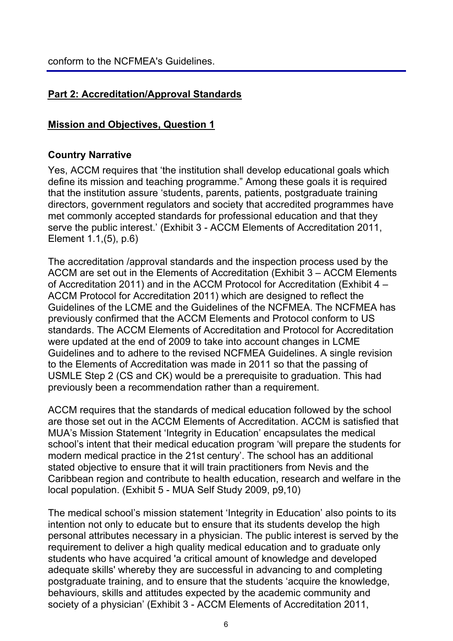## **Part 2: Accreditation/Approval Standards**

#### **Mission and Objectives, Question 1**

#### **Country Narrative**

Yes, ACCM requires that 'the institution shall develop educational goals which define its mission and teaching programme." Among these goals it is required that the institution assure 'students, parents, patients, postgraduate training directors, government regulators and society that accredited programmes have met commonly accepted standards for professional education and that they serve the public interest.' (Exhibit 3 - ACCM Elements of Accreditation 2011, Element 1.1,(5), p.6)

The accreditation /approval standards and the inspection process used by the ACCM are set out in the Elements of Accreditation (Exhibit 3 – ACCM Elements of Accreditation 2011) and in the ACCM Protocol for Accreditation (Exhibit 4 – ACCM Protocol for Accreditation 2011) which are designed to reflect the Guidelines of the LCME and the Guidelines of the NCFMEA. The NCFMEA has previously confirmed that the ACCM Elements and Protocol conform to US standards. The ACCM Elements of Accreditation and Protocol for Accreditation were updated at the end of 2009 to take into account changes in LCME Guidelines and to adhere to the revised NCFMEA Guidelines. A single revision to the Elements of Accreditation was made in 2011 so that the passing of USMLE Step 2 (CS and CK) would be a prerequisite to graduation. This had previously been a recommendation rather than a requirement.

ACCM requires that the standards of medical education followed by the school are those set out in the ACCM Elements of Accreditation. ACCM is satisfied that MUA's Mission Statement 'Integrity in Education' encapsulates the medical school's intent that their medical education program 'will prepare the students for modern medical practice in the 21st century'. The school has an additional stated objective to ensure that it will train practitioners from Nevis and the Caribbean region and contribute to health education, research and welfare in the local population. (Exhibit 5 - MUA Self Study 2009, p9,10)

The medical school's mission statement 'Integrity in Education' also points to its intention not only to educate but to ensure that its students develop the high personal attributes necessary in a physician. The public interest is served by the requirement to deliver a high quality medical education and to graduate only students who have acquired 'a critical amount of knowledge and developed adequate skills' whereby they are successful in advancing to and completing postgraduate training, and to ensure that the students 'acquire the knowledge, behaviours, skills and attitudes expected by the academic community and society of a physician' (Exhibit 3 - ACCM Elements of Accreditation 2011,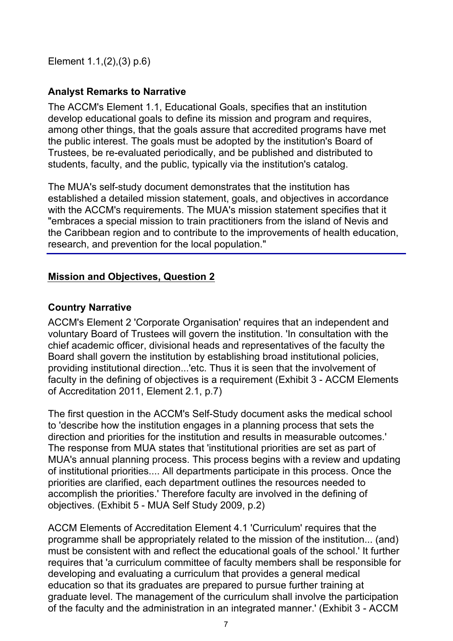Element 1.1,(2),(3) p.6)

### **Analyst Remarks to Narrative**

The ACCM's Element 1.1, Educational Goals, specifies that an institution develop educational goals to define its mission and program and requires, among other things, that the goals assure that accredited programs have met the public interest. The goals must be adopted by the institution's Board of Trustees, be re-evaluated periodically, and be published and distributed to students, faculty, and the public, typically via the institution's catalog.

The MUA's self-study document demonstrates that the institution has established a detailed mission statement, goals, and objectives in accordance with the ACCM's requirements. The MUA's mission statement specifies that it "embraces a special mission to train practitioners from the island of Nevis and the Caribbean region and to contribute to the improvements of health education, research, and prevention for the local population."

# **Mission and Objectives, Question 2**

## **Country Narrative**

ACCM's Element 2 'Corporate Organisation' requires that an independent and voluntary Board of Trustees will govern the institution. 'In consultation with the chief academic officer, divisional heads and representatives of the faculty the Board shall govern the institution by establishing broad institutional policies, providing institutional direction...'etc. Thus it is seen that the involvement of faculty in the defining of objectives is a requirement (Exhibit 3 - ACCM Elements of Accreditation 2011, Element 2.1, p.7)

The first question in the ACCM's Self-Study document asks the medical school to 'describe how the institution engages in a planning process that sets the direction and priorities for the institution and results in measurable outcomes.' The response from MUA states that 'institutional priorities are set as part of MUA's annual planning process. This process begins with a review and updating of institutional priorities.... All departments participate in this process. Once the priorities are clarified, each department outlines the resources needed to accomplish the priorities.' Therefore faculty are involved in the defining of objectives. (Exhibit 5 - MUA Self Study 2009, p.2)

ACCM Elements of Accreditation Element 4.1 'Curriculum' requires that the programme shall be appropriately related to the mission of the institution... (and) must be consistent with and reflect the educational goals of the school.' It further requires that 'a curriculum committee of faculty members shall be responsible for developing and evaluating a curriculum that provides a general medical education so that its graduates are prepared to pursue further training at graduate level. The management of the curriculum shall involve the participation of the faculty and the administration in an integrated manner.' (Exhibit 3 - ACCM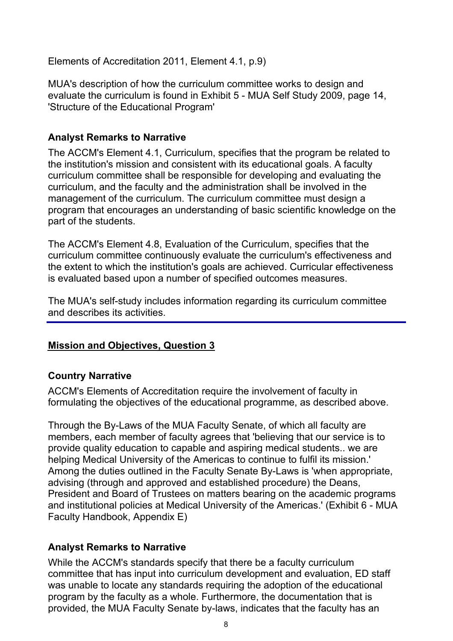Elements of Accreditation 2011, Element 4.1, p.9)

MUA's description of how the curriculum committee works to design and evaluate the curriculum is found in Exhibit 5 - MUA Self Study 2009, page 14, 'Structure of the Educational Program'

### **Analyst Remarks to Narrative**

The ACCM's Element 4.1, Curriculum, specifies that the program be related to the institution's mission and consistent with its educational goals. A faculty curriculum committee shall be responsible for developing and evaluating the curriculum, and the faculty and the administration shall be involved in the management of the curriculum. The curriculum committee must design a program that encourages an understanding of basic scientific knowledge on the part of the students.

The ACCM's Element 4.8, Evaluation of the Curriculum, specifies that the curriculum committee continuously evaluate the curriculum's effectiveness and the extent to which the institution's goals are achieved. Curricular effectiveness is evaluated based upon a number of specified outcomes measures.

The MUA's self-study includes information regarding its curriculum committee and describes its activities.

# **Mission and Objectives, Question 3**

### **Country Narrative**

ACCM's Elements of Accreditation require the involvement of faculty in formulating the objectives of the educational programme, as described above.

Through the By-Laws of the MUA Faculty Senate, of which all faculty are members, each member of faculty agrees that 'believing that our service is to provide quality education to capable and aspiring medical students.. we are helping Medical University of the Americas to continue to fulfil its mission.' Among the duties outlined in the Faculty Senate By-Laws is 'when appropriate, advising (through and approved and established procedure) the Deans, President and Board of Trustees on matters bearing on the academic programs and institutional policies at Medical University of the Americas.' (Exhibit 6 - MUA Faculty Handbook, Appendix E)

# **Analyst Remarks to Narrative**

While the ACCM's standards specify that there be a faculty curriculum committee that has input into curriculum development and evaluation, ED staff was unable to locate any standards requiring the adoption of the educational program by the faculty as a whole. Furthermore, the documentation that is provided, the MUA Faculty Senate by-laws, indicates that the faculty has an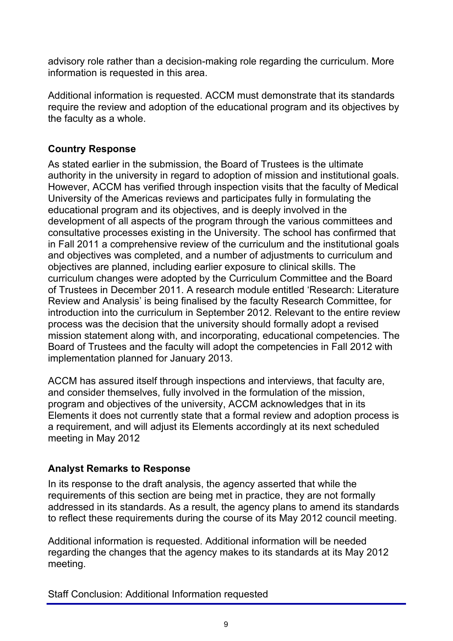advisory role rather than a decision-making role regarding the curriculum. More information is requested in this area.

Additional information is requested. ACCM must demonstrate that its standards require the review and adoption of the educational program and its objectives by the faculty as a whole.

# **Country Response**

As stated earlier in the submission, the Board of Trustees is the ultimate authority in the university in regard to adoption of mission and institutional goals. However, ACCM has verified through inspection visits that the faculty of Medical University of the Americas reviews and participates fully in formulating the educational program and its objectives, and is deeply involved in the development of all aspects of the program through the various committees and consultative processes existing in the University. The school has confirmed that in Fall 2011 a comprehensive review of the curriculum and the institutional goals and objectives was completed, and a number of adjustments to curriculum and objectives are planned, including earlier exposure to clinical skills. The curriculum changes were adopted by the Curriculum Committee and the Board of Trustees in December 2011. A research module entitled 'Research: Literature Review and Analysis' is being finalised by the faculty Research Committee, for introduction into the curriculum in September 2012. Relevant to the entire review process was the decision that the university should formally adopt a revised mission statement along with, and incorporating, educational competencies. The Board of Trustees and the faculty will adopt the competencies in Fall 2012 with implementation planned for January 2013.

ACCM has assured itself through inspections and interviews, that faculty are, and consider themselves, fully involved in the formulation of the mission, program and objectives of the university, ACCM acknowledges that in its Elements it does not currently state that a formal review and adoption process is a requirement, and will adjust its Elements accordingly at its next scheduled meeting in May 2012

# **Analyst Remarks to Response**

In its response to the draft analysis, the agency asserted that while the requirements of this section are being met in practice, they are not formally addressed in its standards. As a result, the agency plans to amend its standards to reflect these requirements during the course of its May 2012 council meeting.

Additional information is requested. Additional information will be needed regarding the changes that the agency makes to its standards at its May 2012 meeting.

Staff Conclusion: Additional Information requested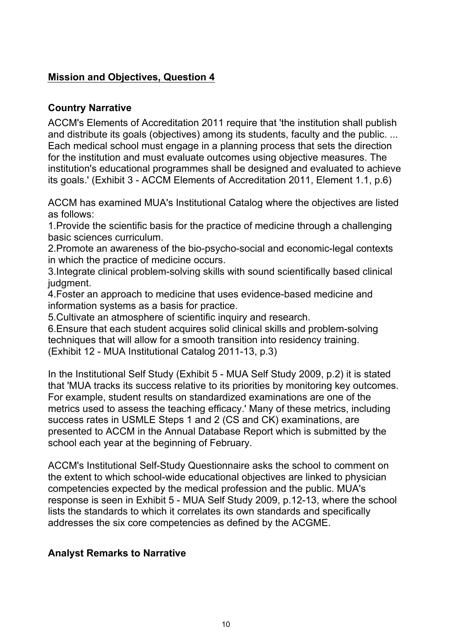# **Mission and Objectives, Question 4**

## **Country Narrative**

ACCM's Elements of Accreditation 2011 require that 'the institution shall publish and distribute its goals (objectives) among its students, faculty and the public. ... Each medical school must engage in a planning process that sets the direction for the institution and must evaluate outcomes using objective measures. The institution's educational programmes shall be designed and evaluated to achieve its goals.' (Exhibit 3 - ACCM Elements of Accreditation 2011, Element 1.1, p.6)

ACCM has examined MUA's Institutional Catalog where the objectives are listed as follows:

1.Provide the scientific basis for the practice of medicine through a challenging basic sciences curriculum.

2.Promote an awareness of the bio-psycho-social and economic-legal contexts in which the practice of medicine occurs.

3.Integrate clinical problem-solving skills with sound scientifically based clinical judgment.

4.Foster an approach to medicine that uses evidence-based medicine and information systems as a basis for practice.

5.Cultivate an atmosphere of scientific inquiry and research.

6.Ensure that each student acquires solid clinical skills and problem-solving techniques that will allow for a smooth transition into residency training. (Exhibit 12 - MUA Institutional Catalog 2011-13, p.3)

In the Institutional Self Study (Exhibit 5 - MUA Self Study 2009, p.2) it is stated that 'MUA tracks its success relative to its priorities by monitoring key outcomes. For example, student results on standardized examinations are one of the metrics used to assess the teaching efficacy.' Many of these metrics, including success rates in USMLE Steps 1 and 2 (CS and CK) examinations, are presented to ACCM in the Annual Database Report which is submitted by the school each year at the beginning of February.

ACCM's Institutional Self-Study Questionnaire asks the school to comment on the extent to which school-wide educational objectives are linked to physician competencies expected by the medical profession and the public. MUA's response is seen in Exhibit 5 - MUA Self Study 2009, p.12-13, where the school lists the standards to which it correlates its own standards and specifically addresses the six core competencies as defined by the ACGME.

# **Analyst Remarks to Narrative**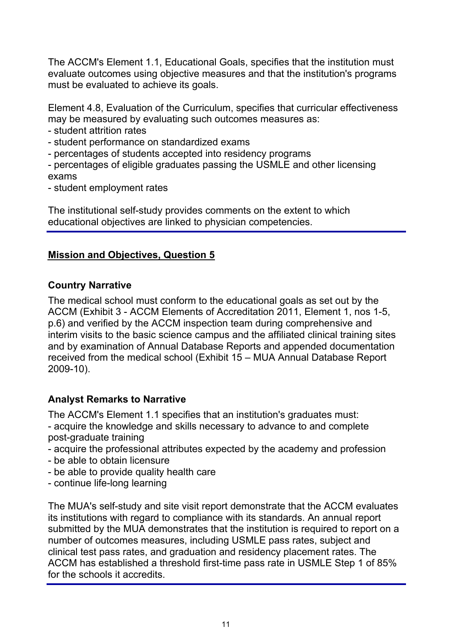The ACCM's Element 1.1, Educational Goals, specifies that the institution must evaluate outcomes using objective measures and that the institution's programs must be evaluated to achieve its goals.

Element 4.8, Evaluation of the Curriculum, specifies that curricular effectiveness may be measured by evaluating such outcomes measures as:

- student attrition rates

- student performance on standardized exams

- percentages of students accepted into residency programs

- percentages of eligible graduates passing the USMLE and other licensing exams

- student employment rates

The institutional self-study provides comments on the extent to which educational objectives are linked to physician competencies.

# **Mission and Objectives, Question 5**

### **Country Narrative**

The medical school must conform to the educational goals as set out by the ACCM (Exhibit 3 - ACCM Elements of Accreditation 2011, Element 1, nos 1-5, p.6) and verified by the ACCM inspection team during comprehensive and interim visits to the basic science campus and the affiliated clinical training sites and by examination of Annual Database Reports and appended documentation received from the medical school (Exhibit 15 – MUA Annual Database Report 2009-10).

# **Analyst Remarks to Narrative**

The ACCM's Element 1.1 specifies that an institution's graduates must: - acquire the knowledge and skills necessary to advance to and complete post-graduate training

- acquire the professional attributes expected by the academy and profession
- be able to obtain licensure
- be able to provide quality health care
- continue life-long learning

The MUA's self-study and site visit report demonstrate that the ACCM evaluates its institutions with regard to compliance with its standards. An annual report submitted by the MUA demonstrates that the institution is required to report on a number of outcomes measures, including USMLE pass rates, subject and clinical test pass rates, and graduation and residency placement rates. The ACCM has established a threshold first-time pass rate in USMLE Step 1 of 85% for the schools it accredits.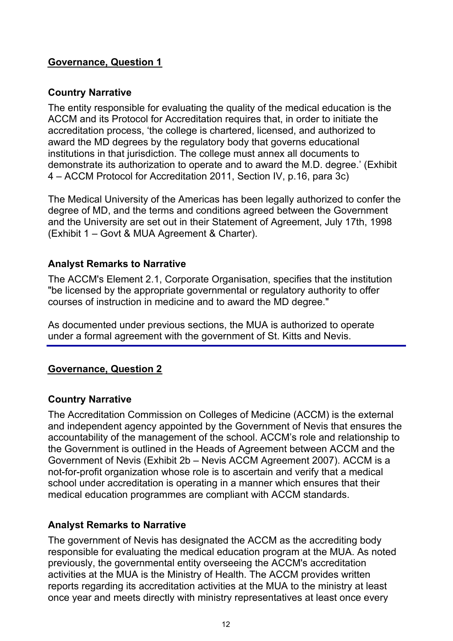### **Governance, Question 1**

### **Country Narrative**

The entity responsible for evaluating the quality of the medical education is the ACCM and its Protocol for Accreditation requires that, in order to initiate the accreditation process, 'the college is chartered, licensed, and authorized to award the MD degrees by the regulatory body that governs educational institutions in that jurisdiction. The college must annex all documents to demonstrate its authorization to operate and to award the M.D. degree.' (Exhibit 4 – ACCM Protocol for Accreditation 2011, Section IV, p.16, para 3c)

The Medical University of the Americas has been legally authorized to confer the degree of MD, and the terms and conditions agreed between the Government and the University are set out in their Statement of Agreement, July 17th, 1998 (Exhibit 1 – Govt & MUA Agreement & Charter).

#### **Analyst Remarks to Narrative**

The ACCM's Element 2.1, Corporate Organisation, specifies that the institution "be licensed by the appropriate governmental or regulatory authority to offer courses of instruction in medicine and to award the MD degree."

As documented under previous sections, the MUA is authorized to operate under a formal agreement with the government of St. Kitts and Nevis.

### **Governance, Question 2**

#### **Country Narrative**

The Accreditation Commission on Colleges of Medicine (ACCM) is the external and independent agency appointed by the Government of Nevis that ensures the accountability of the management of the school. ACCM's role and relationship to the Government is outlined in the Heads of Agreement between ACCM and the Government of Nevis (Exhibit 2b – Nevis ACCM Agreement 2007). ACCM is a not-for-profit organization whose role is to ascertain and verify that a medical school under accreditation is operating in a manner which ensures that their medical education programmes are compliant with ACCM standards.

### **Analyst Remarks to Narrative**

The government of Nevis has designated the ACCM as the accrediting body responsible for evaluating the medical education program at the MUA. As noted previously, the governmental entity overseeing the ACCM's accreditation activities at the MUA is the Ministry of Health. The ACCM provides written reports regarding its accreditation activities at the MUA to the ministry at least once year and meets directly with ministry representatives at least once every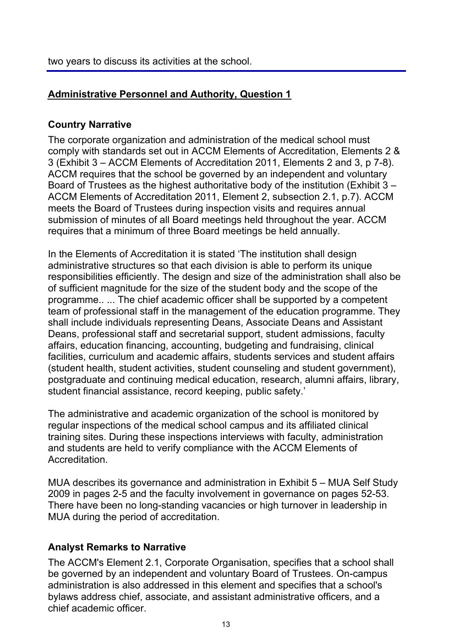## **Administrative Personnel and Authority, Question 1**

#### **Country Narrative**

The corporate organization and administration of the medical school must comply with standards set out in ACCM Elements of Accreditation, Elements 2 & 3 (Exhibit 3 – ACCM Elements of Accreditation 2011, Elements 2 and 3, p 7-8). ACCM requires that the school be governed by an independent and voluntary Board of Trustees as the highest authoritative body of the institution (Exhibit 3 – ACCM Elements of Accreditation 2011, Element 2, subsection 2.1, p.7). ACCM meets the Board of Trustees during inspection visits and requires annual submission of minutes of all Board meetings held throughout the year. ACCM requires that a minimum of three Board meetings be held annually.

In the Elements of Accreditation it is stated 'The institution shall design administrative structures so that each division is able to perform its unique responsibilities efficiently. The design and size of the administration shall also be of sufficient magnitude for the size of the student body and the scope of the programme.. ... The chief academic officer shall be supported by a competent team of professional staff in the management of the education programme. They shall include individuals representing Deans, Associate Deans and Assistant Deans, professional staff and secretarial support, student admissions, faculty affairs, education financing, accounting, budgeting and fundraising, clinical facilities, curriculum and academic affairs, students services and student affairs (student health, student activities, student counseling and student government), postgraduate and continuing medical education, research, alumni affairs, library, student financial assistance, record keeping, public safety.'

The administrative and academic organization of the school is monitored by regular inspections of the medical school campus and its affiliated clinical training sites. During these inspections interviews with faculty, administration and students are held to verify compliance with the ACCM Elements of Accreditation.

MUA describes its governance and administration in Exhibit 5 – MUA Self Study 2009 in pages 2-5 and the faculty involvement in governance on pages 52-53. There have been no long-standing vacancies or high turnover in leadership in MUA during the period of accreditation.

### **Analyst Remarks to Narrative**

The ACCM's Element 2.1, Corporate Organisation, specifies that a school shall be governed by an independent and voluntary Board of Trustees. On-campus administration is also addressed in this element and specifies that a school's bylaws address chief, associate, and assistant administrative officers, and a chief academic officer.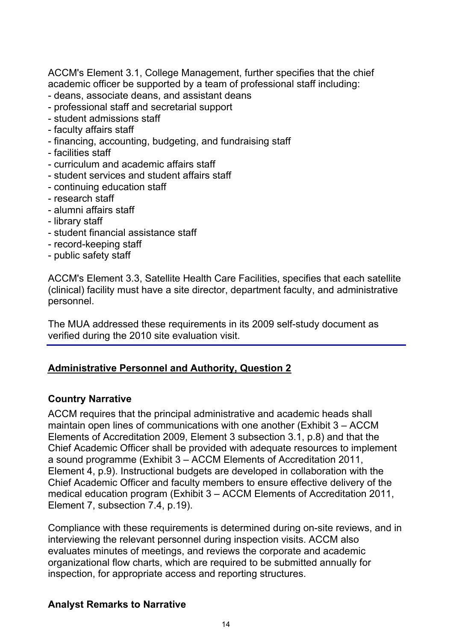ACCM's Element 3.1, College Management, further specifies that the chief academic officer be supported by a team of professional staff including:

- deans, associate deans, and assistant deans
- professional staff and secretarial support
- student admissions staff
- faculty affairs staff
- financing, accounting, budgeting, and fundraising staff
- facilities staff
- curriculum and academic affairs staff
- student services and student affairs staff
- continuing education staff
- research staff
- alumni affairs staff
- library staff
- student financial assistance staff
- record-keeping staff
- public safety staff

ACCM's Element 3.3, Satellite Health Care Facilities, specifies that each satellite (clinical) facility must have a site director, department faculty, and administrative personnel.

The MUA addressed these requirements in its 2009 self-study document as verified during the 2010 site evaluation visit.

### **Administrative Personnel and Authority, Question 2**

#### **Country Narrative**

ACCM requires that the principal administrative and academic heads shall maintain open lines of communications with one another (Exhibit 3 – ACCM Elements of Accreditation 2009, Element 3 subsection 3.1, p.8) and that the Chief Academic Officer shall be provided with adequate resources to implement a sound programme (Exhibit 3 – ACCM Elements of Accreditation 2011, Element 4, p.9). Instructional budgets are developed in collaboration with the Chief Academic Officer and faculty members to ensure effective delivery of the medical education program (Exhibit 3 – ACCM Elements of Accreditation 2011, Element 7, subsection 7.4, p.19).

Compliance with these requirements is determined during on-site reviews, and in interviewing the relevant personnel during inspection visits. ACCM also evaluates minutes of meetings, and reviews the corporate and academic organizational flow charts, which are required to be submitted annually for inspection, for appropriate access and reporting structures.

### **Analyst Remarks to Narrative**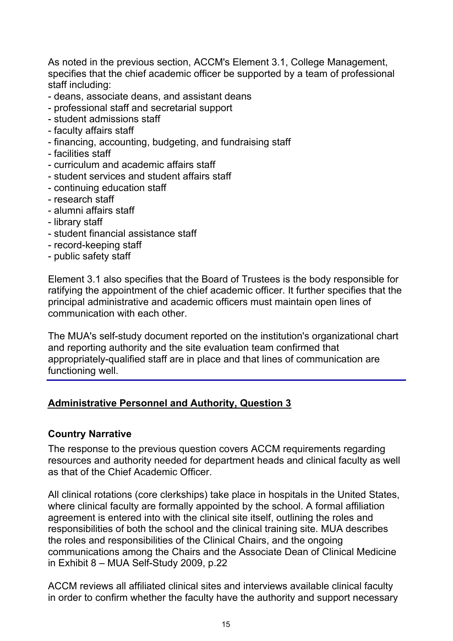As noted in the previous section, ACCM's Element 3.1, College Management, specifies that the chief academic officer be supported by a team of professional staff including:

- deans, associate deans, and assistant deans
- professional staff and secretarial support
- student admissions staff
- faculty affairs staff
- financing, accounting, budgeting, and fundraising staff
- facilities staff
- curriculum and academic affairs staff
- student services and student affairs staff
- continuing education staff
- research staff
- alumni affairs staff
- library staff
- student financial assistance staff
- record-keeping staff
- public safety staff

Element 3.1 also specifies that the Board of Trustees is the body responsible for ratifying the appointment of the chief academic officer. It further specifies that the principal administrative and academic officers must maintain open lines of communication with each other.

The MUA's self-study document reported on the institution's organizational chart and reporting authority and the site evaluation team confirmed that appropriately-qualified staff are in place and that lines of communication are functioning well.

### **Administrative Personnel and Authority, Question 3**

#### **Country Narrative**

The response to the previous question covers ACCM requirements regarding resources and authority needed for department heads and clinical faculty as well as that of the Chief Academic Officer.

All clinical rotations (core clerkships) take place in hospitals in the United States, where clinical faculty are formally appointed by the school. A formal affiliation agreement is entered into with the clinical site itself, outlining the roles and responsibilities of both the school and the clinical training site. MUA describes the roles and responsibilities of the Clinical Chairs, and the ongoing communications among the Chairs and the Associate Dean of Clinical Medicine in Exhibit 8 – MUA Self-Study 2009, p.22

ACCM reviews all affiliated clinical sites and interviews available clinical faculty in order to confirm whether the faculty have the authority and support necessary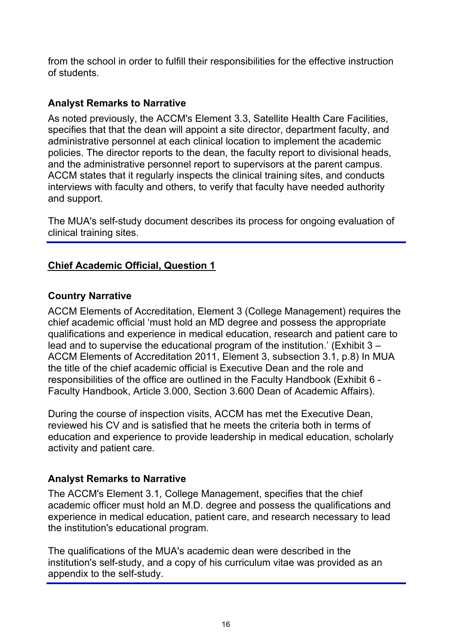from the school in order to fulfill their responsibilities for the effective instruction of students.

## **Analyst Remarks to Narrative**

As noted previously, the ACCM's Element 3.3, Satellite Health Care Facilities, specifies that that the dean will appoint a site director, department faculty, and administrative personnel at each clinical location to implement the academic policies. The director reports to the dean, the faculty report to divisional heads, and the administrative personnel report to supervisors at the parent campus. ACCM states that it regularly inspects the clinical training sites, and conducts interviews with faculty and others, to verify that faculty have needed authority and support.

The MUA's self-study document describes its process for ongoing evaluation of clinical training sites.

## **Chief Academic Official, Question 1**

## **Country Narrative**

ACCM Elements of Accreditation, Element 3 (College Management) requires the chief academic official 'must hold an MD degree and possess the appropriate qualifications and experience in medical education, research and patient care to lead and to supervise the educational program of the institution.' (Exhibit 3 – ACCM Elements of Accreditation 2011, Element 3, subsection 3.1, p.8) In MUA the title of the chief academic official is Executive Dean and the role and responsibilities of the office are outlined in the Faculty Handbook (Exhibit 6 - Faculty Handbook, Article 3.000, Section 3.600 Dean of Academic Affairs).

During the course of inspection visits, ACCM has met the Executive Dean, reviewed his CV and is satisfied that he meets the criteria both in terms of education and experience to provide leadership in medical education, scholarly activity and patient care.

### **Analyst Remarks to Narrative**

The ACCM's Element 3.1, College Management, specifies that the chief academic officer must hold an M.D. degree and possess the qualifications and experience in medical education, patient care, and research necessary to lead the institution's educational program.

The qualifications of the MUA's academic dean were described in the institution's self-study, and a copy of his curriculum vitae was provided as an appendix to the self-study.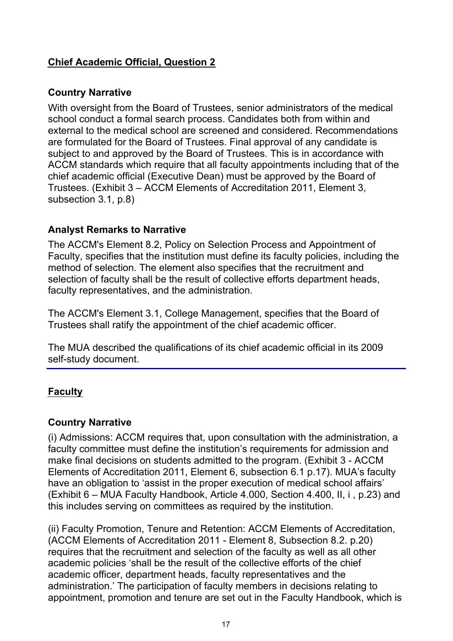# **Chief Academic Official, Question 2**

### **Country Narrative**

With oversight from the Board of Trustees, senior administrators of the medical school conduct a formal search process. Candidates both from within and external to the medical school are screened and considered. Recommendations are formulated for the Board of Trustees. Final approval of any candidate is subject to and approved by the Board of Trustees. This is in accordance with ACCM standards which require that all faculty appointments including that of the chief academic official (Executive Dean) must be approved by the Board of Trustees. (Exhibit 3 – ACCM Elements of Accreditation 2011, Element 3, subsection 3.1, p.8)

### **Analyst Remarks to Narrative**

The ACCM's Element 8.2, Policy on Selection Process and Appointment of Faculty, specifies that the institution must define its faculty policies, including the method of selection. The element also specifies that the recruitment and selection of faculty shall be the result of collective efforts department heads, faculty representatives, and the administration.

The ACCM's Element 3.1, College Management, specifies that the Board of Trustees shall ratify the appointment of the chief academic officer.

The MUA described the qualifications of its chief academic official in its 2009 self-study document.

# **Faculty**

### **Country Narrative**

(i) Admissions: ACCM requires that, upon consultation with the administration, a faculty committee must define the institution's requirements for admission and make final decisions on students admitted to the program. (Exhibit 3 - ACCM Elements of Accreditation 2011, Element 6, subsection 6.1 p.17). MUA's faculty have an obligation to 'assist in the proper execution of medical school affairs' (Exhibit 6 – MUA Faculty Handbook, Article 4.000, Section 4.400, II, i , p.23) and this includes serving on committees as required by the institution.

(ii) Faculty Promotion, Tenure and Retention: ACCM Elements of Accreditation, (ACCM Elements of Accreditation 2011 - Element 8, Subsection 8.2. p.20) requires that the recruitment and selection of the faculty as well as all other academic policies 'shall be the result of the collective efforts of the chief academic officer, department heads, faculty representatives and the administration.' The participation of faculty members in decisions relating to appointment, promotion and tenure are set out in the Faculty Handbook, which is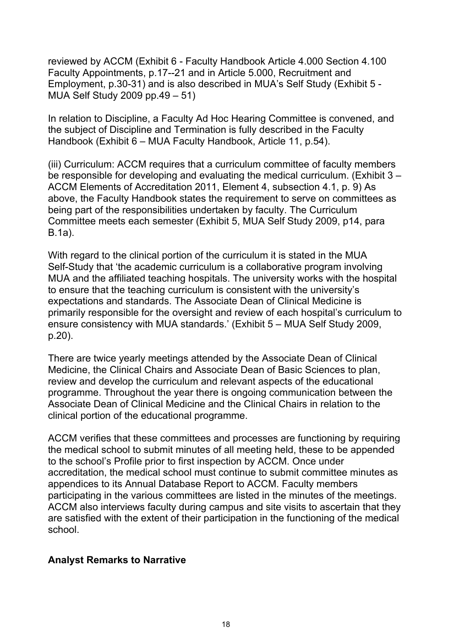reviewed by ACCM (Exhibit 6 - Faculty Handbook Article 4.000 Section 4.100 Faculty Appointments, p.17--21 and in Article 5.000, Recruitment and Employment, p.30-31) and is also described in MUA's Self Study (Exhibit 5 - MUA Self Study 2009 pp.49 – 51)

In relation to Discipline, a Faculty Ad Hoc Hearing Committee is convened, and the subject of Discipline and Termination is fully described in the Faculty Handbook (Exhibit 6 – MUA Faculty Handbook, Article 11, p.54).

(iii) Curriculum: ACCM requires that a curriculum committee of faculty members be responsible for developing and evaluating the medical curriculum. (Exhibit 3 – ACCM Elements of Accreditation 2011, Element 4, subsection 4.1, p. 9) As above, the Faculty Handbook states the requirement to serve on committees as being part of the responsibilities undertaken by faculty. The Curriculum Committee meets each semester (Exhibit 5, MUA Self Study 2009, p14, para B.1a).

With regard to the clinical portion of the curriculum it is stated in the MUA Self-Study that 'the academic curriculum is a collaborative program involving MUA and the affiliated teaching hospitals. The university works with the hospital to ensure that the teaching curriculum is consistent with the university's expectations and standards. The Associate Dean of Clinical Medicine is primarily responsible for the oversight and review of each hospital's curriculum to ensure consistency with MUA standards.' (Exhibit 5 – MUA Self Study 2009, p.20).

There are twice yearly meetings attended by the Associate Dean of Clinical Medicine, the Clinical Chairs and Associate Dean of Basic Sciences to plan, review and develop the curriculum and relevant aspects of the educational programme. Throughout the year there is ongoing communication between the Associate Dean of Clinical Medicine and the Clinical Chairs in relation to the clinical portion of the educational programme.

ACCM verifies that these committees and processes are functioning by requiring the medical school to submit minutes of all meeting held, these to be appended to the school's Profile prior to first inspection by ACCM. Once under accreditation, the medical school must continue to submit committee minutes as appendices to its Annual Database Report to ACCM. Faculty members participating in the various committees are listed in the minutes of the meetings. ACCM also interviews faculty during campus and site visits to ascertain that they are satisfied with the extent of their participation in the functioning of the medical school.

#### **Analyst Remarks to Narrative**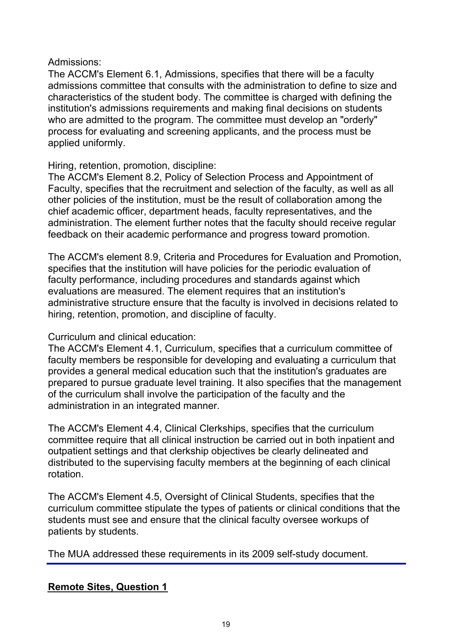#### Admissions:

The ACCM's Element 6.1, Admissions, specifies that there will be a faculty admissions committee that consults with the administration to define to size and characteristics of the student body. The committee is charged with defining the institution's admissions requirements and making final decisions on students who are admitted to the program. The committee must develop an "orderly" process for evaluating and screening applicants, and the process must be applied uniformly.

#### Hiring, retention, promotion, discipline:

The ACCM's Element 8.2, Policy of Selection Process and Appointment of Faculty, specifies that the recruitment and selection of the faculty, as well as all other policies of the institution, must be the result of collaboration among the chief academic officer, department heads, faculty representatives, and the administration. The element further notes that the faculty should receive regular feedback on their academic performance and progress toward promotion.

The ACCM's element 8.9, Criteria and Procedures for Evaluation and Promotion, specifies that the institution will have policies for the periodic evaluation of faculty performance, including procedures and standards against which evaluations are measured. The element requires that an institution's administrative structure ensure that the faculty is involved in decisions related to hiring, retention, promotion, and discipline of faculty.

### Curriculum and clinical education:

The ACCM's Element 4.1, Curriculum, specifies that a curriculum committee of faculty members be responsible for developing and evaluating a curriculum that provides a general medical education such that the institution's graduates are prepared to pursue graduate level training. It also specifies that the management of the curriculum shall involve the participation of the faculty and the administration in an integrated manner.

The ACCM's Element 4.4, Clinical Clerkships, specifies that the curriculum committee require that all clinical instruction be carried out in both inpatient and outpatient settings and that clerkship objectives be clearly delineated and distributed to the supervising faculty members at the beginning of each clinical rotation.

The ACCM's Element 4.5, Oversight of Clinical Students, specifies that the curriculum committee stipulate the types of patients or clinical conditions that the students must see and ensure that the clinical faculty oversee workups of patients by students.

The MUA addressed these requirements in its 2009 self-study document.

### **Remote Sites, Question 1**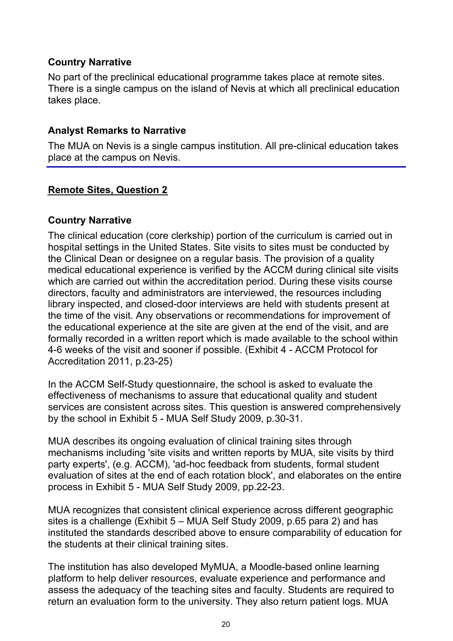### **Country Narrative**

No part of the preclinical educational programme takes place at remote sites. There is a single campus on the island of Nevis at which all preclinical education takes place.

### **Analyst Remarks to Narrative**

The MUA on Nevis is a single campus institution. All pre-clinical education takes place at the campus on Nevis.

### **Remote Sites, Question 2**

### **Country Narrative**

The clinical education (core clerkship) portion of the curriculum is carried out in hospital settings in the United States. Site visits to sites must be conducted by the Clinical Dean or designee on a regular basis. The provision of a quality medical educational experience is verified by the ACCM during clinical site visits which are carried out within the accreditation period. During these visits course directors, faculty and administrators are interviewed, the resources including library inspected, and closed-door interviews are held with students present at the time of the visit. Any observations or recommendations for improvement of the educational experience at the site are given at the end of the visit, and are formally recorded in a written report which is made available to the school within 4-6 weeks of the visit and sooner if possible. (Exhibit 4 - ACCM Protocol for Accreditation 2011, p.23-25)

In the ACCM Self-Study questionnaire, the school is asked to evaluate the effectiveness of mechanisms to assure that educational quality and student services are consistent across sites. This question is answered comprehensively by the school in Exhibit 5 - MUA Self Study 2009, p.30-31.

MUA describes its ongoing evaluation of clinical training sites through mechanisms including 'site visits and written reports by MUA, site visits by third party experts', (e.g. ACCM), 'ad-hoc feedback from students, formal student evaluation of sites at the end of each rotation block', and elaborates on the entire process in Exhibit 5 - MUA Self Study 2009, pp.22-23.

MUA recognizes that consistent clinical experience across different geographic sites is a challenge (Exhibit 5 – MUA Self Study 2009, p.65 para 2) and has instituted the standards described above to ensure comparability of education for the students at their clinical training sites.

The institution has also developed MyMUA, a Moodle-based online learning platform to help deliver resources, evaluate experience and performance and assess the adequacy of the teaching sites and faculty. Students are required to return an evaluation form to the university. They also return patient logs. MUA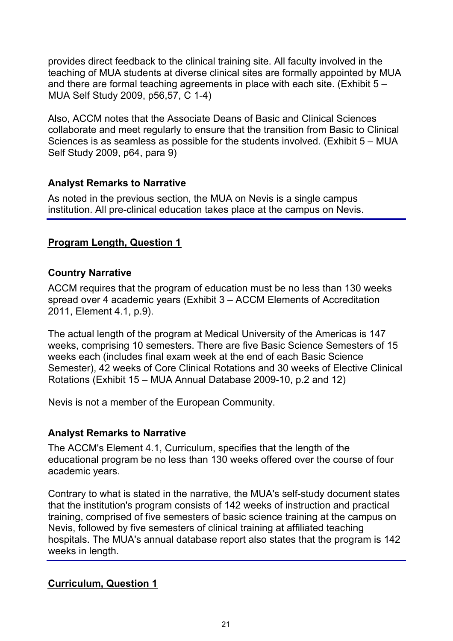provides direct feedback to the clinical training site. All faculty involved in the teaching of MUA students at diverse clinical sites are formally appointed by MUA and there are formal teaching agreements in place with each site. (Exhibit  $5 -$ MUA Self Study 2009, p56,57, C 1-4)

Also, ACCM notes that the Associate Deans of Basic and Clinical Sciences collaborate and meet regularly to ensure that the transition from Basic to Clinical Sciences is as seamless as possible for the students involved. (Exhibit 5 – MUA Self Study 2009, p64, para 9)

### **Analyst Remarks to Narrative**

As noted in the previous section, the MUA on Nevis is a single campus institution. All pre-clinical education takes place at the campus on Nevis.

# **Program Length, Question 1**

### **Country Narrative**

ACCM requires that the program of education must be no less than 130 weeks spread over 4 academic years (Exhibit 3 – ACCM Elements of Accreditation 2011, Element 4.1, p.9).

The actual length of the program at Medical University of the Americas is 147 weeks, comprising 10 semesters. There are five Basic Science Semesters of 15 weeks each (includes final exam week at the end of each Basic Science Semester), 42 weeks of Core Clinical Rotations and 30 weeks of Elective Clinical Rotations (Exhibit 15 – MUA Annual Database 2009-10, p.2 and 12)

Nevis is not a member of the European Community.

# **Analyst Remarks to Narrative**

The ACCM's Element 4.1, Curriculum, specifies that the length of the educational program be no less than 130 weeks offered over the course of four academic years.

Contrary to what is stated in the narrative, the MUA's self-study document states that the institution's program consists of 142 weeks of instruction and practical training, comprised of five semesters of basic science training at the campus on Nevis, followed by five semesters of clinical training at affiliated teaching hospitals. The MUA's annual database report also states that the program is 142 weeks in length.

# **Curriculum, Question 1**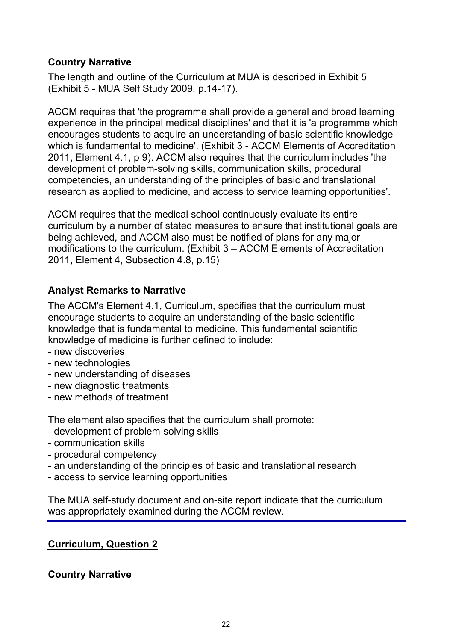### **Country Narrative**

The length and outline of the Curriculum at MUA is described in Exhibit 5 (Exhibit 5 - MUA Self Study 2009, p.14-17).

ACCM requires that 'the programme shall provide a general and broad learning experience in the principal medical disciplines' and that it is 'a programme which encourages students to acquire an understanding of basic scientific knowledge which is fundamental to medicine'. (Exhibit 3 - ACCM Elements of Accreditation 2011, Element 4.1, p 9). ACCM also requires that the curriculum includes 'the development of problem-solving skills, communication skills, procedural competencies, an understanding of the principles of basic and translational research as applied to medicine, and access to service learning opportunities'.

ACCM requires that the medical school continuously evaluate its entire curriculum by a number of stated measures to ensure that institutional goals are being achieved, and ACCM also must be notified of plans for any major modifications to the curriculum. (Exhibit 3 – ACCM Elements of Accreditation 2011, Element 4, Subsection 4.8, p.15)

### **Analyst Remarks to Narrative**

The ACCM's Element 4.1, Curriculum, specifies that the curriculum must encourage students to acquire an understanding of the basic scientific knowledge that is fundamental to medicine. This fundamental scientific knowledge of medicine is further defined to include:

- new discoveries
- new technologies
- new understanding of diseases
- new diagnostic treatments
- new methods of treatment

The element also specifies that the curriculum shall promote:

- development of problem-solving skills
- communication skills
- procedural competency
- an understanding of the principles of basic and translational research
- access to service learning opportunities

The MUA self-study document and on-site report indicate that the curriculum was appropriately examined during the ACCM review.

### **Curriculum, Question 2**

### **Country Narrative**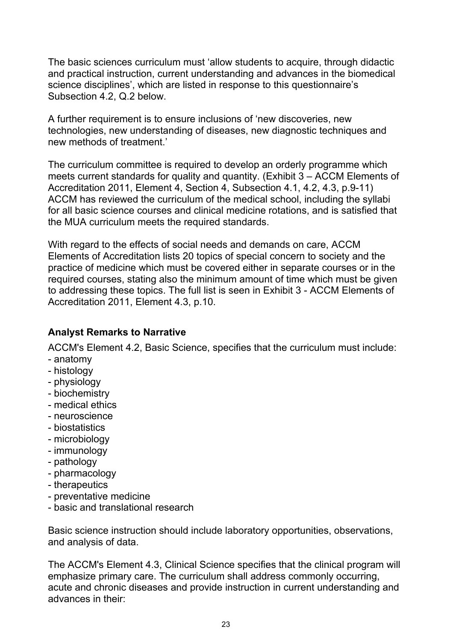The basic sciences curriculum must 'allow students to acquire, through didactic and practical instruction, current understanding and advances in the biomedical science disciplines', which are listed in response to this questionnaire's Subsection 4.2, Q.2 below.

A further requirement is to ensure inclusions of 'new discoveries, new technologies, new understanding of diseases, new diagnostic techniques and new methods of treatment.'

The curriculum committee is required to develop an orderly programme which meets current standards for quality and quantity. (Exhibit 3 – ACCM Elements of Accreditation 2011, Element 4, Section 4, Subsection 4.1, 4.2, 4.3, p.9-11) ACCM has reviewed the curriculum of the medical school, including the syllabi for all basic science courses and clinical medicine rotations, and is satisfied that the MUA curriculum meets the required standards.

With regard to the effects of social needs and demands on care, ACCM Elements of Accreditation lists 20 topics of special concern to society and the practice of medicine which must be covered either in separate courses or in the required courses, stating also the minimum amount of time which must be given to addressing these topics. The full list is seen in Exhibit 3 - ACCM Elements of Accreditation 2011, Element 4.3, p.10.

### **Analyst Remarks to Narrative**

ACCM's Element 4.2, Basic Science, specifies that the curriculum must include:

- anatomy
- histology
- physiology
- biochemistry
- medical ethics
- neuroscience
- biostatistics
- microbiology
- immunology
- pathology
- pharmacology
- therapeutics
- preventative medicine
- basic and translational research

Basic science instruction should include laboratory opportunities, observations, and analysis of data.

The ACCM's Element 4.3, Clinical Science specifies that the clinical program will emphasize primary care. The curriculum shall address commonly occurring, acute and chronic diseases and provide instruction in current understanding and advances in their: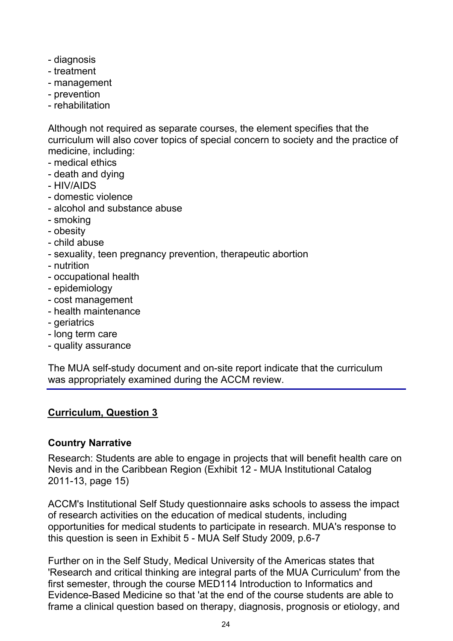- diagnosis
- treatment
- management
- prevention
- rehabilitation

Although not required as separate courses, the element specifies that the curriculum will also cover topics of special concern to society and the practice of medicine, including:

- medical ethics
- death and dying
- HIV/AIDS
- domestic violence
- alcohol and substance abuse
- smoking
- obesity
- child abuse
- sexuality, teen pregnancy prevention, therapeutic abortion
- nutrition
- occupational health
- epidemiology
- cost management
- health maintenance
- geriatrics
- long term care
- quality assurance

The MUA self-study document and on-site report indicate that the curriculum was appropriately examined during the ACCM review.

### **Curriculum, Question 3**

### **Country Narrative**

Research: Students are able to engage in projects that will benefit health care on Nevis and in the Caribbean Region (Exhibit 12 - MUA Institutional Catalog 2011-13, page 15)

ACCM's Institutional Self Study questionnaire asks schools to assess the impact of research activities on the education of medical students, including opportunities for medical students to participate in research. MUA's response to this question is seen in Exhibit 5 - MUA Self Study 2009, p.6-7

Further on in the Self Study, Medical University of the Americas states that 'Research and critical thinking are integral parts of the MUA Curriculum' from the first semester, through the course MED114 Introduction to Informatics and Evidence-Based Medicine so that 'at the end of the course students are able to frame a clinical question based on therapy, diagnosis, prognosis or etiology, and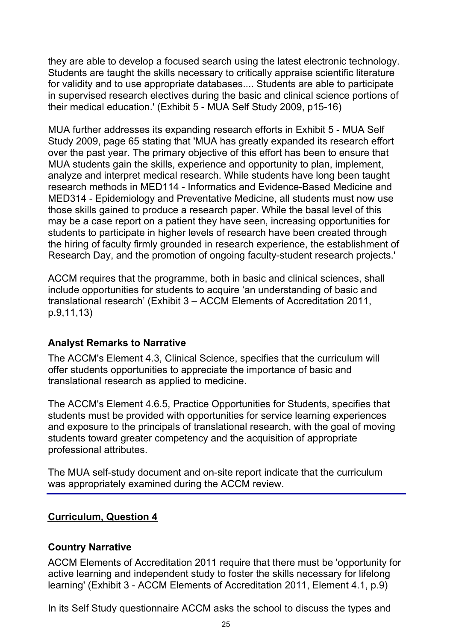they are able to develop a focused search using the latest electronic technology. Students are taught the skills necessary to critically appraise scientific literature for validity and to use appropriate databases.... Students are able to participate in supervised research electives during the basic and clinical science portions of their medical education.' (Exhibit 5 - MUA Self Study 2009, p15-16)

MUA further addresses its expanding research efforts in Exhibit 5 - MUA Self Study 2009, page 65 stating that 'MUA has greatly expanded its research effort over the past year. The primary objective of this effort has been to ensure that MUA students gain the skills, experience and opportunity to plan, implement, analyze and interpret medical research. While students have long been taught research methods in MED114 - Informatics and Evidence-Based Medicine and MED314 - Epidemiology and Preventative Medicine, all students must now use those skills gained to produce a research paper. While the basal level of this may be a case report on a patient they have seen, increasing opportunities for students to participate in higher levels of research have been created through the hiring of faculty firmly grounded in research experience, the establishment of Research Day, and the promotion of ongoing faculty-student research projects.'

ACCM requires that the programme, both in basic and clinical sciences, shall include opportunities for students to acquire 'an understanding of basic and translational research' (Exhibit 3 – ACCM Elements of Accreditation 2011, p.9,11,13)

### **Analyst Remarks to Narrative**

The ACCM's Element 4.3, Clinical Science, specifies that the curriculum will offer students opportunities to appreciate the importance of basic and translational research as applied to medicine.

The ACCM's Element 4.6.5, Practice Opportunities for Students, specifies that students must be provided with opportunities for service learning experiences and exposure to the principals of translational research, with the goal of moving students toward greater competency and the acquisition of appropriate professional attributes.

The MUA self-study document and on-site report indicate that the curriculum was appropriately examined during the ACCM review.

#### **Curriculum, Question 4**

#### **Country Narrative**

ACCM Elements of Accreditation 2011 require that there must be 'opportunity for active learning and independent study to foster the skills necessary for lifelong learning' (Exhibit 3 - ACCM Elements of Accreditation 2011, Element 4.1, p.9)

In its Self Study questionnaire ACCM asks the school to discuss the types and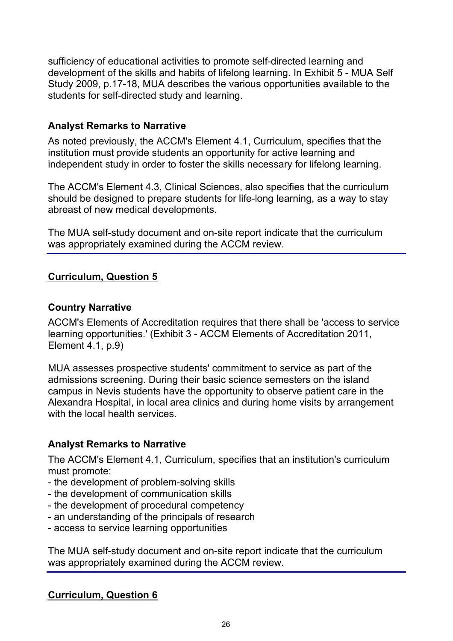sufficiency of educational activities to promote self-directed learning and development of the skills and habits of lifelong learning. In Exhibit 5 - MUA Self Study 2009, p.17-18, MUA describes the various opportunities available to the students for self-directed study and learning.

### **Analyst Remarks to Narrative**

As noted previously, the ACCM's Element 4.1, Curriculum, specifies that the institution must provide students an opportunity for active learning and independent study in order to foster the skills necessary for lifelong learning.

The ACCM's Element 4.3, Clinical Sciences, also specifies that the curriculum should be designed to prepare students for life-long learning, as a way to stay abreast of new medical developments.

The MUA self-study document and on-site report indicate that the curriculum was appropriately examined during the ACCM review.

### **Curriculum, Question 5**

#### **Country Narrative**

ACCM's Elements of Accreditation requires that there shall be 'access to service learning opportunities.' (Exhibit 3 - ACCM Elements of Accreditation 2011, Element 4.1, p.9)

MUA assesses prospective students' commitment to service as part of the admissions screening. During their basic science semesters on the island campus in Nevis students have the opportunity to observe patient care in the Alexandra Hospital, in local area clinics and during home visits by arrangement with the local health services.

### **Analyst Remarks to Narrative**

The ACCM's Element 4.1, Curriculum, specifies that an institution's curriculum must promote:

- the development of problem-solving skills
- the development of communication skills
- the development of procedural competency
- an understanding of the principals of research
- access to service learning opportunities

The MUA self-study document and on-site report indicate that the curriculum was appropriately examined during the ACCM review.

### **Curriculum, Question 6**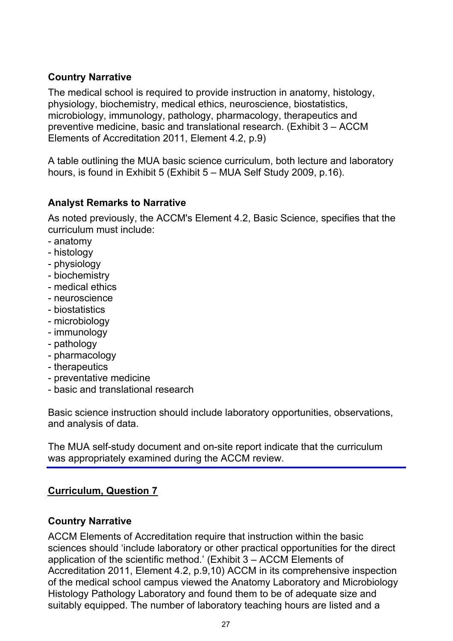### **Country Narrative**

The medical school is required to provide instruction in anatomy, histology, physiology, biochemistry, medical ethics, neuroscience, biostatistics, microbiology, immunology, pathology, pharmacology, therapeutics and preventive medicine, basic and translational research. (Exhibit 3 – ACCM Elements of Accreditation 2011, Element 4.2, p.9)

A table outlining the MUA basic science curriculum, both lecture and laboratory hours, is found in Exhibit 5 (Exhibit 5 – MUA Self Study 2009, p.16).

### **Analyst Remarks to Narrative**

As noted previously, the ACCM's Element 4.2, Basic Science, specifies that the curriculum must include:

- anatomy
- histology
- physiology
- biochemistry
- medical ethics
- neuroscience
- biostatistics
- microbiology
- immunology
- pathology
- pharmacology
- therapeutics
- preventative medicine
- basic and translational research

Basic science instruction should include laboratory opportunities, observations, and analysis of data.

The MUA self-study document and on-site report indicate that the curriculum was appropriately examined during the ACCM review.

### **Curriculum, Question 7**

### **Country Narrative**

ACCM Elements of Accreditation require that instruction within the basic sciences should 'include laboratory or other practical opportunities for the direct application of the scientific method.' (Exhibit 3 – ACCM Elements of Accreditation 2011, Element 4.2, p.9,10) ACCM in its comprehensive inspection of the medical school campus viewed the Anatomy Laboratory and Microbiology Histology Pathology Laboratory and found them to be of adequate size and suitably equipped. The number of laboratory teaching hours are listed and a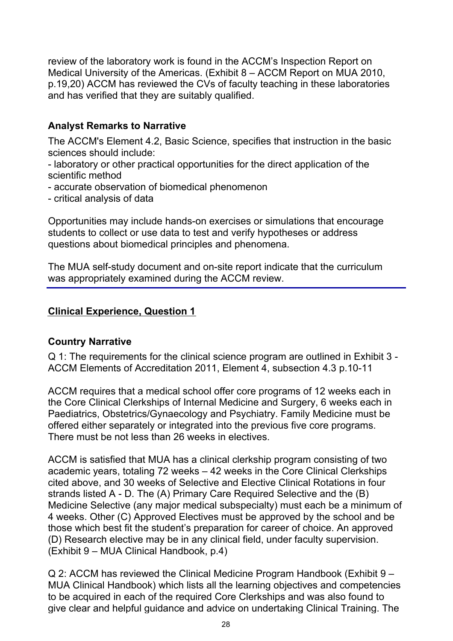review of the laboratory work is found in the ACCM's Inspection Report on Medical University of the Americas. (Exhibit 8 – ACCM Report on MUA 2010, p.19,20) ACCM has reviewed the CVs of faculty teaching in these laboratories and has verified that they are suitably qualified.

### **Analyst Remarks to Narrative**

The ACCM's Element 4.2, Basic Science, specifies that instruction in the basic sciences should include:

- laboratory or other practical opportunities for the direct application of the scientific method

- accurate observation of biomedical phenomenon

- critical analysis of data

Opportunities may include hands-on exercises or simulations that encourage students to collect or use data to test and verify hypotheses or address questions about biomedical principles and phenomena.

The MUA self-study document and on-site report indicate that the curriculum was appropriately examined during the ACCM review.

### **Clinical Experience, Question 1**

### **Country Narrative**

Q 1: The requirements for the clinical science program are outlined in Exhibit 3 - ACCM Elements of Accreditation 2011, Element 4, subsection 4.3 p.10-11

ACCM requires that a medical school offer core programs of 12 weeks each in the Core Clinical Clerkships of Internal Medicine and Surgery, 6 weeks each in Paediatrics, Obstetrics/Gynaecology and Psychiatry. Family Medicine must be offered either separately or integrated into the previous five core programs. There must be not less than 26 weeks in electives.

ACCM is satisfied that MUA has a clinical clerkship program consisting of two academic years, totaling 72 weeks – 42 weeks in the Core Clinical Clerkships cited above, and 30 weeks of Selective and Elective Clinical Rotations in four strands listed A - D. The (A) Primary Care Required Selective and the (B) Medicine Selective (any major medical subspecialty) must each be a minimum of 4 weeks. Other (C) Approved Electives must be approved by the school and be those which best fit the student's preparation for career of choice. An approved (D) Research elective may be in any clinical field, under faculty supervision. (Exhibit 9 – MUA Clinical Handbook, p.4)

Q 2: ACCM has reviewed the Clinical Medicine Program Handbook (Exhibit 9 – MUA Clinical Handbook) which lists all the learning objectives and competencies to be acquired in each of the required Core Clerkships and was also found to give clear and helpful guidance and advice on undertaking Clinical Training. The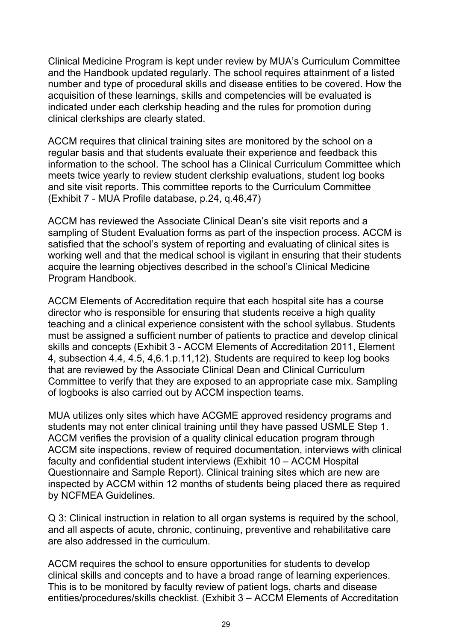Clinical Medicine Program is kept under review by MUA's Curriculum Committee and the Handbook updated requilarly. The school requires attainment of a listed number and type of procedural skills and disease entities to be covered. How the acquisition of these learnings, skills and competencies will be evaluated is indicated under each clerkship heading and the rules for promotion during clinical clerkships are clearly stated.

ACCM requires that clinical training sites are monitored by the school on a regular basis and that students evaluate their experience and feedback this information to the school. The school has a Clinical Curriculum Committee which meets twice yearly to review student clerkship evaluations, student log books and site visit reports. This committee reports to the Curriculum Committee (Exhibit 7 - MUA Profile database, p.24, q.46,47)

ACCM has reviewed the Associate Clinical Dean's site visit reports and a sampling of Student Evaluation forms as part of the inspection process. ACCM is satisfied that the school's system of reporting and evaluating of clinical sites is working well and that the medical school is vigilant in ensuring that their students acquire the learning objectives described in the school's Clinical Medicine Program Handbook.

ACCM Elements of Accreditation require that each hospital site has a course director who is responsible for ensuring that students receive a high quality teaching and a clinical experience consistent with the school syllabus. Students must be assigned a sufficient number of patients to practice and develop clinical skills and concepts (Exhibit 3 - ACCM Elements of Accreditation 2011, Element 4, subsection 4.4, 4.5, 4,6.1.p.11,12). Students are required to keep log books that are reviewed by the Associate Clinical Dean and Clinical Curriculum Committee to verify that they are exposed to an appropriate case mix. Sampling of logbooks is also carried out by ACCM inspection teams.

MUA utilizes only sites which have ACGME approved residency programs and students may not enter clinical training until they have passed USMLE Step 1. ACCM verifies the provision of a quality clinical education program through ACCM site inspections, review of required documentation, interviews with clinical faculty and confidential student interviews (Exhibit 10 – ACCM Hospital Questionnaire and Sample Report). Clinical training sites which are new are inspected by ACCM within 12 months of students being placed there as required by NCFMEA Guidelines.

Q 3: Clinical instruction in relation to all organ systems is required by the school, and all aspects of acute, chronic, continuing, preventive and rehabilitative care are also addressed in the curriculum.

ACCM requires the school to ensure opportunities for students to develop clinical skills and concepts and to have a broad range of learning experiences. This is to be monitored by faculty review of patient logs, charts and disease entities/procedures/skills checklist. (Exhibit 3 – ACCM Elements of Accreditation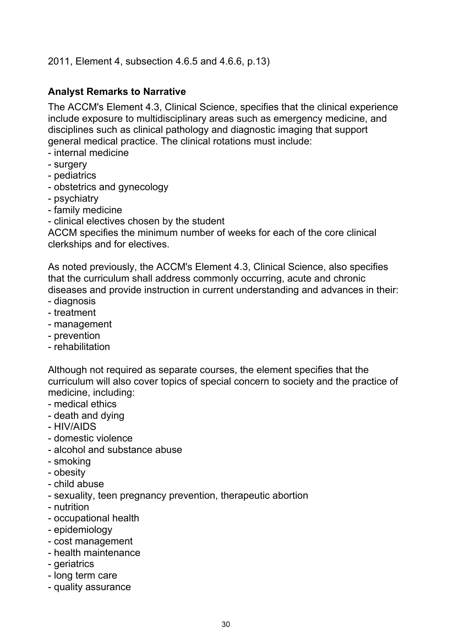#### 2011, Element 4, subsection 4.6.5 and 4.6.6, p.13)

#### **Analyst Remarks to Narrative**

The ACCM's Element 4.3, Clinical Science, specifies that the clinical experience include exposure to multidisciplinary areas such as emergency medicine, and disciplines such as clinical pathology and diagnostic imaging that support general medical practice. The clinical rotations must include:

- internal medicine
- surgery
- pediatrics
- obstetrics and gynecology
- psychiatry
- family medicine
- clinical electives chosen by the student

ACCM specifies the minimum number of weeks for each of the core clinical clerkships and for electives.

As noted previously, the ACCM's Element 4.3, Clinical Science, also specifies that the curriculum shall address commonly occurring, acute and chronic diseases and provide instruction in current understanding and advances in their:

- diagnosis
- treatment
- management
- prevention
- rehabilitation

Although not required as separate courses, the element specifies that the curriculum will also cover topics of special concern to society and the practice of medicine, including:

- medical ethics
- death and dying
- HIV/AIDS
- domestic violence
- alcohol and substance abuse
- smoking
- obesity
- child abuse
- sexuality, teen pregnancy prevention, therapeutic abortion
- nutrition
- occupational health
- epidemiology
- cost management
- health maintenance
- geriatrics
- long term care
- quality assurance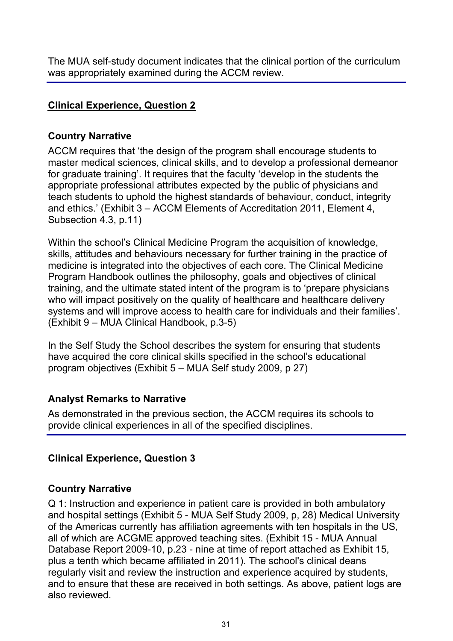The MUA self-study document indicates that the clinical portion of the curriculum was appropriately examined during the ACCM review.

# **Clinical Experience, Question 2**

### **Country Narrative**

ACCM requires that 'the design of the program shall encourage students to master medical sciences, clinical skills, and to develop a professional demeanor for graduate training'. It requires that the faculty 'develop in the students the appropriate professional attributes expected by the public of physicians and teach students to uphold the highest standards of behaviour, conduct, integrity and ethics.' (Exhibit 3 – ACCM Elements of Accreditation 2011, Element 4, Subsection 4.3, p.11)

Within the school's Clinical Medicine Program the acquisition of knowledge, skills, attitudes and behaviours necessary for further training in the practice of medicine is integrated into the objectives of each core. The Clinical Medicine Program Handbook outlines the philosophy, goals and objectives of clinical training, and the ultimate stated intent of the program is to 'prepare physicians who will impact positively on the quality of healthcare and healthcare delivery systems and will improve access to health care for individuals and their families'. (Exhibit 9 – MUA Clinical Handbook, p.3-5)

In the Self Study the School describes the system for ensuring that students have acquired the core clinical skills specified in the school's educational program objectives (Exhibit 5 – MUA Self study 2009, p 27)

# **Analyst Remarks to Narrative**

As demonstrated in the previous section, the ACCM requires its schools to provide clinical experiences in all of the specified disciplines.

# **Clinical Experience, Question 3**

# **Country Narrative**

Q 1: Instruction and experience in patient care is provided in both ambulatory and hospital settings (Exhibit 5 - MUA Self Study 2009, p, 28) Medical University of the Americas currently has affiliation agreements with ten hospitals in the US, all of which are ACGME approved teaching sites. (Exhibit 15 - MUA Annual Database Report 2009-10, p.23 - nine at time of report attached as Exhibit 15, plus a tenth which became affiliated in 2011). The school's clinical deans regularly visit and review the instruction and experience acquired by students, and to ensure that these are received in both settings. As above, patient logs are also reviewed.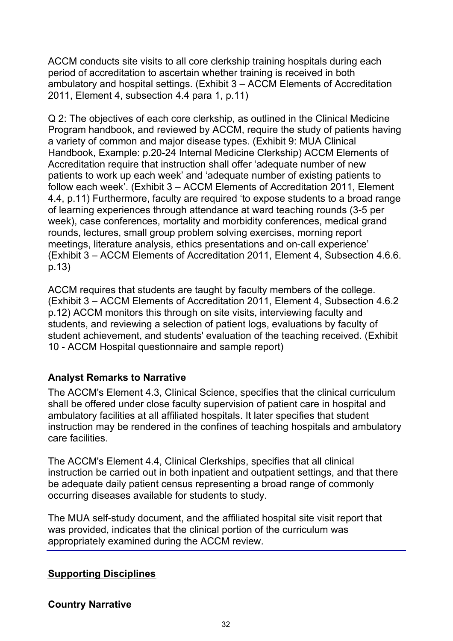ACCM conducts site visits to all core clerkship training hospitals during each period of accreditation to ascertain whether training is received in both ambulatory and hospital settings. (Exhibit 3 – ACCM Elements of Accreditation 2011, Element 4, subsection 4.4 para 1, p.11)

Q 2: The objectives of each core clerkship, as outlined in the Clinical Medicine Program handbook, and reviewed by ACCM, require the study of patients having a variety of common and major disease types. (Exhibit 9: MUA Clinical Handbook, Example: p.20-24 Internal Medicine Clerkship) ACCM Elements of Accreditation require that instruction shall offer 'adequate number of new patients to work up each week' and 'adequate number of existing patients to follow each week'. (Exhibit 3 – ACCM Elements of Accreditation 2011, Element 4.4, p.11) Furthermore, faculty are required 'to expose students to a broad range of learning experiences through attendance at ward teaching rounds (3-5 per week), case conferences, mortality and morbidity conferences, medical grand rounds, lectures, small group problem solving exercises, morning report meetings, literature analysis, ethics presentations and on-call experience' (Exhibit 3 – ACCM Elements of Accreditation 2011, Element 4, Subsection 4.6.6. p.13)

ACCM requires that students are taught by faculty members of the college. (Exhibit 3 – ACCM Elements of Accreditation 2011, Element 4, Subsection 4.6.2 p.12) ACCM monitors this through on site visits, interviewing faculty and students, and reviewing a selection of patient logs, evaluations by faculty of student achievement, and students' evaluation of the teaching received. (Exhibit 10 - ACCM Hospital questionnaire and sample report)

# **Analyst Remarks to Narrative**

The ACCM's Element 4.3, Clinical Science, specifies that the clinical curriculum shall be offered under close faculty supervision of patient care in hospital and ambulatory facilities at all affiliated hospitals. It later specifies that student instruction may be rendered in the confines of teaching hospitals and ambulatory care facilities.

The ACCM's Element 4.4, Clinical Clerkships, specifies that all clinical instruction be carried out in both inpatient and outpatient settings, and that there be adequate daily patient census representing a broad range of commonly occurring diseases available for students to study.

The MUA self-study document, and the affiliated hospital site visit report that was provided, indicates that the clinical portion of the curriculum was appropriately examined during the ACCM review.

# **Supporting Disciplines**

**Country Narrative**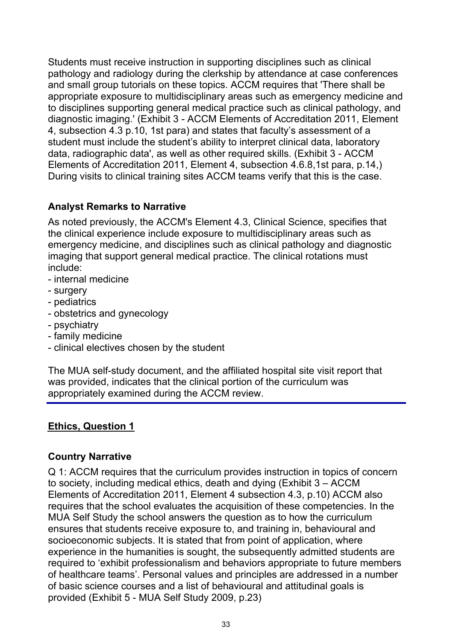Students must receive instruction in supporting disciplines such as clinical pathology and radiology during the clerkship by attendance at case conferences and small group tutorials on these topics. ACCM requires that 'There shall be appropriate exposure to multidisciplinary areas such as emergency medicine and to disciplines supporting general medical practice such as clinical pathology, and diagnostic imaging.' (Exhibit 3 - ACCM Elements of Accreditation 2011, Element 4, subsection 4.3 p.10, 1st para) and states that faculty's assessment of a student must include the student's ability to interpret clinical data, laboratory data, radiographic data', as well as other required skills. (Exhibit 3 - ACCM Elements of Accreditation 2011, Element 4, subsection 4.6.8,1st para, p.14,) During visits to clinical training sites ACCM teams verify that this is the case.

### **Analyst Remarks to Narrative**

As noted previously, the ACCM's Element 4.3, Clinical Science, specifies that the clinical experience include exposure to multidisciplinary areas such as emergency medicine, and disciplines such as clinical pathology and diagnostic imaging that support general medical practice. The clinical rotations must include:

- internal medicine
- surgery
- pediatrics
- obstetrics and gynecology
- psychiatry
- family medicine
- clinical electives chosen by the student

The MUA self-study document, and the affiliated hospital site visit report that was provided, indicates that the clinical portion of the curriculum was appropriately examined during the ACCM review.

### **Ethics, Question 1**

### **Country Narrative**

Q 1: ACCM requires that the curriculum provides instruction in topics of concern to society, including medical ethics, death and dying (Exhibit 3 – ACCM Elements of Accreditation 2011, Element 4 subsection 4.3, p.10) ACCM also requires that the school evaluates the acquisition of these competencies. In the MUA Self Study the school answers the question as to how the curriculum ensures that students receive exposure to, and training in, behavioural and socioeconomic subjects. It is stated that from point of application, where experience in the humanities is sought, the subsequently admitted students are required to 'exhibit professionalism and behaviors appropriate to future members of healthcare teams'. Personal values and principles are addressed in a number of basic science courses and a list of behavioural and attitudinal goals is provided (Exhibit 5 - MUA Self Study 2009, p.23)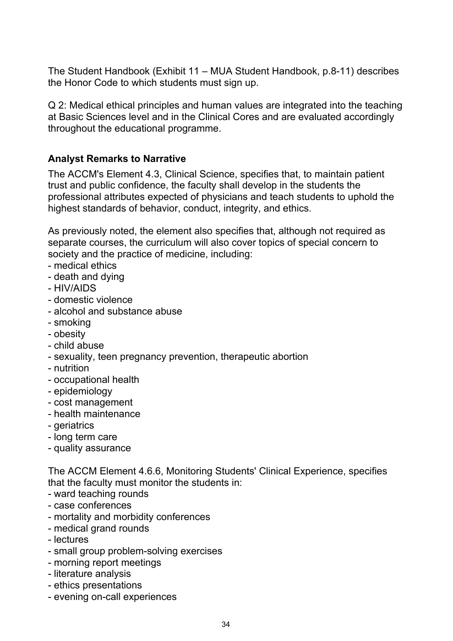The Student Handbook (Exhibit 11 – MUA Student Handbook, p.8-11) describes the Honor Code to which students must sign up.

Q 2: Medical ethical principles and human values are integrated into the teaching at Basic Sciences level and in the Clinical Cores and are evaluated accordingly throughout the educational programme.

### **Analyst Remarks to Narrative**

The ACCM's Element 4.3, Clinical Science, specifies that, to maintain patient trust and public confidence, the faculty shall develop in the students the professional attributes expected of physicians and teach students to uphold the highest standards of behavior, conduct, integrity, and ethics.

As previously noted, the element also specifies that, although not required as separate courses, the curriculum will also cover topics of special concern to society and the practice of medicine, including:

- medical ethics
- death and dying
- HIV/AIDS
- domestic violence
- alcohol and substance abuse
- smoking
- obesity
- child abuse
- sexuality, teen pregnancy prevention, therapeutic abortion
- nutrition
- occupational health
- epidemiology
- cost management
- health maintenance
- geriatrics
- long term care
- quality assurance

The ACCM Element 4.6.6, Monitoring Students' Clinical Experience, specifies that the faculty must monitor the students in:

- ward teaching rounds
- case conferences
- mortality and morbidity conferences
- medical grand rounds
- lectures
- small group problem-solving exercises
- morning report meetings
- literature analysis
- ethics presentations
- evening on-call experiences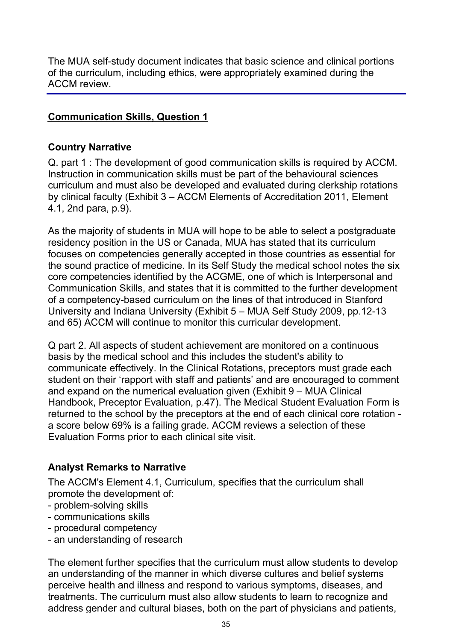The MUA self-study document indicates that basic science and clinical portions of the curriculum, including ethics, were appropriately examined during the ACCM review.

### **Communication Skills, Question 1**

### **Country Narrative**

Q. part 1 : The development of good communication skills is required by ACCM. Instruction in communication skills must be part of the behavioural sciences curriculum and must also be developed and evaluated during clerkship rotations by clinical faculty (Exhibit 3 – ACCM Elements of Accreditation 2011, Element 4.1, 2nd para, p.9).

As the majority of students in MUA will hope to be able to select a postgraduate residency position in the US or Canada, MUA has stated that its curriculum focuses on competencies generally accepted in those countries as essential for the sound practice of medicine. In its Self Study the medical school notes the six core competencies identified by the ACGME, one of which is Interpersonal and Communication Skills, and states that it is committed to the further development of a competency-based curriculum on the lines of that introduced in Stanford University and Indiana University (Exhibit 5 – MUA Self Study 2009, pp.12-13 and 65) ACCM will continue to monitor this curricular development.

Q part 2. All aspects of student achievement are monitored on a continuous basis by the medical school and this includes the student's ability to communicate effectively. In the Clinical Rotations, preceptors must grade each student on their 'rapport with staff and patients' and are encouraged to comment and expand on the numerical evaluation given (Exhibit 9 – MUA Clinical Handbook, Preceptor Evaluation, p.47). The Medical Student Evaluation Form is returned to the school by the preceptors at the end of each clinical core rotation a score below 69% is a failing grade. ACCM reviews a selection of these Evaluation Forms prior to each clinical site visit.

### **Analyst Remarks to Narrative**

The ACCM's Element 4.1, Curriculum, specifies that the curriculum shall promote the development of:

- problem-solving skills
- communications skills
- procedural competency
- an understanding of research

The element further specifies that the curriculum must allow students to develop an understanding of the manner in which diverse cultures and belief systems perceive health and illness and respond to various symptoms, diseases, and treatments. The curriculum must also allow students to learn to recognize and address gender and cultural biases, both on the part of physicians and patients,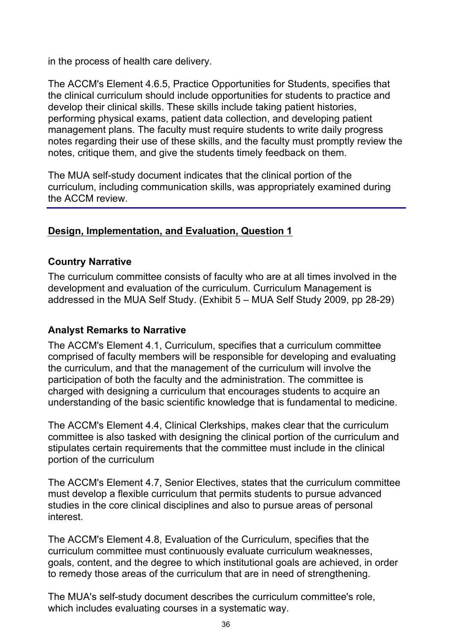in the process of health care delivery.

The ACCM's Element 4.6.5, Practice Opportunities for Students, specifies that the clinical curriculum should include opportunities for students to practice and develop their clinical skills. These skills include taking patient histories, performing physical exams, patient data collection, and developing patient management plans. The faculty must require students to write daily progress notes regarding their use of these skills, and the faculty must promptly review the notes, critique them, and give the students timely feedback on them.

The MUA self-study document indicates that the clinical portion of the curriculum, including communication skills, was appropriately examined during the ACCM review.

### **Design, Implementation, and Evaluation, Question 1**

### **Country Narrative**

The curriculum committee consists of faculty who are at all times involved in the development and evaluation of the curriculum. Curriculum Management is addressed in the MUA Self Study. (Exhibit 5 – MUA Self Study 2009, pp 28-29)

# **Analyst Remarks to Narrative**

The ACCM's Element 4.1, Curriculum, specifies that a curriculum committee comprised of faculty members will be responsible for developing and evaluating the curriculum, and that the management of the curriculum will involve the participation of both the faculty and the administration. The committee is charged with designing a curriculum that encourages students to acquire an understanding of the basic scientific knowledge that is fundamental to medicine.

The ACCM's Element 4.4, Clinical Clerkships, makes clear that the curriculum committee is also tasked with designing the clinical portion of the curriculum and stipulates certain requirements that the committee must include in the clinical portion of the curriculum

The ACCM's Element 4.7, Senior Electives, states that the curriculum committee must develop a flexible curriculum that permits students to pursue advanced studies in the core clinical disciplines and also to pursue areas of personal interest.

The ACCM's Element 4.8, Evaluation of the Curriculum, specifies that the curriculum committee must continuously evaluate curriculum weaknesses, goals, content, and the degree to which institutional goals are achieved, in order to remedy those areas of the curriculum that are in need of strengthening.

The MUA's self-study document describes the curriculum committee's role, which includes evaluating courses in a systematic way.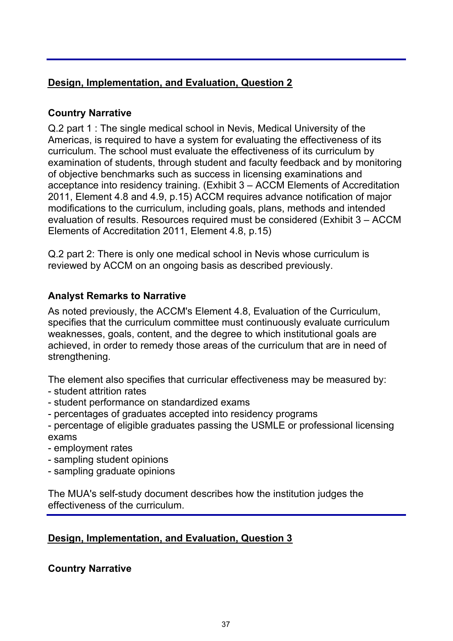# **Design, Implementation, and Evaluation, Question 2**

### **Country Narrative**

Q.2 part 1 : The single medical school in Nevis, Medical University of the Americas, is required to have a system for evaluating the effectiveness of its curriculum. The school must evaluate the effectiveness of its curriculum by examination of students, through student and faculty feedback and by monitoring of objective benchmarks such as success in licensing examinations and acceptance into residency training. (Exhibit 3 – ACCM Elements of Accreditation 2011, Element 4.8 and 4.9, p.15) ACCM requires advance notification of major modifications to the curriculum, including goals, plans, methods and intended evaluation of results. Resources required must be considered (Exhibit 3 – ACCM Elements of Accreditation 2011, Element 4.8, p.15)

Q.2 part 2: There is only one medical school in Nevis whose curriculum is reviewed by ACCM on an ongoing basis as described previously.

### **Analyst Remarks to Narrative**

As noted previously, the ACCM's Element 4.8, Evaluation of the Curriculum, specifies that the curriculum committee must continuously evaluate curriculum weaknesses, goals, content, and the degree to which institutional goals are achieved, in order to remedy those areas of the curriculum that are in need of strengthening.

The element also specifies that curricular effectiveness may be measured by:

- student attrition rates
- student performance on standardized exams
- percentages of graduates accepted into residency programs
- percentage of eligible graduates passing the USMLE or professional licensing exams
- employment rates
- sampling student opinions
- sampling graduate opinions

The MUA's self-study document describes how the institution judges the effectiveness of the curriculum.

### **Design, Implementation, and Evaluation, Question 3**

#### **Country Narrative**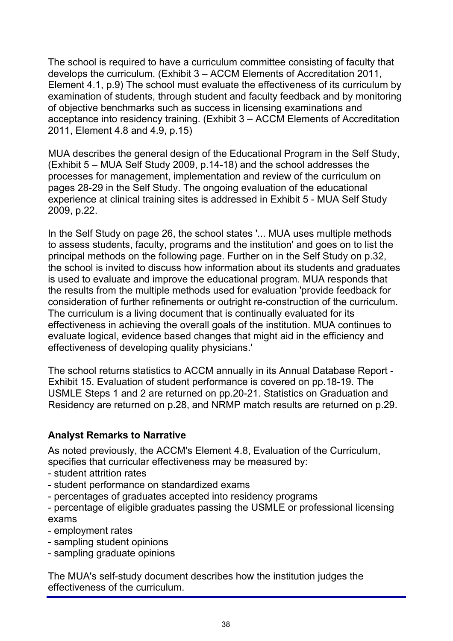The school is required to have a curriculum committee consisting of faculty that develops the curriculum. (Exhibit 3 – ACCM Elements of Accreditation 2011, Element 4.1, p.9) The school must evaluate the effectiveness of its curriculum by examination of students, through student and faculty feedback and by monitoring of objective benchmarks such as success in licensing examinations and acceptance into residency training. (Exhibit 3 – ACCM Elements of Accreditation 2011, Element 4.8 and 4.9, p.15)

MUA describes the general design of the Educational Program in the Self Study, (Exhibit 5 – MUA Self Study 2009, p.14-18) and the school addresses the processes for management, implementation and review of the curriculum on pages 28-29 in the Self Study. The ongoing evaluation of the educational experience at clinical training sites is addressed in Exhibit 5 - MUA Self Study 2009, p.22.

In the Self Study on page 26, the school states '... MUA uses multiple methods to assess students, faculty, programs and the institution' and goes on to list the principal methods on the following page. Further on in the Self Study on p.32, the school is invited to discuss how information about its students and graduates is used to evaluate and improve the educational program. MUA responds that the results from the multiple methods used for evaluation 'provide feedback for consideration of further refinements or outright re-construction of the curriculum. The curriculum is a living document that is continually evaluated for its effectiveness in achieving the overall goals of the institution. MUA continues to evaluate logical, evidence based changes that might aid in the efficiency and effectiveness of developing quality physicians.'

The school returns statistics to ACCM annually in its Annual Database Report - Exhibit 15. Evaluation of student performance is covered on pp.18-19. The USMLE Steps 1 and 2 are returned on pp.20-21. Statistics on Graduation and Residency are returned on p.28, and NRMP match results are returned on p.29.

### **Analyst Remarks to Narrative**

As noted previously, the ACCM's Element 4.8, Evaluation of the Curriculum, specifies that curricular effectiveness may be measured by:

- student attrition rates
- student performance on standardized exams
- percentages of graduates accepted into residency programs
- percentage of eligible graduates passing the USMLE or professional licensing exams
- employment rates
- sampling student opinions
- sampling graduate opinions

The MUA's self-study document describes how the institution judges the effectiveness of the curriculum.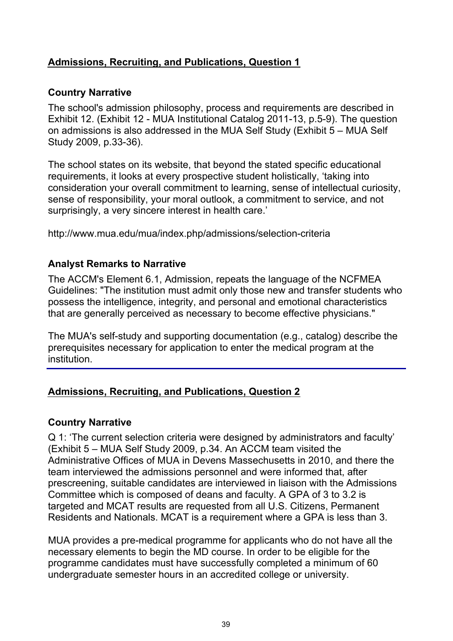### **Admissions, Recruiting, and Publications, Question 1**

#### **Country Narrative**

The school's admission philosophy, process and requirements are described in Exhibit 12. (Exhibit 12 - MUA Institutional Catalog 2011-13, p.5-9). The question on admissions is also addressed in the MUA Self Study (Exhibit 5 – MUA Self Study 2009, p.33-36).

The school states on its website, that beyond the stated specific educational requirements, it looks at every prospective student holistically, 'taking into consideration your overall commitment to learning, sense of intellectual curiosity, sense of responsibility, your moral outlook, a commitment to service, and not surprisingly, a very sincere interest in health care.'

http://www.mua.edu/mua/index.php/admissions/selection-criteria

### **Analyst Remarks to Narrative**

The ACCM's Element 6.1, Admission, repeats the language of the NCFMEA Guidelines: "The institution must admit only those new and transfer students who possess the intelligence, integrity, and personal and emotional characteristics that are generally perceived as necessary to become effective physicians."

The MUA's self-study and supporting documentation (e.g., catalog) describe the prerequisites necessary for application to enter the medical program at the institution.

### **Admissions, Recruiting, and Publications, Question 2**

### **Country Narrative**

Q 1: 'The current selection criteria were designed by administrators and faculty' (Exhibit 5 – MUA Self Study 2009, p.34. An ACCM team visited the Administrative Offices of MUA in Devens Massechusetts in 2010, and there the team interviewed the admissions personnel and were informed that, after prescreening, suitable candidates are interviewed in liaison with the Admissions Committee which is composed of deans and faculty. A GPA of 3 to 3.2 is targeted and MCAT results are requested from all U.S. Citizens, Permanent Residents and Nationals. MCAT is a requirement where a GPA is less than 3.

MUA provides a pre-medical programme for applicants who do not have all the necessary elements to begin the MD course. In order to be eligible for the programme candidates must have successfully completed a minimum of 60 undergraduate semester hours in an accredited college or university.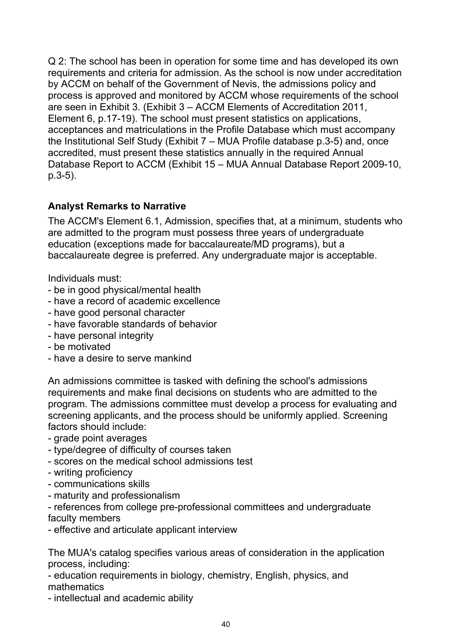Q 2: The school has been in operation for some time and has developed its own requirements and criteria for admission. As the school is now under accreditation by ACCM on behalf of the Government of Nevis, the admissions policy and process is approved and monitored by ACCM whose requirements of the school are seen in Exhibit 3. (Exhibit 3 – ACCM Elements of Accreditation 2011, Element 6, p.17-19). The school must present statistics on applications, acceptances and matriculations in the Profile Database which must accompany the Institutional Self Study (Exhibit 7 – MUA Profile database p.3-5) and, once accredited, must present these statistics annually in the required Annual Database Report to ACCM (Exhibit 15 – MUA Annual Database Report 2009-10, p.3-5).

# **Analyst Remarks to Narrative**

The ACCM's Element 6.1, Admission, specifies that, at a minimum, students who are admitted to the program must possess three years of undergraduate education (exceptions made for baccalaureate/MD programs), but a baccalaureate degree is preferred. Any undergraduate major is acceptable.

Individuals must:

- be in good physical/mental health
- have a record of academic excellence
- have good personal character
- have favorable standards of behavior
- have personal integrity
- be motivated
- have a desire to serve mankind

An admissions committee is tasked with defining the school's admissions requirements and make final decisions on students who are admitted to the program. The admissions committee must develop a process for evaluating and screening applicants, and the process should be uniformly applied. Screening factors should include:

- grade point averages
- type/degree of difficulty of courses taken
- scores on the medical school admissions test
- writing proficiency
- communications skills
- maturity and professionalism
- references from college pre-professional committees and undergraduate faculty members
- effective and articulate applicant interview

The MUA's catalog specifies various areas of consideration in the application process, including:

- education requirements in biology, chemistry, English, physics, and mathematics

- intellectual and academic ability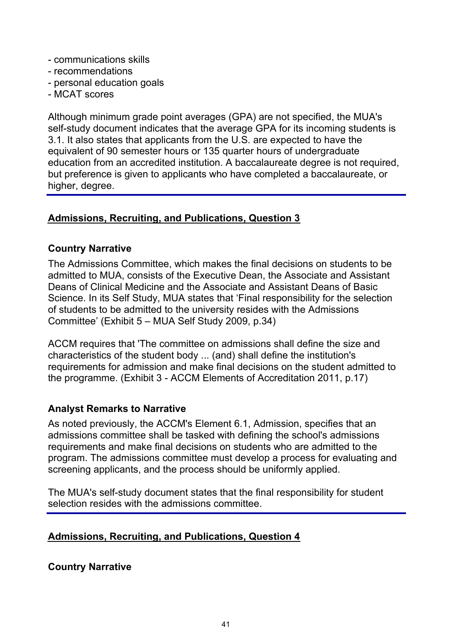- communications skills
- recommendations
- personal education goals
- MCAT scores

Although minimum grade point averages (GPA) are not specified, the MUA's self-study document indicates that the average GPA for its incoming students is 3.1. It also states that applicants from the U.S. are expected to have the equivalent of 90 semester hours or 135 quarter hours of undergraduate education from an accredited institution. A baccalaureate degree is not required, but preference is given to applicants who have completed a baccalaureate, or higher, degree.

### **Admissions, Recruiting, and Publications, Question 3**

### **Country Narrative**

The Admissions Committee, which makes the final decisions on students to be admitted to MUA, consists of the Executive Dean, the Associate and Assistant Deans of Clinical Medicine and the Associate and Assistant Deans of Basic Science. In its Self Study, MUA states that 'Final responsibility for the selection of students to be admitted to the university resides with the Admissions Committee' (Exhibit 5 – MUA Self Study 2009, p.34)

ACCM requires that 'The committee on admissions shall define the size and characteristics of the student body ... (and) shall define the institution's requirements for admission and make final decisions on the student admitted to the programme. (Exhibit 3 - ACCM Elements of Accreditation 2011, p.17)

### **Analyst Remarks to Narrative**

As noted previously, the ACCM's Element 6.1, Admission, specifies that an admissions committee shall be tasked with defining the school's admissions requirements and make final decisions on students who are admitted to the program. The admissions committee must develop a process for evaluating and screening applicants, and the process should be uniformly applied.

The MUA's self-study document states that the final responsibility for student selection resides with the admissions committee.

### **Admissions, Recruiting, and Publications, Question 4**

### **Country Narrative**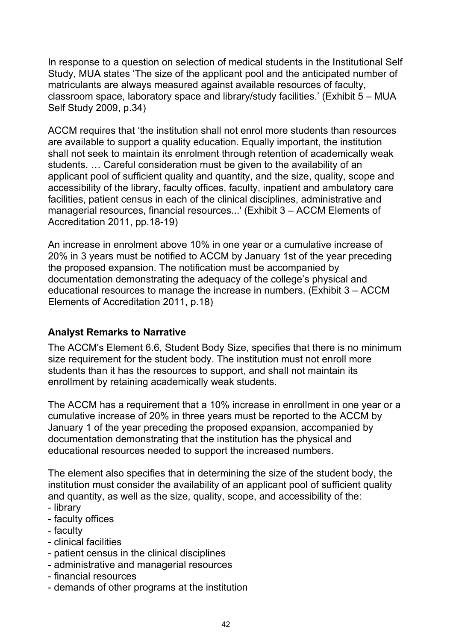In response to a question on selection of medical students in the Institutional Self Study, MUA states 'The size of the applicant pool and the anticipated number of matriculants are always measured against available resources of faculty, classroom space, laboratory space and library/study facilities.' (Exhibit 5 – MUA Self Study 2009, p.34)

ACCM requires that 'the institution shall not enrol more students than resources are available to support a quality education. Equally important, the institution shall not seek to maintain its enrolment through retention of academically weak students. … Careful consideration must be given to the availability of an applicant pool of sufficient quality and quantity, and the size, quality, scope and accessibility of the library, faculty offices, faculty, inpatient and ambulatory care facilities, patient census in each of the clinical disciplines, administrative and managerial resources, financial resources...' (Exhibit 3 – ACCM Elements of Accreditation 2011, pp.18-19)

An increase in enrolment above 10% in one year or a cumulative increase of 20% in 3 years must be notified to ACCM by January 1st of the year preceding the proposed expansion. The notification must be accompanied by documentation demonstrating the adequacy of the college's physical and educational resources to manage the increase in numbers. (Exhibit 3 – ACCM Elements of Accreditation 2011, p.18)

### **Analyst Remarks to Narrative**

The ACCM's Element 6.6, Student Body Size, specifies that there is no minimum size requirement for the student body. The institution must not enroll more students than it has the resources to support, and shall not maintain its enrollment by retaining academically weak students.

The ACCM has a requirement that a 10% increase in enrollment in one year or a cumulative increase of 20% in three years must be reported to the ACCM by January 1 of the year preceding the proposed expansion, accompanied by documentation demonstrating that the institution has the physical and educational resources needed to support the increased numbers.

The element also specifies that in determining the size of the student body, the institution must consider the availability of an applicant pool of sufficient quality and quantity, as well as the size, quality, scope, and accessibility of the: - library

- faculty offices
- faculty
- clinical facilities
- patient census in the clinical disciplines
- administrative and managerial resources
- financial resources
- demands of other programs at the institution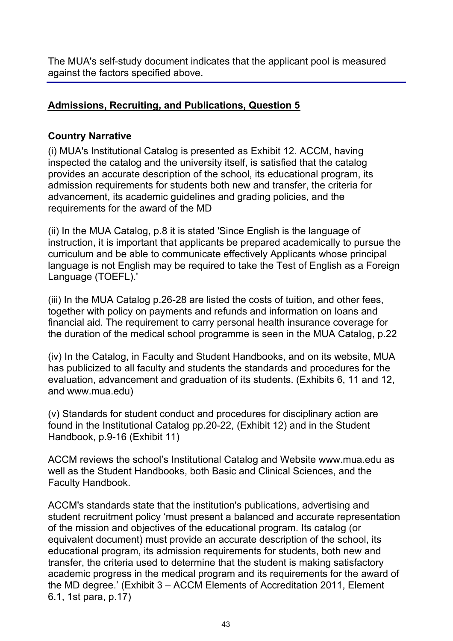The MUA's self-study document indicates that the applicant pool is measured against the factors specified above.

# **Admissions, Recruiting, and Publications, Question 5**

### **Country Narrative**

(i) MUA's Institutional Catalog is presented as Exhibit 12. ACCM, having inspected the catalog and the university itself, is satisfied that the catalog provides an accurate description of the school, its educational program, its admission requirements for students both new and transfer, the criteria for advancement, its academic guidelines and grading policies, and the requirements for the award of the MD

(ii) In the MUA Catalog, p.8 it is stated 'Since English is the language of instruction, it is important that applicants be prepared academically to pursue the curriculum and be able to communicate effectively Applicants whose principal language is not English may be required to take the Test of English as a Foreign Language (TOEFL).'

(iii) In the MUA Catalog p.26-28 are listed the costs of tuition, and other fees, together with policy on payments and refunds and information on loans and financial aid. The requirement to carry personal health insurance coverage for the duration of the medical school programme is seen in the MUA Catalog, p.22

(iv) In the Catalog, in Faculty and Student Handbooks, and on its website, MUA has publicized to all faculty and students the standards and procedures for the evaluation, advancement and graduation of its students. (Exhibits 6, 11 and 12, and www.mua.edu)

(v) Standards for student conduct and procedures for disciplinary action are found in the Institutional Catalog pp.20-22, (Exhibit 12) and in the Student Handbook, p.9-16 (Exhibit 11)

ACCM reviews the school's Institutional Catalog and Website www.mua.edu as well as the Student Handbooks, both Basic and Clinical Sciences, and the Faculty Handbook.

ACCM's standards state that the institution's publications, advertising and student recruitment policy 'must present a balanced and accurate representation of the mission and objectives of the educational program. Its catalog (or equivalent document) must provide an accurate description of the school, its educational program, its admission requirements for students, both new and transfer, the criteria used to determine that the student is making satisfactory academic progress in the medical program and its requirements for the award of the MD degree.' (Exhibit 3 – ACCM Elements of Accreditation 2011, Element 6.1, 1st para, p.17)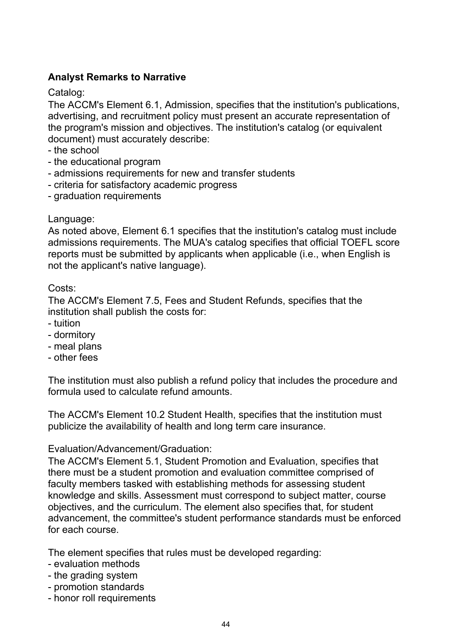# **Analyst Remarks to Narrative**

Catalog:

The ACCM's Element 6.1, Admission, specifies that the institution's publications, advertising, and recruitment policy must present an accurate representation of the program's mission and objectives. The institution's catalog (or equivalent document) must accurately describe:

- the school
- the educational program
- admissions requirements for new and transfer students
- criteria for satisfactory academic progress
- graduation requirements

#### Language:

As noted above, Element 6.1 specifies that the institution's catalog must include admissions requirements. The MUA's catalog specifies that official TOEFL score reports must be submitted by applicants when applicable (i.e., when English is not the applicant's native language).

Costs:

The ACCM's Element 7.5, Fees and Student Refunds, specifies that the institution shall publish the costs for:

- tuition
- dormitory
- meal plans
- other fees

The institution must also publish a refund policy that includes the procedure and formula used to calculate refund amounts.

The ACCM's Element 10.2 Student Health, specifies that the institution must publicize the availability of health and long term care insurance.

#### Evaluation/Advancement/Graduation:

The ACCM's Element 5.1, Student Promotion and Evaluation, specifies that there must be a student promotion and evaluation committee comprised of faculty members tasked with establishing methods for assessing student knowledge and skills. Assessment must correspond to subject matter, course objectives, and the curriculum. The element also specifies that, for student advancement, the committee's student performance standards must be enforced for each course.

The element specifies that rules must be developed regarding:

- evaluation methods
- the grading system
- promotion standards
- honor roll requirements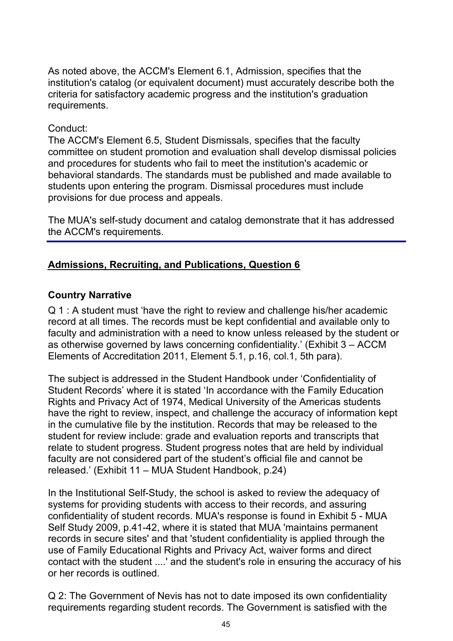As noted above, the ACCM's Element 6.1, Admission, specifies that the institution's catalog (or equivalent document) must accurately describe both the criteria for satisfactory academic progress and the institution's graduation requirements.

### Conduct:

The ACCM's Element 6.5, Student Dismissals, specifies that the faculty committee on student promotion and evaluation shall develop dismissal policies and procedures for students who fail to meet the institution's academic or behavioral standards. The standards must be published and made available to students upon entering the program. Dismissal procedures must include provisions for due process and appeals.

The MUA's self-study document and catalog demonstrate that it has addressed the ACCM's requirements.

### **Admissions, Recruiting, and Publications, Question 6**

### **Country Narrative**

Q 1 : A student must 'have the right to review and challenge his/her academic record at all times. The records must be kept confidential and available only to faculty and administration with a need to know unless released by the student or as otherwise governed by laws concerning confidentiality.' (Exhibit 3 – ACCM Elements of Accreditation 2011, Element 5.1, p.16, col.1, 5th para).

The subject is addressed in the Student Handbook under 'Confidentiality of Student Records' where it is stated 'In accordance with the Family Education Rights and Privacy Act of 1974, Medical University of the Americas students have the right to review, inspect, and challenge the accuracy of information kept in the cumulative file by the institution. Records that may be released to the student for review include: grade and evaluation reports and transcripts that relate to student progress. Student progress notes that are held by individual faculty are not considered part of the student's official file and cannot be released.' (Exhibit 11 – MUA Student Handbook, p.24)

In the Institutional Self-Study, the school is asked to review the adequacy of systems for providing students with access to their records, and assuring confidentiality of student records. MUA's response is found in Exhibit 5 - MUA Self Study 2009, p.41-42, where it is stated that MUA 'maintains permanent records in secure sites' and that 'student confidentiality is applied through the use of Family Educational Rights and Privacy Act, waiver forms and direct contact with the student ....' and the student's role in ensuring the accuracy of his or her records is outlined.

Q 2: The Government of Nevis has not to date imposed its own confidentiality requirements regarding student records. The Government is satisfied with the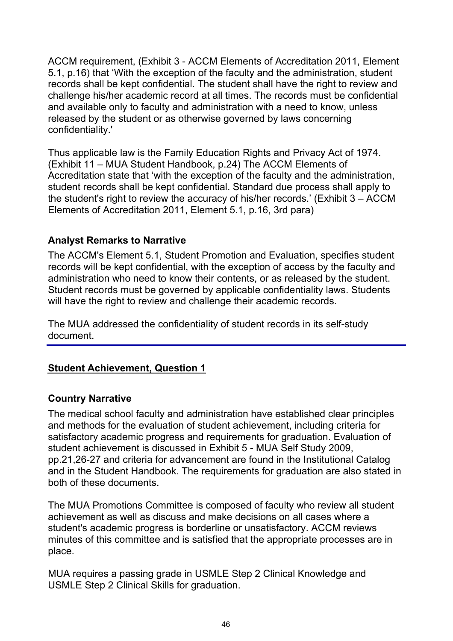ACCM requirement, (Exhibit 3 - ACCM Elements of Accreditation 2011, Element 5.1, p.16) that 'With the exception of the faculty and the administration, student records shall be kept confidential. The student shall have the right to review and challenge his/her academic record at all times. The records must be confidential and available only to faculty and administration with a need to know, unless released by the student or as otherwise governed by laws concerning confidentiality.'

Thus applicable law is the Family Education Rights and Privacy Act of 1974. (Exhibit 11 – MUA Student Handbook, p.24) The ACCM Elements of Accreditation state that 'with the exception of the faculty and the administration, student records shall be kept confidential. Standard due process shall apply to the student's right to review the accuracy of his/her records.' (Exhibit 3 – ACCM Elements of Accreditation 2011, Element 5.1, p.16, 3rd para)

### **Analyst Remarks to Narrative**

The ACCM's Element 5.1, Student Promotion and Evaluation, specifies student records will be kept confidential, with the exception of access by the faculty and administration who need to know their contents, or as released by the student. Student records must be governed by applicable confidentiality laws. Students will have the right to review and challenge their academic records.

The MUA addressed the confidentiality of student records in its self-study document.

# **Student Achievement, Question 1**

### **Country Narrative**

The medical school faculty and administration have established clear principles and methods for the evaluation of student achievement, including criteria for satisfactory academic progress and requirements for graduation. Evaluation of student achievement is discussed in Exhibit 5 - MUA Self Study 2009, pp.21,26-27 and criteria for advancement are found in the Institutional Catalog and in the Student Handbook. The requirements for graduation are also stated in both of these documents.

The MUA Promotions Committee is composed of faculty who review all student achievement as well as discuss and make decisions on all cases where a student's academic progress is borderline or unsatisfactory. ACCM reviews minutes of this committee and is satisfied that the appropriate processes are in place.

MUA requires a passing grade in USMLE Step 2 Clinical Knowledge and USMLE Step 2 Clinical Skills for graduation.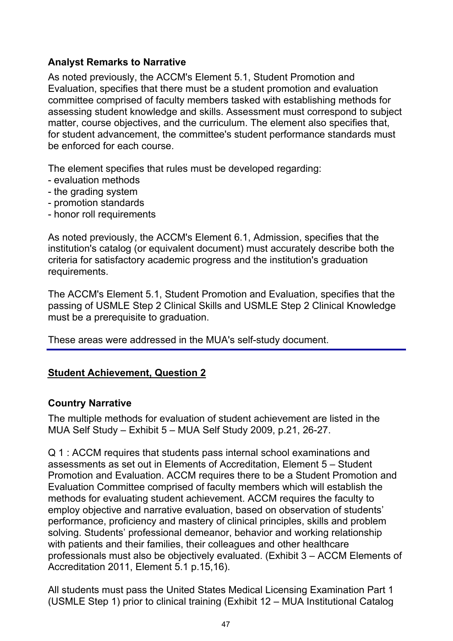### **Analyst Remarks to Narrative**

As noted previously, the ACCM's Element 5.1, Student Promotion and Evaluation, specifies that there must be a student promotion and evaluation committee comprised of faculty members tasked with establishing methods for assessing student knowledge and skills. Assessment must correspond to subject matter, course objectives, and the curriculum. The element also specifies that, for student advancement, the committee's student performance standards must be enforced for each course.

The element specifies that rules must be developed regarding:

- evaluation methods
- the grading system
- promotion standards
- honor roll requirements

As noted previously, the ACCM's Element 6.1, Admission, specifies that the institution's catalog (or equivalent document) must accurately describe both the criteria for satisfactory academic progress and the institution's graduation requirements.

The ACCM's Element 5.1, Student Promotion and Evaluation, specifies that the passing of USMLE Step 2 Clinical Skills and USMLE Step 2 Clinical Knowledge must be a prerequisite to graduation.

These areas were addressed in the MUA's self-study document.

# **Student Achievement, Question 2**

### **Country Narrative**

The multiple methods for evaluation of student achievement are listed in the MUA Self Study – Exhibit 5 – MUA Self Study 2009, p.21, 26-27.

Q 1 : ACCM requires that students pass internal school examinations and assessments as set out in Elements of Accreditation, Element 5 – Student Promotion and Evaluation. ACCM requires there to be a Student Promotion and Evaluation Committee comprised of faculty members which will establish the methods for evaluating student achievement. ACCM requires the faculty to employ objective and narrative evaluation, based on observation of students' performance, proficiency and mastery of clinical principles, skills and problem solving. Students' professional demeanor, behavior and working relationship with patients and their families, their colleagues and other healthcare professionals must also be objectively evaluated. (Exhibit 3 – ACCM Elements of Accreditation 2011, Element 5.1 p.15,16).

All students must pass the United States Medical Licensing Examination Part 1 (USMLE Step 1) prior to clinical training (Exhibit 12 – MUA Institutional Catalog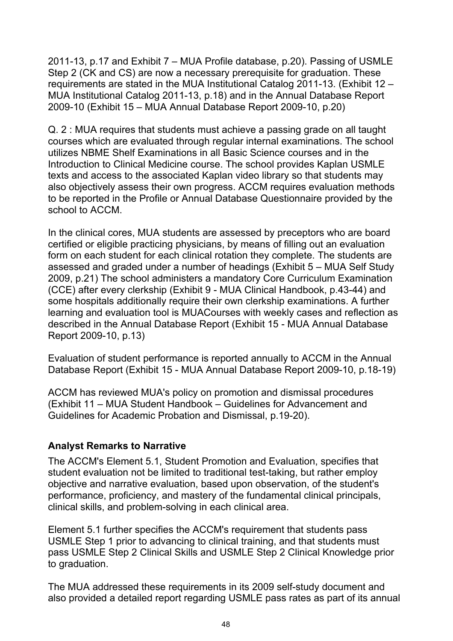2011-13, p.17 and Exhibit 7 – MUA Profile database, p.20). Passing of USMLE Step 2 (CK and CS) are now a necessary prerequisite for graduation. These requirements are stated in the MUA Institutional Catalog 2011-13. (Exhibit 12 – MUA Institutional Catalog 2011-13, p.18) and in the Annual Database Report 2009-10 (Exhibit 15 – MUA Annual Database Report 2009-10, p.20)

Q. 2 : MUA requires that students must achieve a passing grade on all taught courses which are evaluated through regular internal examinations. The school utilizes NBME Shelf Examinations in all Basic Science courses and in the Introduction to Clinical Medicine course. The school provides Kaplan USMLE texts and access to the associated Kaplan video library so that students may also objectively assess their own progress. ACCM requires evaluation methods to be reported in the Profile or Annual Database Questionnaire provided by the school to ACCM.

In the clinical cores, MUA students are assessed by preceptors who are board certified or eligible practicing physicians, by means of filling out an evaluation form on each student for each clinical rotation they complete. The students are assessed and graded under a number of headings (Exhibit 5 – MUA Self Study 2009, p.21) The school administers a mandatory Core Curriculum Examination (CCE) after every clerkship (Exhibit 9 - MUA Clinical Handbook, p.43-44) and some hospitals additionally require their own clerkship examinations. A further learning and evaluation tool is MUACourses with weekly cases and reflection as described in the Annual Database Report (Exhibit 15 - MUA Annual Database Report 2009-10, p.13)

Evaluation of student performance is reported annually to ACCM in the Annual Database Report (Exhibit 15 - MUA Annual Database Report 2009-10, p.18-19)

ACCM has reviewed MUA's policy on promotion and dismissal procedures (Exhibit 11 – MUA Student Handbook – Guidelines for Advancement and Guidelines for Academic Probation and Dismissal, p.19-20).

### **Analyst Remarks to Narrative**

The ACCM's Element 5.1, Student Promotion and Evaluation, specifies that student evaluation not be limited to traditional test-taking, but rather employ objective and narrative evaluation, based upon observation, of the student's performance, proficiency, and mastery of the fundamental clinical principals, clinical skills, and problem-solving in each clinical area.

Element 5.1 further specifies the ACCM's requirement that students pass USMLE Step 1 prior to advancing to clinical training, and that students must pass USMLE Step 2 Clinical Skills and USMLE Step 2 Clinical Knowledge prior to graduation.

The MUA addressed these requirements in its 2009 self-study document and also provided a detailed report regarding USMLE pass rates as part of its annual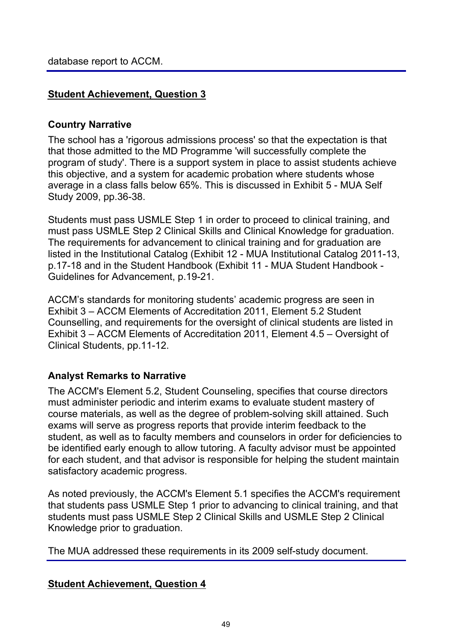### **Student Achievement, Question 3**

#### **Country Narrative**

The school has a 'rigorous admissions process' so that the expectation is that that those admitted to the MD Programme 'will successfully complete the program of study'. There is a support system in place to assist students achieve this objective, and a system for academic probation where students whose average in a class falls below 65%. This is discussed in Exhibit 5 - MUA Self Study 2009, pp.36-38.

Students must pass USMLE Step 1 in order to proceed to clinical training, and must pass USMLE Step 2 Clinical Skills and Clinical Knowledge for graduation. The requirements for advancement to clinical training and for graduation are listed in the Institutional Catalog (Exhibit 12 - MUA Institutional Catalog 2011-13, p.17-18 and in the Student Handbook (Exhibit 11 - MUA Student Handbook - Guidelines for Advancement, p.19-21.

ACCM's standards for monitoring students' academic progress are seen in Exhibit 3 – ACCM Elements of Accreditation 2011, Element 5.2 Student Counselling, and requirements for the oversight of clinical students are listed in Exhibit 3 – ACCM Elements of Accreditation 2011, Element 4.5 – Oversight of Clinical Students, pp.11-12.

### **Analyst Remarks to Narrative**

The ACCM's Element 5.2, Student Counseling, specifies that course directors must administer periodic and interim exams to evaluate student mastery of course materials, as well as the degree of problem-solving skill attained. Such exams will serve as progress reports that provide interim feedback to the student, as well as to faculty members and counselors in order for deficiencies to be identified early enough to allow tutoring. A faculty advisor must be appointed for each student, and that advisor is responsible for helping the student maintain satisfactory academic progress.

As noted previously, the ACCM's Element 5.1 specifies the ACCM's requirement that students pass USMLE Step 1 prior to advancing to clinical training, and that students must pass USMLE Step 2 Clinical Skills and USMLE Step 2 Clinical Knowledge prior to graduation.

The MUA addressed these requirements in its 2009 self-study document.

### **Student Achievement, Question 4**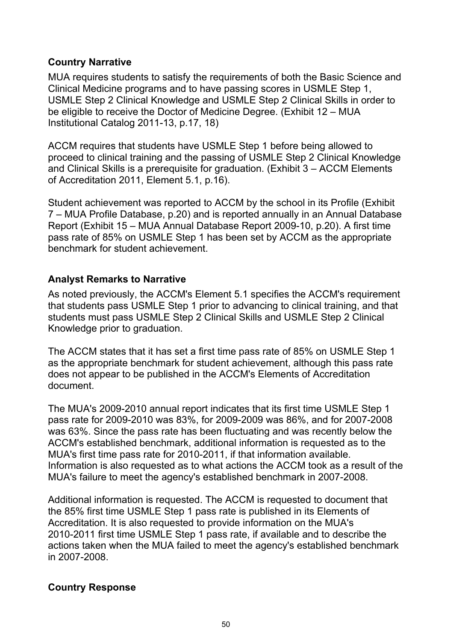### **Country Narrative**

MUA requires students to satisfy the requirements of both the Basic Science and Clinical Medicine programs and to have passing scores in USMLE Step 1, USMLE Step 2 Clinical Knowledge and USMLE Step 2 Clinical Skills in order to be eligible to receive the Doctor of Medicine Degree. (Exhibit 12 – MUA Institutional Catalog 2011-13, p.17, 18)

ACCM requires that students have USMLE Step 1 before being allowed to proceed to clinical training and the passing of USMLE Step 2 Clinical Knowledge and Clinical Skills is a prerequisite for graduation. (Exhibit 3 – ACCM Elements of Accreditation 2011, Element 5.1, p.16).

Student achievement was reported to ACCM by the school in its Profile (Exhibit 7 – MUA Profile Database, p.20) and is reported annually in an Annual Database Report (Exhibit 15 – MUA Annual Database Report 2009-10, p.20). A first time pass rate of 85% on USMLE Step 1 has been set by ACCM as the appropriate benchmark for student achievement.

### **Analyst Remarks to Narrative**

As noted previously, the ACCM's Element 5.1 specifies the ACCM's requirement that students pass USMLE Step 1 prior to advancing to clinical training, and that students must pass USMLE Step 2 Clinical Skills and USMLE Step 2 Clinical Knowledge prior to graduation.

The ACCM states that it has set a first time pass rate of 85% on USMLE Step 1 as the appropriate benchmark for student achievement, although this pass rate does not appear to be published in the ACCM's Elements of Accreditation document.

The MUA's 2009-2010 annual report indicates that its first time USMLE Step 1 pass rate for 2009-2010 was 83%, for 2009-2009 was 86%, and for 2007-2008 was 63%. Since the pass rate has been fluctuating and was recently below the ACCM's established benchmark, additional information is requested as to the MUA's first time pass rate for 2010-2011, if that information available. Information is also requested as to what actions the ACCM took as a result of the MUA's failure to meet the agency's established benchmark in 2007-2008.

Additional information is requested. The ACCM is requested to document that the 85% first time USMLE Step 1 pass rate is published in its Elements of Accreditation. It is also requested to provide information on the MUA's 2010-2011 first time USMLE Step 1 pass rate, if available and to describe the actions taken when the MUA failed to meet the agency's established benchmark in 2007-2008.

### **Country Response**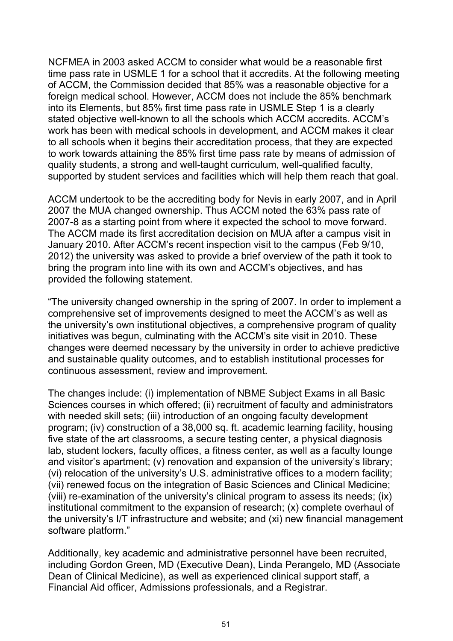NCFMEA in 2003 asked ACCM to consider what would be a reasonable first time pass rate in USMLE 1 for a school that it accredits. At the following meeting of ACCM, the Commission decided that 85% was a reasonable objective for a foreign medical school. However, ACCM does not include the 85% benchmark into its Elements, but 85% first time pass rate in USMLE Step 1 is a clearly stated objective well-known to all the schools which ACCM accredits. ACCM's work has been with medical schools in development, and ACCM makes it clear to all schools when it begins their accreditation process, that they are expected to work towards attaining the 85% first time pass rate by means of admission of quality students, a strong and well-taught curriculum, well-qualified faculty, supported by student services and facilities which will help them reach that goal.

ACCM undertook to be the accrediting body for Nevis in early 2007, and in April 2007 the MUA changed ownership. Thus ACCM noted the 63% pass rate of 2007-8 as a starting point from where it expected the school to move forward. The ACCM made its first accreditation decision on MUA after a campus visit in January 2010. After ACCM's recent inspection visit to the campus (Feb 9/10, 2012) the university was asked to provide a brief overview of the path it took to bring the program into line with its own and ACCM's objectives, and has provided the following statement.

"The university changed ownership in the spring of 2007. In order to implement a comprehensive set of improvements designed to meet the ACCM's as well as the university's own institutional objectives, a comprehensive program of quality initiatives was begun, culminating with the ACCM's site visit in 2010. These changes were deemed necessary by the university in order to achieve predictive and sustainable quality outcomes, and to establish institutional processes for continuous assessment, review and improvement.

The changes include: (i) implementation of NBME Subject Exams in all Basic Sciences courses in which offered; (ii) recruitment of faculty and administrators with needed skill sets; (iii) introduction of an ongoing faculty development program; (iv) construction of a 38,000 sq. ft. academic learning facility, housing five state of the art classrooms, a secure testing center, a physical diagnosis lab, student lockers, faculty offices, a fitness center, as well as a faculty lounge and visitor's apartment; (v) renovation and expansion of the university's library; (vi) relocation of the university's U.S. administrative offices to a modern facility; (vii) renewed focus on the integration of Basic Sciences and Clinical Medicine; (viii) re-examination of the university's clinical program to assess its needs; (ix) institutional commitment to the expansion of research; (x) complete overhaul of the university's I/T infrastructure and website; and (xi) new financial management software platform."

Additionally, key academic and administrative personnel have been recruited, including Gordon Green, MD (Executive Dean), Linda Perangelo, MD (Associate Dean of Clinical Medicine), as well as experienced clinical support staff, a Financial Aid officer, Admissions professionals, and a Registrar.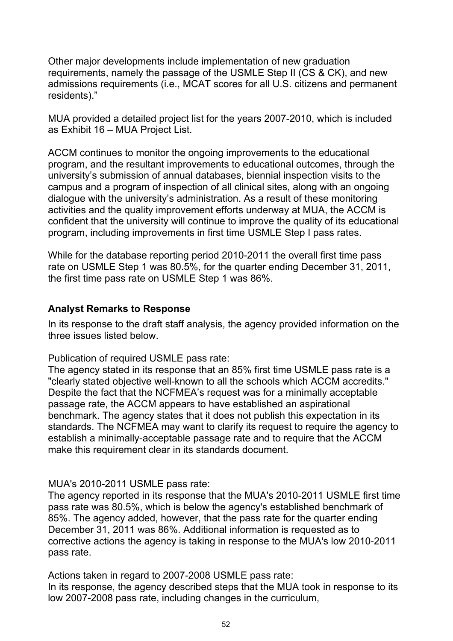Other major developments include implementation of new graduation requirements, namely the passage of the USMLE Step II (CS & CK), and new admissions requirements (i.e., MCAT scores for all U.S. citizens and permanent residents)."

MUA provided a detailed project list for the years 2007-2010, which is included as Exhibit 16 – MUA Project List.

ACCM continues to monitor the ongoing improvements to the educational program, and the resultant improvements to educational outcomes, through the university's submission of annual databases, biennial inspection visits to the campus and a program of inspection of all clinical sites, along with an ongoing dialogue with the university's administration. As a result of these monitoring activities and the quality improvement efforts underway at MUA, the ACCM is confident that the university will continue to improve the quality of its educational program, including improvements in first time USMLE Step I pass rates.

While for the database reporting period 2010-2011 the overall first time pass rate on USMLE Step 1 was 80.5%, for the quarter ending December 31, 2011, the first time pass rate on USMLE Step 1 was 86%.

#### **Analyst Remarks to Response**

In its response to the draft staff analysis, the agency provided information on the three issues listed below.

Publication of required USMLE pass rate:

The agency stated in its response that an 85% first time USMLE pass rate is a "clearly stated objective well-known to all the schools which ACCM accredits." Despite the fact that the NCFMEA's request was for a minimally acceptable passage rate, the ACCM appears to have established an aspirational benchmark. The agency states that it does not publish this expectation in its standards. The NCFMEA may want to clarify its request to require the agency to establish a minimally-acceptable passage rate and to require that the ACCM make this requirement clear in its standards document.

#### MUA's 2010-2011 USMLE pass rate:

The agency reported in its response that the MUA's 2010-2011 USMLE first time pass rate was 80.5%, which is below the agency's established benchmark of 85%. The agency added, however, that the pass rate for the quarter ending December 31, 2011 was 86%. Additional information is requested as to corrective actions the agency is taking in response to the MUA's low 2010-2011 pass rate.

Actions taken in regard to 2007-2008 USMLE pass rate: In its response, the agency described steps that the MUA took in response to its low 2007-2008 pass rate, including changes in the curriculum,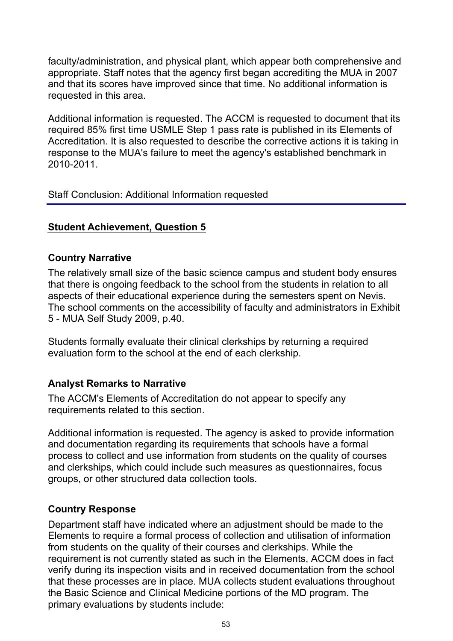faculty/administration, and physical plant, which appear both comprehensive and appropriate. Staff notes that the agency first began accrediting the MUA in 2007 and that its scores have improved since that time. No additional information is requested in this area.

Additional information is requested. The ACCM is requested to document that its required 85% first time USMLE Step 1 pass rate is published in its Elements of Accreditation. It is also requested to describe the corrective actions it is taking in response to the MUA's failure to meet the agency's established benchmark in 2010-2011.

Staff Conclusion: Additional Information requested

### **Student Achievement, Question 5**

#### **Country Narrative**

The relatively small size of the basic science campus and student body ensures that there is ongoing feedback to the school from the students in relation to all aspects of their educational experience during the semesters spent on Nevis. The school comments on the accessibility of faculty and administrators in Exhibit 5 - MUA Self Study 2009, p.40.

Students formally evaluate their clinical clerkships by returning a required evaluation form to the school at the end of each clerkship.

# **Analyst Remarks to Narrative**

The ACCM's Elements of Accreditation do not appear to specify any requirements related to this section.

Additional information is requested. The agency is asked to provide information and documentation regarding its requirements that schools have a formal process to collect and use information from students on the quality of courses and clerkships, which could include such measures as questionnaires, focus groups, or other structured data collection tools.

### **Country Response**

Department staff have indicated where an adjustment should be made to the Elements to require a formal process of collection and utilisation of information from students on the quality of their courses and clerkships. While the requirement is not currently stated as such in the Elements, ACCM does in fact verify during its inspection visits and in received documentation from the school that these processes are in place. MUA collects student evaluations throughout the Basic Science and Clinical Medicine portions of the MD program. The primary evaluations by students include: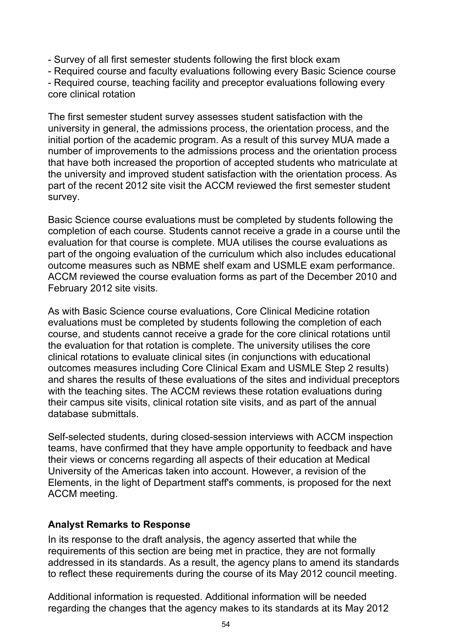- Survey of all first semester students following the first block exam

- Required course and faculty evaluations following every Basic Science course

- Required course, teaching facility and preceptor evaluations following every core clinical rotation

The first semester student survey assesses student satisfaction with the university in general, the admissions process, the orientation process, and the initial portion of the academic program. As a result of this survey MUA made a number of improvements to the admissions process and the orientation process that have both increased the proportion of accepted students who matriculate at the university and improved student satisfaction with the orientation process. As part of the recent 2012 site visit the ACCM reviewed the first semester student survey.

Basic Science course evaluations must be completed by students following the completion of each course. Students cannot receive a grade in a course until the evaluation for that course is complete. MUA utilises the course evaluations as part of the ongoing evaluation of the curriculum which also includes educational outcome measures such as NBME shelf exam and USMLE exam performance. ACCM reviewed the course evaluation forms as part of the December 2010 and February 2012 site visits.

As with Basic Science course evaluations, Core Clinical Medicine rotation evaluations must be completed by students following the completion of each course, and students cannot receive a grade for the core clinical rotations until the evaluation for that rotation is complete. The university utilises the core clinical rotations to evaluate clinical sites (in conjunctions with educational outcomes measures including Core Clinical Exam and USMLE Step 2 results) and shares the results of these evaluations of the sites and individual preceptors with the teaching sites. The ACCM reviews these rotation evaluations during their campus site visits, clinical rotation site visits, and as part of the annual database submittals.

Self-selected students, during closed-session interviews with ACCM inspection teams, have confirmed that they have ample opportunity to feedback and have their views or concerns regarding all aspects of their education at Medical University of the Americas taken into account. However, a revision of the Elements, in the light of Department staff's comments, is proposed for the next ACCM meeting.

# **Analyst Remarks to Response**

In its response to the draft analysis, the agency asserted that while the requirements of this section are being met in practice, they are not formally addressed in its standards. As a result, the agency plans to amend its standards to reflect these requirements during the course of its May 2012 council meeting.

Additional information is requested. Additional information will be needed regarding the changes that the agency makes to its standards at its May 2012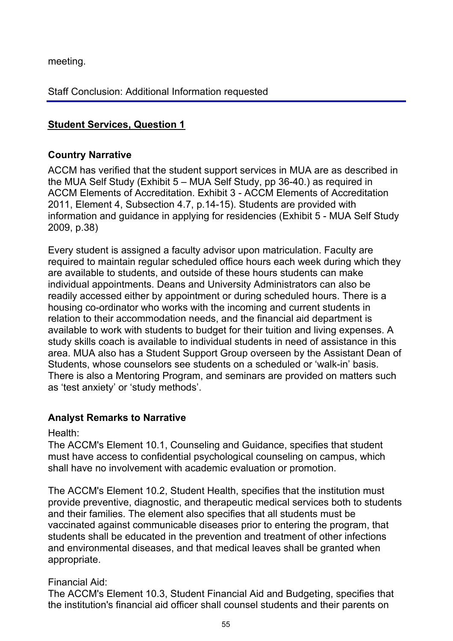meeting.

Staff Conclusion: Additional Information requested

### **Student Services, Question 1**

#### **Country Narrative**

ACCM has verified that the student support services in MUA are as described in the MUA Self Study (Exhibit 5 – MUA Self Study, pp 36-40.) as required in ACCM Elements of Accreditation. Exhibit 3 - ACCM Elements of Accreditation 2011, Element 4, Subsection 4.7, p.14-15). Students are provided with information and guidance in applying for residencies (Exhibit 5 - MUA Self Study 2009, p.38)

Every student is assigned a faculty advisor upon matriculation. Faculty are required to maintain regular scheduled office hours each week during which they are available to students, and outside of these hours students can make individual appointments. Deans and University Administrators can also be readily accessed either by appointment or during scheduled hours. There is a housing co-ordinator who works with the incoming and current students in relation to their accommodation needs, and the financial aid department is available to work with students to budget for their tuition and living expenses. A study skills coach is available to individual students in need of assistance in this area. MUA also has a Student Support Group overseen by the Assistant Dean of Students, whose counselors see students on a scheduled or 'walk-in' basis. There is also a Mentoring Program, and seminars are provided on matters such as 'test anxiety' or 'study methods'.

### **Analyst Remarks to Narrative**

Health:

The ACCM's Element 10.1, Counseling and Guidance, specifies that student must have access to confidential psychological counseling on campus, which shall have no involvement with academic evaluation or promotion.

The ACCM's Element 10.2, Student Health, specifies that the institution must provide preventive, diagnostic, and therapeutic medical services both to students and their families. The element also specifies that all students must be vaccinated against communicable diseases prior to entering the program, that students shall be educated in the prevention and treatment of other infections and environmental diseases, and that medical leaves shall be granted when appropriate.

### Financial Aid:

The ACCM's Element 10.3, Student Financial Aid and Budgeting, specifies that the institution's financial aid officer shall counsel students and their parents on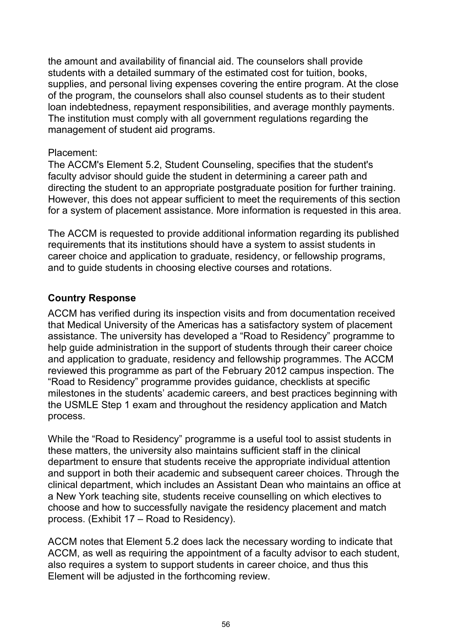the amount and availability of financial aid. The counselors shall provide students with a detailed summary of the estimated cost for tuition, books, supplies, and personal living expenses covering the entire program. At the close of the program, the counselors shall also counsel students as to their student loan indebtedness, repayment responsibilities, and average monthly payments. The institution must comply with all government regulations regarding the management of student aid programs.

#### Placement:

The ACCM's Element 5.2, Student Counseling, specifies that the student's faculty advisor should guide the student in determining a career path and directing the student to an appropriate postgraduate position for further training. However, this does not appear sufficient to meet the requirements of this section for a system of placement assistance. More information is requested in this area.

The ACCM is requested to provide additional information regarding its published requirements that its institutions should have a system to assist students in career choice and application to graduate, residency, or fellowship programs, and to guide students in choosing elective courses and rotations.

### **Country Response**

ACCM has verified during its inspection visits and from documentation received that Medical University of the Americas has a satisfactory system of placement assistance. The university has developed a "Road to Residency" programme to help guide administration in the support of students through their career choice and application to graduate, residency and fellowship programmes. The ACCM reviewed this programme as part of the February 2012 campus inspection. The "Road to Residency" programme provides guidance, checklists at specific milestones in the students' academic careers, and best practices beginning with the USMLE Step 1 exam and throughout the residency application and Match process.

While the "Road to Residency" programme is a useful tool to assist students in these matters, the university also maintains sufficient staff in the clinical department to ensure that students receive the appropriate individual attention and support in both their academic and subsequent career choices. Through the clinical department, which includes an Assistant Dean who maintains an office at a New York teaching site, students receive counselling on which electives to choose and how to successfully navigate the residency placement and match process. (Exhibit 17 – Road to Residency).

ACCM notes that Element 5.2 does lack the necessary wording to indicate that ACCM, as well as requiring the appointment of a faculty advisor to each student, also requires a system to support students in career choice, and thus this Element will be adjusted in the forthcoming review.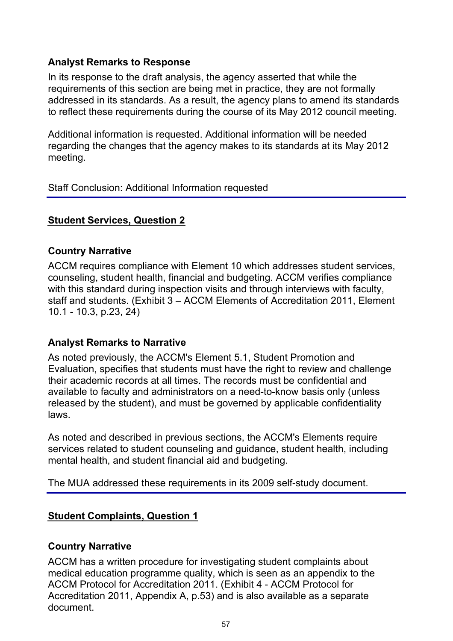#### **Analyst Remarks to Response**

In its response to the draft analysis, the agency asserted that while the requirements of this section are being met in practice, they are not formally addressed in its standards. As a result, the agency plans to amend its standards to reflect these requirements during the course of its May 2012 council meeting.

Additional information is requested. Additional information will be needed regarding the changes that the agency makes to its standards at its May 2012 meeting.

Staff Conclusion: Additional Information requested

#### **Student Services, Question 2**

#### **Country Narrative**

ACCM requires compliance with Element 10 which addresses student services, counseling, student health, financial and budgeting. ACCM verifies compliance with this standard during inspection visits and through interviews with faculty, staff and students. (Exhibit 3 – ACCM Elements of Accreditation 2011, Element 10.1 - 10.3, p.23, 24)

#### **Analyst Remarks to Narrative**

As noted previously, the ACCM's Element 5.1, Student Promotion and Evaluation, specifies that students must have the right to review and challenge their academic records at all times. The records must be confidential and available to faculty and administrators on a need-to-know basis only (unless released by the student), and must be governed by applicable confidentiality laws.

As noted and described in previous sections, the ACCM's Elements require services related to student counseling and guidance, student health, including mental health, and student financial aid and budgeting.

The MUA addressed these requirements in its 2009 self-study document.

### **Student Complaints, Question 1**

#### **Country Narrative**

ACCM has a written procedure for investigating student complaints about medical education programme quality, which is seen as an appendix to the ACCM Protocol for Accreditation 2011. (Exhibit 4 - ACCM Protocol for Accreditation 2011, Appendix A, p.53) and is also available as a separate document.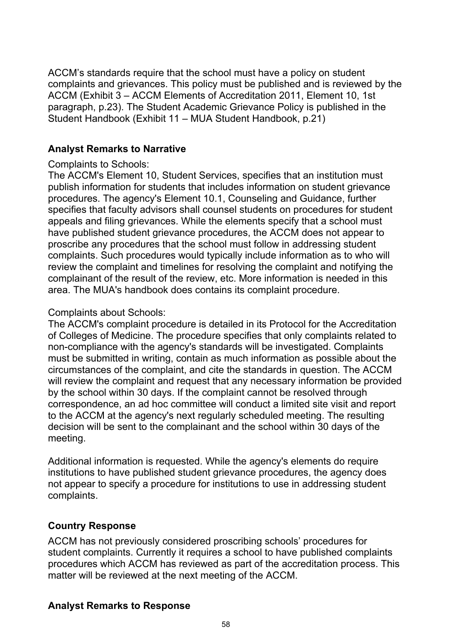ACCM's standards require that the school must have a policy on student complaints and grievances. This policy must be published and is reviewed by the ACCM (Exhibit 3 – ACCM Elements of Accreditation 2011, Element 10, 1st paragraph, p.23). The Student Academic Grievance Policy is published in the Student Handbook (Exhibit 11 – MUA Student Handbook, p.21)

### **Analyst Remarks to Narrative**

#### Complaints to Schools:

The ACCM's Element 10, Student Services, specifies that an institution must publish information for students that includes information on student grievance procedures. The agency's Element 10.1, Counseling and Guidance, further specifies that faculty advisors shall counsel students on procedures for student appeals and filing grievances. While the elements specify that a school must have published student grievance procedures, the ACCM does not appear to proscribe any procedures that the school must follow in addressing student complaints. Such procedures would typically include information as to who will review the complaint and timelines for resolving the complaint and notifying the complainant of the result of the review, etc. More information is needed in this area. The MUA's handbook does contains its complaint procedure.

#### Complaints about Schools:

The ACCM's complaint procedure is detailed in its Protocol for the Accreditation of Colleges of Medicine. The procedure specifies that only complaints related to non-compliance with the agency's standards will be investigated. Complaints must be submitted in writing, contain as much information as possible about the circumstances of the complaint, and cite the standards in question. The ACCM will review the complaint and request that any necessary information be provided by the school within 30 days. If the complaint cannot be resolved through correspondence, an ad hoc committee will conduct a limited site visit and report to the ACCM at the agency's next regularly scheduled meeting. The resulting decision will be sent to the complainant and the school within 30 days of the meeting.

Additional information is requested. While the agency's elements do require institutions to have published student grievance procedures, the agency does not appear to specify a procedure for institutions to use in addressing student complaints.

### **Country Response**

ACCM has not previously considered proscribing schools' procedures for student complaints. Currently it requires a school to have published complaints procedures which ACCM has reviewed as part of the accreditation process. This matter will be reviewed at the next meeting of the ACCM.

### **Analyst Remarks to Response**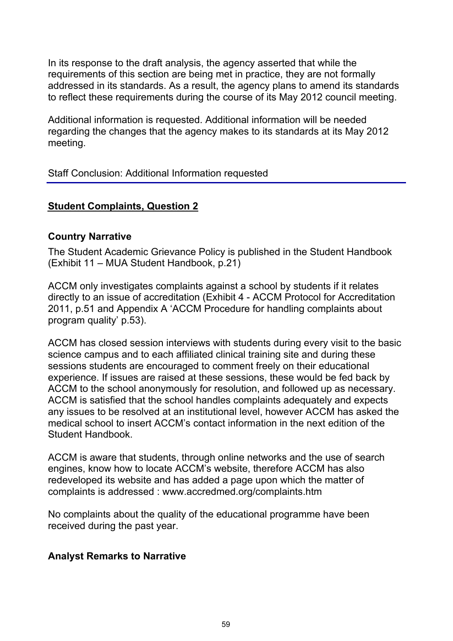In its response to the draft analysis, the agency asserted that while the requirements of this section are being met in practice, they are not formally addressed in its standards. As a result, the agency plans to amend its standards to reflect these requirements during the course of its May 2012 council meeting.

Additional information is requested. Additional information will be needed regarding the changes that the agency makes to its standards at its May 2012 meeting.

### Staff Conclusion: Additional Information requested

### **Student Complaints, Question 2**

#### **Country Narrative**

The Student Academic Grievance Policy is published in the Student Handbook (Exhibit 11 – MUA Student Handbook, p.21)

ACCM only investigates complaints against a school by students if it relates directly to an issue of accreditation (Exhibit 4 - ACCM Protocol for Accreditation 2011, p.51 and Appendix A 'ACCM Procedure for handling complaints about program quality' p.53).

ACCM has closed session interviews with students during every visit to the basic science campus and to each affiliated clinical training site and during these sessions students are encouraged to comment freely on their educational experience. If issues are raised at these sessions, these would be fed back by ACCM to the school anonymously for resolution, and followed up as necessary. ACCM is satisfied that the school handles complaints adequately and expects any issues to be resolved at an institutional level, however ACCM has asked the medical school to insert ACCM's contact information in the next edition of the Student Handbook.

ACCM is aware that students, through online networks and the use of search engines, know how to locate ACCM's website, therefore ACCM has also redeveloped its website and has added a page upon which the matter of complaints is addressed : www.accredmed.org/complaints.htm

No complaints about the quality of the educational programme have been received during the past year.

### **Analyst Remarks to Narrative**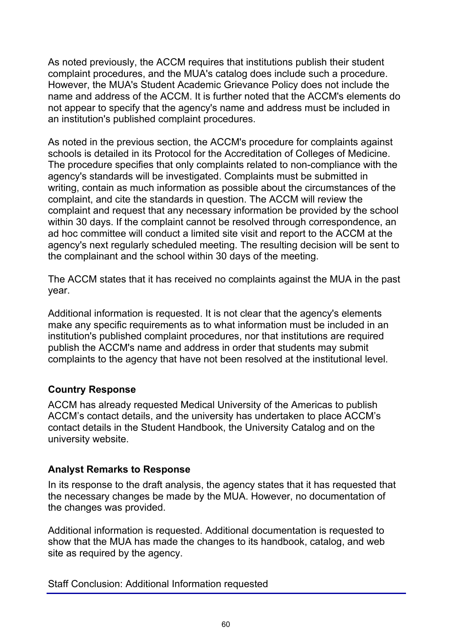As noted previously, the ACCM requires that institutions publish their student complaint procedures, and the MUA's catalog does include such a procedure. However, the MUA's Student Academic Grievance Policy does not include the name and address of the ACCM. It is further noted that the ACCM's elements do not appear to specify that the agency's name and address must be included in an institution's published complaint procedures.

As noted in the previous section, the ACCM's procedure for complaints against schools is detailed in its Protocol for the Accreditation of Colleges of Medicine. The procedure specifies that only complaints related to non-compliance with the agency's standards will be investigated. Complaints must be submitted in writing, contain as much information as possible about the circumstances of the complaint, and cite the standards in question. The ACCM will review the complaint and request that any necessary information be provided by the school within 30 days. If the complaint cannot be resolved through correspondence, an ad hoc committee will conduct a limited site visit and report to the ACCM at the agency's next regularly scheduled meeting. The resulting decision will be sent to the complainant and the school within 30 days of the meeting.

The ACCM states that it has received no complaints against the MUA in the past year.

Additional information is requested. It is not clear that the agency's elements make any specific requirements as to what information must be included in an institution's published complaint procedures, nor that institutions are required publish the ACCM's name and address in order that students may submit complaints to the agency that have not been resolved at the institutional level.

### **Country Response**

ACCM has already requested Medical University of the Americas to publish ACCM's contact details, and the university has undertaken to place ACCM's contact details in the Student Handbook, the University Catalog and on the university website.

## **Analyst Remarks to Response**

In its response to the draft analysis, the agency states that it has requested that the necessary changes be made by the MUA. However, no documentation of the changes was provided.

Additional information is requested. Additional documentation is requested to show that the MUA has made the changes to its handbook, catalog, and web site as required by the agency.

Staff Conclusion: Additional Information requested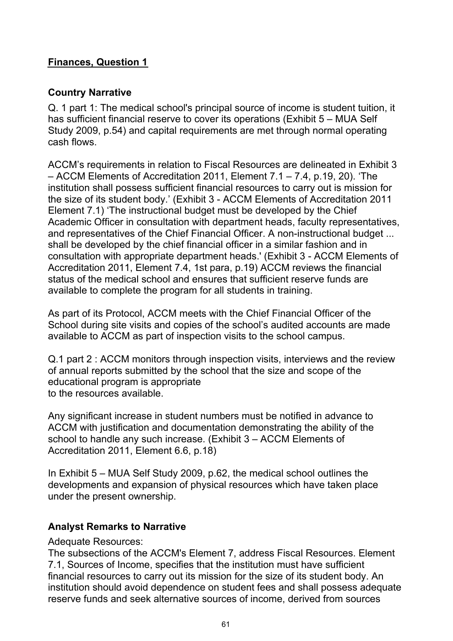### **Finances, Question 1**

### **Country Narrative**

Q. 1 part 1: The medical school's principal source of income is student tuition, it has sufficient financial reserve to cover its operations (Exhibit 5 – MUA Self Study 2009, p.54) and capital requirements are met through normal operating cash flows.

ACCM's requirements in relation to Fiscal Resources are delineated in Exhibit 3 – ACCM Elements of Accreditation 2011, Element 7.1 – 7.4, p.19, 20). 'The institution shall possess sufficient financial resources to carry out is mission for the size of its student body.' (Exhibit 3 - ACCM Elements of Accreditation 2011 Element 7.1) 'The instructional budget must be developed by the Chief Academic Officer in consultation with department heads, faculty representatives, and representatives of the Chief Financial Officer. A non-instructional budget ... shall be developed by the chief financial officer in a similar fashion and in consultation with appropriate department heads.' (Exhibit 3 - ACCM Elements of Accreditation 2011, Element 7.4, 1st para, p.19) ACCM reviews the financial status of the medical school and ensures that sufficient reserve funds are available to complete the program for all students in training.

As part of its Protocol, ACCM meets with the Chief Financial Officer of the School during site visits and copies of the school's audited accounts are made available to ACCM as part of inspection visits to the school campus.

Q.1 part 2 : ACCM monitors through inspection visits, interviews and the review of annual reports submitted by the school that the size and scope of the educational program is appropriate to the resources available.

Any significant increase in student numbers must be notified in advance to ACCM with justification and documentation demonstrating the ability of the school to handle any such increase. (Exhibit 3 – ACCM Elements of Accreditation 2011, Element 6.6, p.18)

In Exhibit 5 – MUA Self Study 2009, p.62, the medical school outlines the developments and expansion of physical resources which have taken place under the present ownership.

### **Analyst Remarks to Narrative**

Adequate Resources:

The subsections of the ACCM's Element 7, address Fiscal Resources. Element 7.1, Sources of Income, specifies that the institution must have sufficient financial resources to carry out its mission for the size of its student body. An institution should avoid dependence on student fees and shall possess adequate reserve funds and seek alternative sources of income, derived from sources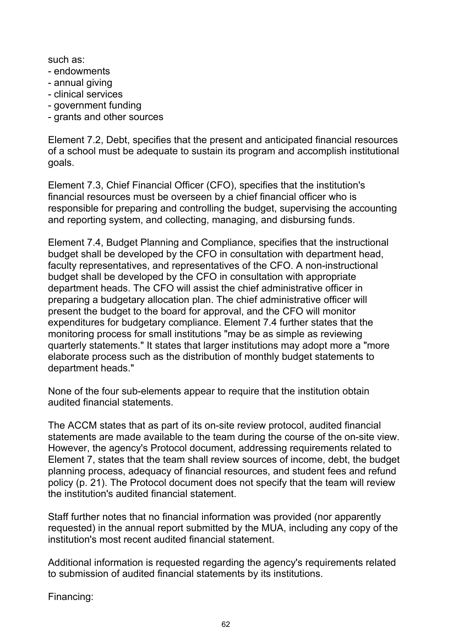such as:

- endowments
- annual giving
- clinical services
- government funding
- grants and other sources

Element 7.2, Debt, specifies that the present and anticipated financial resources of a school must be adequate to sustain its program and accomplish institutional goals.

Element 7.3, Chief Financial Officer (CFO), specifies that the institution's financial resources must be overseen by a chief financial officer who is responsible for preparing and controlling the budget, supervising the accounting and reporting system, and collecting, managing, and disbursing funds.

Element 7.4, Budget Planning and Compliance, specifies that the instructional budget shall be developed by the CFO in consultation with department head, faculty representatives, and representatives of the CFO. A non-instructional budget shall be developed by the CFO in consultation with appropriate department heads. The CFO will assist the chief administrative officer in preparing a budgetary allocation plan. The chief administrative officer will present the budget to the board for approval, and the CFO will monitor expenditures for budgetary compliance. Element 7.4 further states that the monitoring process for small institutions "may be as simple as reviewing quarterly statements." It states that larger institutions may adopt more a "more elaborate process such as the distribution of monthly budget statements to department heads."

None of the four sub-elements appear to require that the institution obtain audited financial statements.

The ACCM states that as part of its on-site review protocol, audited financial statements are made available to the team during the course of the on-site view. However, the agency's Protocol document, addressing requirements related to Element 7, states that the team shall review sources of income, debt, the budget planning process, adequacy of financial resources, and student fees and refund policy (p. 21). The Protocol document does not specify that the team will review the institution's audited financial statement.

Staff further notes that no financial information was provided (nor apparently requested) in the annual report submitted by the MUA, including any copy of the institution's most recent audited financial statement.

Additional information is requested regarding the agency's requirements related to submission of audited financial statements by its institutions.

Financing: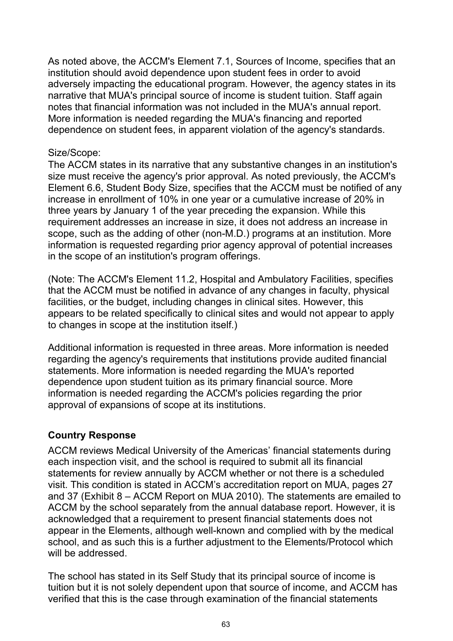As noted above, the ACCM's Element 7.1, Sources of Income, specifies that an institution should avoid dependence upon student fees in order to avoid adversely impacting the educational program. However, the agency states in its narrative that MUA's principal source of income is student tuition. Staff again notes that financial information was not included in the MUA's annual report. More information is needed regarding the MUA's financing and reported dependence on student fees, in apparent violation of the agency's standards.

#### Size/Scope:

The ACCM states in its narrative that any substantive changes in an institution's size must receive the agency's prior approval. As noted previously, the ACCM's Element 6.6, Student Body Size, specifies that the ACCM must be notified of any increase in enrollment of 10% in one year or a cumulative increase of 20% in three years by January 1 of the year preceding the expansion. While this requirement addresses an increase in size, it does not address an increase in scope, such as the adding of other (non-M.D.) programs at an institution. More information is requested regarding prior agency approval of potential increases in the scope of an institution's program offerings.

(Note: The ACCM's Element 11.2, Hospital and Ambulatory Facilities, specifies that the ACCM must be notified in advance of any changes in faculty, physical facilities, or the budget, including changes in clinical sites. However, this appears to be related specifically to clinical sites and would not appear to apply to changes in scope at the institution itself.)

Additional information is requested in three areas. More information is needed regarding the agency's requirements that institutions provide audited financial statements. More information is needed regarding the MUA's reported dependence upon student tuition as its primary financial source. More information is needed regarding the ACCM's policies regarding the prior approval of expansions of scope at its institutions.

#### **Country Response**

ACCM reviews Medical University of the Americas' financial statements during each inspection visit, and the school is required to submit all its financial statements for review annually by ACCM whether or not there is a scheduled visit. This condition is stated in ACCM's accreditation report on MUA, pages 27 and 37 (Exhibit 8 – ACCM Report on MUA 2010). The statements are emailed to ACCM by the school separately from the annual database report. However, it is acknowledged that a requirement to present financial statements does not appear in the Elements, although well-known and complied with by the medical school, and as such this is a further adjustment to the Elements/Protocol which will be addressed.

The school has stated in its Self Study that its principal source of income is tuition but it is not solely dependent upon that source of income, and ACCM has verified that this is the case through examination of the financial statements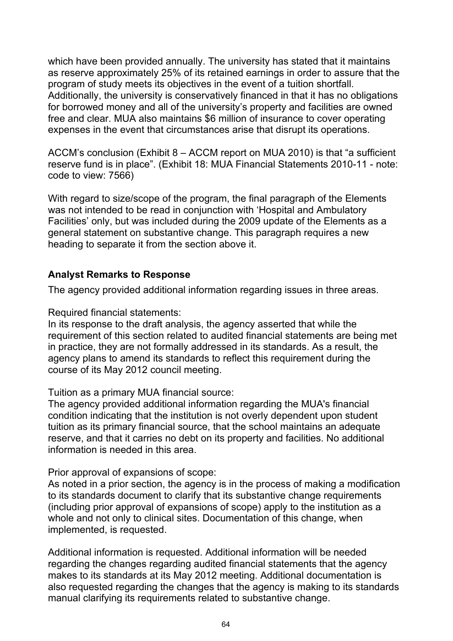which have been provided annually. The university has stated that it maintains as reserve approximately 25% of its retained earnings in order to assure that the program of study meets its objectives in the event of a tuition shortfall. Additionally, the university is conservatively financed in that it has no obligations for borrowed money and all of the university's property and facilities are owned free and clear. MUA also maintains \$6 million of insurance to cover operating expenses in the event that circumstances arise that disrupt its operations.

ACCM's conclusion (Exhibit 8 – ACCM report on MUA 2010) is that "a sufficient reserve fund is in place". (Exhibit 18: MUA Financial Statements 2010-11 - note: code to view: 7566)

With regard to size/scope of the program, the final paragraph of the Elements was not intended to be read in conjunction with 'Hospital and Ambulatory Facilities' only, but was included during the 2009 update of the Elements as a general statement on substantive change. This paragraph requires a new heading to separate it from the section above it.

#### **Analyst Remarks to Response**

The agency provided additional information regarding issues in three areas.

Required financial statements:

In its response to the draft analysis, the agency asserted that while the requirement of this section related to audited financial statements are being met in practice, they are not formally addressed in its standards. As a result, the agency plans to amend its standards to reflect this requirement during the course of its May 2012 council meeting.

Tuition as a primary MUA financial source:

The agency provided additional information regarding the MUA's financial condition indicating that the institution is not overly dependent upon student tuition as its primary financial source, that the school maintains an adequate reserve, and that it carries no debt on its property and facilities. No additional information is needed in this area.

Prior approval of expansions of scope:

As noted in a prior section, the agency is in the process of making a modification to its standards document to clarify that its substantive change requirements (including prior approval of expansions of scope) apply to the institution as a whole and not only to clinical sites. Documentation of this change, when implemented, is requested.

Additional information is requested. Additional information will be needed regarding the changes regarding audited financial statements that the agency makes to its standards at its May 2012 meeting. Additional documentation is also requested regarding the changes that the agency is making to its standards manual clarifying its requirements related to substantive change.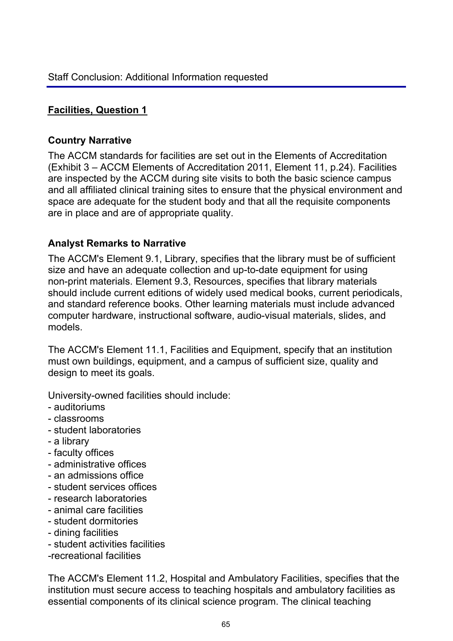## **Facilities, Question 1**

### **Country Narrative**

The ACCM standards for facilities are set out in the Elements of Accreditation (Exhibit 3 – ACCM Elements of Accreditation 2011, Element 11, p.24). Facilities are inspected by the ACCM during site visits to both the basic science campus and all affiliated clinical training sites to ensure that the physical environment and space are adequate for the student body and that all the requisite components are in place and are of appropriate quality.

### **Analyst Remarks to Narrative**

The ACCM's Element 9.1, Library, specifies that the library must be of sufficient size and have an adequate collection and up-to-date equipment for using non-print materials. Element 9.3, Resources, specifies that library materials should include current editions of widely used medical books, current periodicals, and standard reference books. Other learning materials must include advanced computer hardware, instructional software, audio-visual materials, slides, and models.

The ACCM's Element 11.1, Facilities and Equipment, specify that an institution must own buildings, equipment, and a campus of sufficient size, quality and design to meet its goals.

University-owned facilities should include:

- auditoriums
- classrooms
- student laboratories
- a library
- faculty offices
- administrative offices
- an admissions office
- student services offices
- research laboratories
- animal care facilities
- student dormitories
- dining facilities
- student activities facilities
- -recreational facilities

The ACCM's Element 11.2, Hospital and Ambulatory Facilities, specifies that the institution must secure access to teaching hospitals and ambulatory facilities as essential components of its clinical science program. The clinical teaching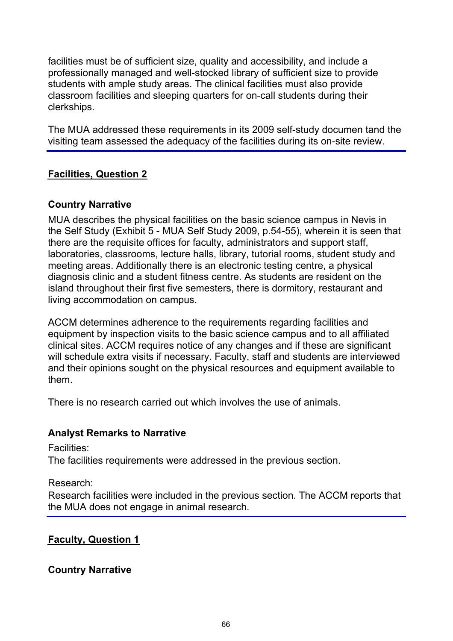facilities must be of sufficient size, quality and accessibility, and include a professionally managed and well-stocked library of sufficient size to provide students with ample study areas. The clinical facilities must also provide classroom facilities and sleeping quarters for on-call students during their clerkships.

The MUA addressed these requirements in its 2009 self-study documen tand the visiting team assessed the adequacy of the facilities during its on-site review.

## **Facilities, Question 2**

#### **Country Narrative**

MUA describes the physical facilities on the basic science campus in Nevis in the Self Study (Exhibit 5 - MUA Self Study 2009, p.54-55), wherein it is seen that there are the requisite offices for faculty, administrators and support staff, laboratories, classrooms, lecture halls, library, tutorial rooms, student study and meeting areas. Additionally there is an electronic testing centre, a physical diagnosis clinic and a student fitness centre. As students are resident on the island throughout their first five semesters, there is dormitory, restaurant and living accommodation on campus.

ACCM determines adherence to the requirements regarding facilities and equipment by inspection visits to the basic science campus and to all affiliated clinical sites. ACCM requires notice of any changes and if these are significant will schedule extra visits if necessary. Faculty, staff and students are interviewed and their opinions sought on the physical resources and equipment available to them.

There is no research carried out which involves the use of animals.

### **Analyst Remarks to Narrative**

Facilities:

The facilities requirements were addressed in the previous section.

#### Research:

Research facilities were included in the previous section. The ACCM reports that the MUA does not engage in animal research.

### **Faculty, Question 1**

#### **Country Narrative**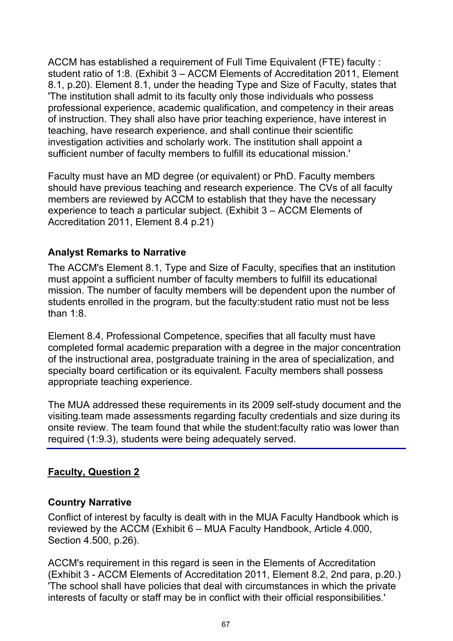ACCM has established a requirement of Full Time Equivalent (FTE) faculty : student ratio of 1:8. (Exhibit 3 – ACCM Elements of Accreditation 2011, Element 8.1, p.20). Element 8.1, under the heading Type and Size of Faculty, states that 'The institution shall admit to its faculty only those individuals who possess professional experience, academic qualification, and competency in their areas of instruction. They shall also have prior teaching experience, have interest in teaching, have research experience, and shall continue their scientific investigation activities and scholarly work. The institution shall appoint a sufficient number of faculty members to fulfill its educational mission.'

Faculty must have an MD degree (or equivalent) or PhD. Faculty members should have previous teaching and research experience. The CVs of all faculty members are reviewed by ACCM to establish that they have the necessary experience to teach a particular subject. (Exhibit 3 – ACCM Elements of Accreditation 2011, Element 8.4 p.21)

### **Analyst Remarks to Narrative**

The ACCM's Element 8.1, Type and Size of Faculty, specifies that an institution must appoint a sufficient number of faculty members to fulfill its educational mission. The number of faculty members will be dependent upon the number of students enrolled in the program, but the faculty:student ratio must not be less than 1:8.

Element 8.4, Professional Competence, specifies that all faculty must have completed formal academic preparation with a degree in the major concentration of the instructional area, postgraduate training in the area of specialization, and specialty board certification or its equivalent. Faculty members shall possess appropriate teaching experience.

The MUA addressed these requirements in its 2009 self-study document and the visiting.team made assessments regarding faculty credentials and size during its onsite review. The team found that while the student:faculty ratio was lower than required (1:9.3), students were being adequately served.

## **Faculty, Question 2**

### **Country Narrative**

Conflict of interest by faculty is dealt with in the MUA Faculty Handbook which is reviewed by the ACCM (Exhibit 6 – MUA Faculty Handbook, Article 4.000, Section 4.500, p.26).

ACCM's requirement in this regard is seen in the Elements of Accreditation (Exhibit 3 - ACCM Elements of Accreditation 2011, Element 8.2, 2nd para, p.20.) 'The school shall have policies that deal with circumstances in which the private interests of faculty or staff may be in conflict with their official responsibilities.'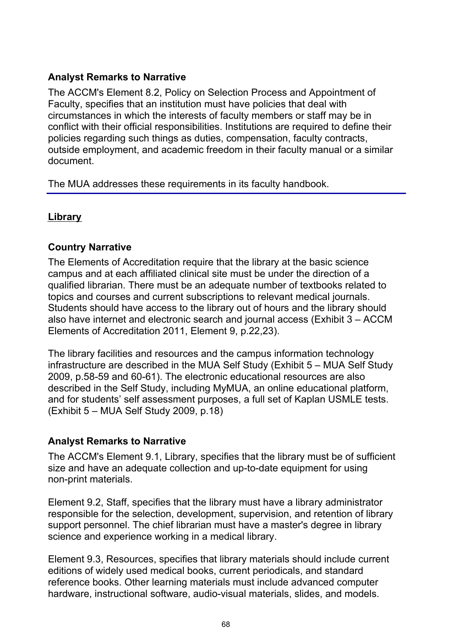### **Analyst Remarks to Narrative**

The ACCM's Element 8.2, Policy on Selection Process and Appointment of Faculty, specifies that an institution must have policies that deal with circumstances in which the interests of faculty members or staff may be in conflict with their official responsibilities. Institutions are required to define their policies regarding such things as duties, compensation, faculty contracts, outside employment, and academic freedom in their faculty manual or a similar document.

The MUA addresses these requirements in its faculty handbook.

## **Library**

## **Country Narrative**

The Elements of Accreditation require that the library at the basic science campus and at each affiliated clinical site must be under the direction of a qualified librarian. There must be an adequate number of textbooks related to topics and courses and current subscriptions to relevant medical journals. Students should have access to the library out of hours and the library should also have internet and electronic search and journal access (Exhibit 3 – ACCM Elements of Accreditation 2011, Element 9, p.22,23).

The library facilities and resources and the campus information technology infrastructure are described in the MUA Self Study (Exhibit 5 – MUA Self Study 2009, p.58-59 and 60-61). The electronic educational resources are also described in the Self Study, including MyMUA, an online educational platform, and for students' self assessment purposes, a full set of Kaplan USMLE tests. (Exhibit 5 – MUA Self Study 2009, p.18)

## **Analyst Remarks to Narrative**

The ACCM's Element 9.1, Library, specifies that the library must be of sufficient size and have an adequate collection and up-to-date equipment for using non-print materials.

Element 9.2, Staff, specifies that the library must have a library administrator responsible for the selection, development, supervision, and retention of library support personnel. The chief librarian must have a master's degree in library science and experience working in a medical library.

Element 9.3, Resources, specifies that library materials should include current editions of widely used medical books, current periodicals, and standard reference books. Other learning materials must include advanced computer hardware, instructional software, audio-visual materials, slides, and models.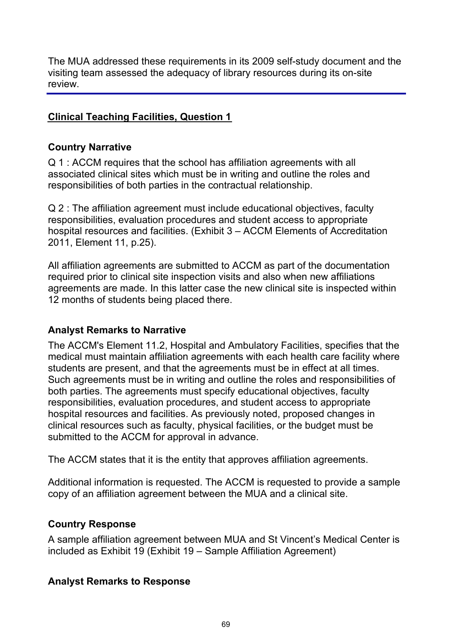The MUA addressed these requirements in its 2009 self-study document and the visiting team assessed the adequacy of library resources during its on-site review.

### **Clinical Teaching Facilities, Question 1**

### **Country Narrative**

Q 1 : ACCM requires that the school has affiliation agreements with all associated clinical sites which must be in writing and outline the roles and responsibilities of both parties in the contractual relationship.

Q 2 : The affiliation agreement must include educational objectives, faculty responsibilities, evaluation procedures and student access to appropriate hospital resources and facilities. (Exhibit 3 – ACCM Elements of Accreditation 2011, Element 11, p.25).

All affiliation agreements are submitted to ACCM as part of the documentation required prior to clinical site inspection visits and also when new affiliations agreements are made. In this latter case the new clinical site is inspected within 12 months of students being placed there.

### **Analyst Remarks to Narrative**

The ACCM's Element 11.2, Hospital and Ambulatory Facilities, specifies that the medical must maintain affiliation agreements with each health care facility where students are present, and that the agreements must be in effect at all times. Such agreements must be in writing and outline the roles and responsibilities of both parties. The agreements must specify educational objectives, faculty responsibilities, evaluation procedures, and student access to appropriate hospital resources and facilities. As previously noted, proposed changes in clinical resources such as faculty, physical facilities, or the budget must be submitted to the ACCM for approval in advance.

The ACCM states that it is the entity that approves affiliation agreements.

Additional information is requested. The ACCM is requested to provide a sample copy of an affiliation agreement between the MUA and a clinical site.

### **Country Response**

A sample affiliation agreement between MUA and St Vincent's Medical Center is included as Exhibit 19 (Exhibit 19 – Sample Affiliation Agreement)

### **Analyst Remarks to Response**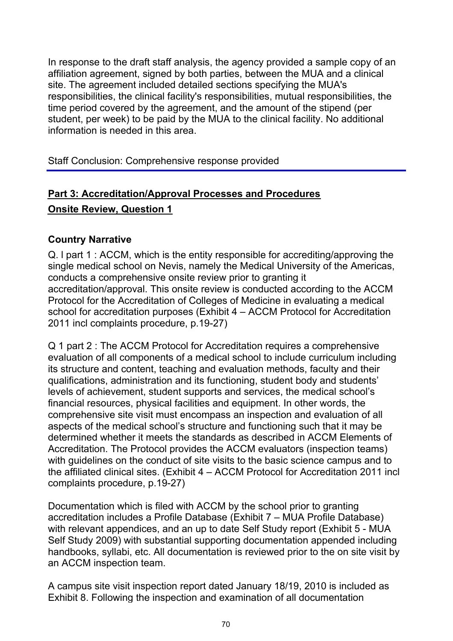In response to the draft staff analysis, the agency provided a sample copy of an affiliation agreement, signed by both parties, between the MUA and a clinical site. The agreement included detailed sections specifying the MUA's responsibilities, the clinical facility's responsibilities, mutual responsibilities, the time period covered by the agreement, and the amount of the stipend (per student, per week) to be paid by the MUA to the clinical facility. No additional information is needed in this area.

Staff Conclusion: Comprehensive response provided

# **Part 3: Accreditation/Approval Processes and Procedures Onsite Review, Question 1**

## **Country Narrative**

Q. l part 1 : ACCM, which is the entity responsible for accrediting/approving the single medical school on Nevis, namely the Medical University of the Americas, conducts a comprehensive onsite review prior to granting it accreditation/approval. This onsite review is conducted according to the ACCM Protocol for the Accreditation of Colleges of Medicine in evaluating a medical school for accreditation purposes (Exhibit 4 – ACCM Protocol for Accreditation 2011 incl complaints procedure, p.19-27)

Q 1 part 2 : The ACCM Protocol for Accreditation requires a comprehensive evaluation of all components of a medical school to include curriculum including its structure and content, teaching and evaluation methods, faculty and their qualifications, administration and its functioning, student body and students' levels of achievement, student supports and services, the medical school's financial resources, physical facilities and equipment. In other words, the comprehensive site visit must encompass an inspection and evaluation of all aspects of the medical school's structure and functioning such that it may be determined whether it meets the standards as described in ACCM Elements of Accreditation. The Protocol provides the ACCM evaluators (inspection teams) with guidelines on the conduct of site visits to the basic science campus and to the affiliated clinical sites. (Exhibit 4 – ACCM Protocol for Accreditation 2011 incl complaints procedure, p.19-27)

Documentation which is filed with ACCM by the school prior to granting accreditation includes a Profile Database (Exhibit 7 – MUA Profile Database) with relevant appendices, and an up to date Self Study report (Exhibit 5 - MUA Self Study 2009) with substantial supporting documentation appended including handbooks, syllabi, etc. All documentation is reviewed prior to the on site visit by an ACCM inspection team.

A campus site visit inspection report dated January 18/19, 2010 is included as Exhibit 8. Following the inspection and examination of all documentation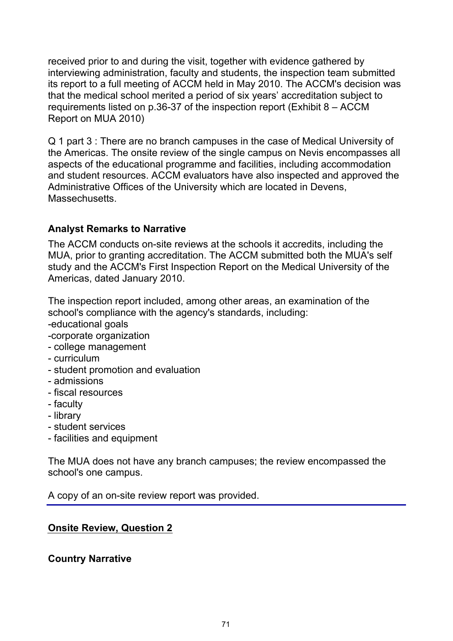received prior to and during the visit, together with evidence gathered by interviewing administration, faculty and students, the inspection team submitted its report to a full meeting of ACCM held in May 2010. The ACCM's decision was that the medical school merited a period of six years' accreditation subject to requirements listed on p.36-37 of the inspection report (Exhibit 8 – ACCM Report on MUA 2010)

Q 1 part 3 : There are no branch campuses in the case of Medical University of the Americas. The onsite review of the single campus on Nevis encompasses all aspects of the educational programme and facilities, including accommodation and student resources. ACCM evaluators have also inspected and approved the Administrative Offices of the University which are located in Devens, Massechusetts.

### **Analyst Remarks to Narrative**

The ACCM conducts on-site reviews at the schools it accredits, including the MUA, prior to granting accreditation. The ACCM submitted both the MUA's self study and the ACCM's First Inspection Report on the Medical University of the Americas, dated January 2010.

The inspection report included, among other areas, an examination of the school's compliance with the agency's standards, including:

- -educational goals
- -corporate organization
- college management
- curriculum
- student promotion and evaluation
- admissions
- fiscal resources
- faculty
- library
- student services
- facilities and equipment

The MUA does not have any branch campuses; the review encompassed the school's one campus.

A copy of an on-site review report was provided.

### **Onsite Review, Question 2**

### **Country Narrative**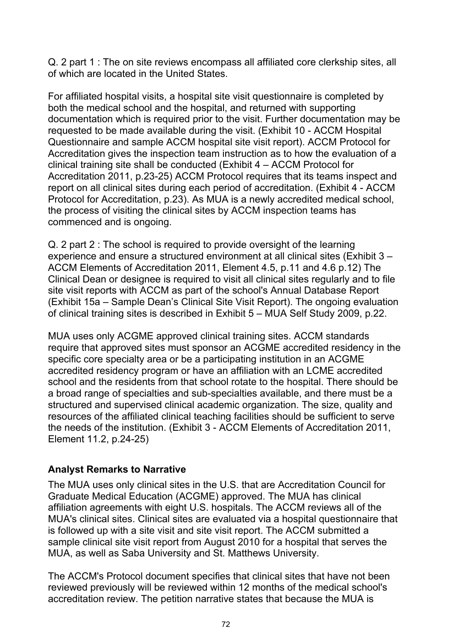Q. 2 part 1 : The on site reviews encompass all affiliated core clerkship sites, all of which are located in the United States.

For affiliated hospital visits, a hospital site visit questionnaire is completed by both the medical school and the hospital, and returned with supporting documentation which is required prior to the visit. Further documentation may be requested to be made available during the visit. (Exhibit 10 - ACCM Hospital Questionnaire and sample ACCM hospital site visit report). ACCM Protocol for Accreditation gives the inspection team instruction as to how the evaluation of a clinical training site shall be conducted (Exhibit 4 – ACCM Protocol for Accreditation 2011, p.23-25) ACCM Protocol requires that its teams inspect and report on all clinical sites during each period of accreditation. (Exhibit 4 - ACCM Protocol for Accreditation, p.23). As MUA is a newly accredited medical school, the process of visiting the clinical sites by ACCM inspection teams has commenced and is ongoing.

Q. 2 part 2 : The school is required to provide oversight of the learning experience and ensure a structured environment at all clinical sites (Exhibit 3 – ACCM Elements of Accreditation 2011, Element 4.5, p.11 and 4.6 p.12) The Clinical Dean or designee is required to visit all clinical sites regularly and to file site visit reports with ACCM as part of the school's Annual Database Report (Exhibit 15a – Sample Dean's Clinical Site Visit Report). The ongoing evaluation of clinical training sites is described in Exhibit 5 – MUA Self Study 2009, p.22.

MUA uses only ACGME approved clinical training sites. ACCM standards require that approved sites must sponsor an ACGME accredited residency in the specific core specialty area or be a participating institution in an ACGME accredited residency program or have an affiliation with an LCME accredited school and the residents from that school rotate to the hospital. There should be a broad range of specialties and sub-specialties available, and there must be a structured and supervised clinical academic organization. The size, quality and resources of the affiliated clinical teaching facilities should be sufficient to serve the needs of the institution. (Exhibit 3 - ACCM Elements of Accreditation 2011, Element 11.2, p.24-25)

### **Analyst Remarks to Narrative**

The MUA uses only clinical sites in the U.S. that are Accreditation Council for Graduate Medical Education (ACGME) approved. The MUA has clinical affiliation agreements with eight U.S. hospitals. The ACCM reviews all of the MUA's clinical sites. Clinical sites are evaluated via a hospital questionnaire that is followed up with a site visit and site visit report. The ACCM submitted a sample clinical site visit report from August 2010 for a hospital that serves the MUA, as well as Saba University and St. Matthews University.

The ACCM's Protocol document specifies that clinical sites that have not been reviewed previously will be reviewed within 12 months of the medical school's accreditation review. The petition narrative states that because the MUA is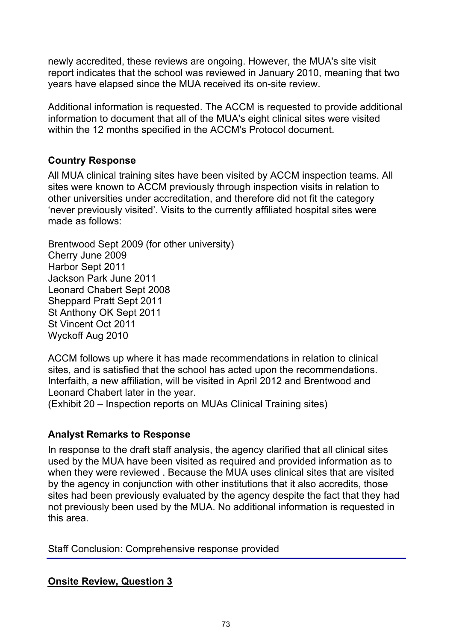newly accredited, these reviews are ongoing. However, the MUA's site visit report indicates that the school was reviewed in January 2010, meaning that two years have elapsed since the MUA received its on-site review.

Additional information is requested. The ACCM is requested to provide additional information to document that all of the MUA's eight clinical sites were visited within the 12 months specified in the ACCM's Protocol document.

### **Country Response**

All MUA clinical training sites have been visited by ACCM inspection teams. All sites were known to ACCM previously through inspection visits in relation to other universities under accreditation, and therefore did not fit the category 'never previously visited'. Visits to the currently affiliated hospital sites were made as follows:

Brentwood Sept 2009 (for other university) Cherry June 2009 Harbor Sept 2011 Jackson Park June 2011 Leonard Chabert Sept 2008 Sheppard Pratt Sept 2011 St Anthony OK Sept 2011 St Vincent Oct 2011 Wyckoff Aug 2010

ACCM follows up where it has made recommendations in relation to clinical sites, and is satisfied that the school has acted upon the recommendations. Interfaith, a new affiliation, will be visited in April 2012 and Brentwood and Leonard Chabert later in the year.

(Exhibit 20 – Inspection reports on MUAs Clinical Training sites)

## **Analyst Remarks to Response**

In response to the draft staff analysis, the agency clarified that all clinical sites used by the MUA have been visited as required and provided information as to when they were reviewed . Because the MUA uses clinical sites that are visited by the agency in conjunction with other institutions that it also accredits, those sites had been previously evaluated by the agency despite the fact that they had not previously been used by the MUA. No additional information is requested in this area.

Staff Conclusion: Comprehensive response provided

**Onsite Review, Question 3**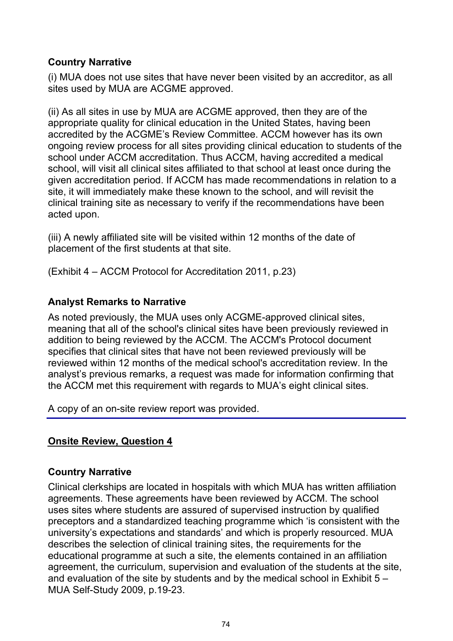### **Country Narrative**

(i) MUA does not use sites that have never been visited by an accreditor, as all sites used by MUA are ACGME approved.

(ii) As all sites in use by MUA are ACGME approved, then they are of the appropriate quality for clinical education in the United States, having been accredited by the ACGME's Review Committee. ACCM however has its own ongoing review process for all sites providing clinical education to students of the school under ACCM accreditation. Thus ACCM, having accredited a medical school, will visit all clinical sites affiliated to that school at least once during the given accreditation period. If ACCM has made recommendations in relation to a site, it will immediately make these known to the school, and will revisit the clinical training site as necessary to verify if the recommendations have been acted upon.

(iii) A newly affiliated site will be visited within 12 months of the date of placement of the first students at that site.

(Exhibit 4 – ACCM Protocol for Accreditation 2011, p.23)

## **Analyst Remarks to Narrative**

As noted previously, the MUA uses only ACGME-approved clinical sites, meaning that all of the school's clinical sites have been previously reviewed in addition to being reviewed by the ACCM. The ACCM's Protocol document specifies that clinical sites that have not been reviewed previously will be reviewed within 12 months of the medical school's accreditation review. In the analyst's previous remarks, a request was made for information confirming that the ACCM met this requirement with regards to MUA's eight clinical sites.

A copy of an on-site review report was provided.

## **Onsite Review, Question 4**

## **Country Narrative**

Clinical clerkships are located in hospitals with which MUA has written affiliation agreements. These agreements have been reviewed by ACCM. The school uses sites where students are assured of supervised instruction by qualified preceptors and a standardized teaching programme which 'is consistent with the university's expectations and standards' and which is properly resourced. MUA describes the selection of clinical training sites, the requirements for the educational programme at such a site, the elements contained in an affiliation agreement, the curriculum, supervision and evaluation of the students at the site, and evaluation of the site by students and by the medical school in Exhibit 5 – MUA Self-Study 2009, p.19-23.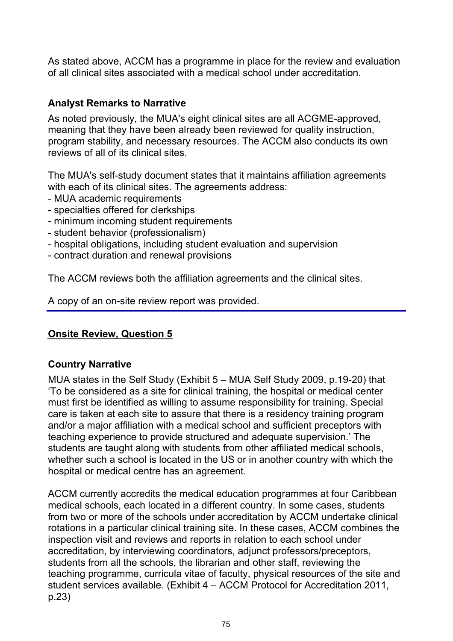As stated above, ACCM has a programme in place for the review and evaluation of all clinical sites associated with a medical school under accreditation.

### **Analyst Remarks to Narrative**

As noted previously, the MUA's eight clinical sites are all ACGME-approved, meaning that they have been already been reviewed for quality instruction, program stability, and necessary resources. The ACCM also conducts its own reviews of all of its clinical sites.

The MUA's self-study document states that it maintains affiliation agreements with each of its clinical sites. The agreements address:

- MUA academic requirements
- specialties offered for clerkships
- minimum incoming student requirements
- student behavior (professionalism)
- hospital obligations, including student evaluation and supervision
- contract duration and renewal provisions

The ACCM reviews both the affiliation agreements and the clinical sites.

A copy of an on-site review report was provided.

### **Onsite Review, Question 5**

### **Country Narrative**

MUA states in the Self Study (Exhibit 5 – MUA Self Study 2009, p.19-20) that 'To be considered as a site for clinical training, the hospital or medical center must first be identified as willing to assume responsibility for training. Special care is taken at each site to assure that there is a residency training program and/or a major affiliation with a medical school and sufficient preceptors with teaching experience to provide structured and adequate supervision.' The students are taught along with students from other affiliated medical schools, whether such a school is located in the US or in another country with which the hospital or medical centre has an agreement.

ACCM currently accredits the medical education programmes at four Caribbean medical schools, each located in a different country. In some cases, students from two or more of the schools under accreditation by ACCM undertake clinical rotations in a particular clinical training site. In these cases, ACCM combines the inspection visit and reviews and reports in relation to each school under accreditation, by interviewing coordinators, adjunct professors/preceptors, students from all the schools, the librarian and other staff, reviewing the teaching programme, curricula vitae of faculty, physical resources of the site and student services available. (Exhibit 4 – ACCM Protocol for Accreditation 2011, p.23)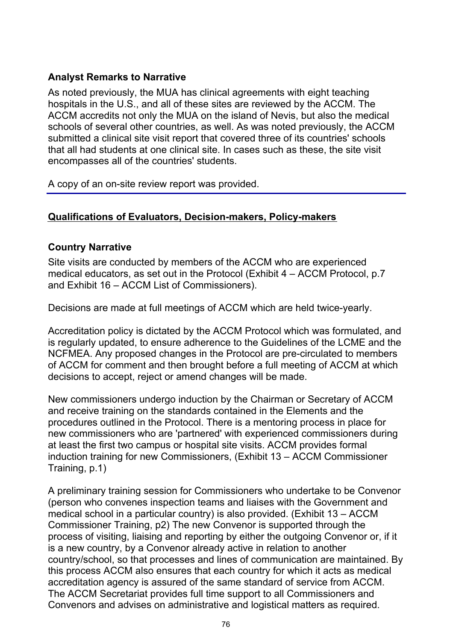### **Analyst Remarks to Narrative**

As noted previously, the MUA has clinical agreements with eight teaching hospitals in the U.S., and all of these sites are reviewed by the ACCM. The ACCM accredits not only the MUA on the island of Nevis, but also the medical schools of several other countries, as well. As was noted previously, the ACCM submitted a clinical site visit report that covered three of its countries' schools that all had students at one clinical site. In cases such as these, the site visit encompasses all of the countries' students.

A copy of an on-site review report was provided.

### **Qualifications of Evaluators, Decision-makers, Policy-makers**

### **Country Narrative**

Site visits are conducted by members of the ACCM who are experienced medical educators, as set out in the Protocol (Exhibit 4 – ACCM Protocol, p.7 and Exhibit 16 – ACCM List of Commissioners).

Decisions are made at full meetings of ACCM which are held twice-yearly.

Accreditation policy is dictated by the ACCM Protocol which was formulated, and is regularly updated, to ensure adherence to the Guidelines of the LCME and the NCFMEA. Any proposed changes in the Protocol are pre-circulated to members of ACCM for comment and then brought before a full meeting of ACCM at which decisions to accept, reject or amend changes will be made.

New commissioners undergo induction by the Chairman or Secretary of ACCM and receive training on the standards contained in the Elements and the procedures outlined in the Protocol. There is a mentoring process in place for new commissioners who are 'partnered' with experienced commissioners during at least the first two campus or hospital site visits. ACCM provides formal induction training for new Commissioners, (Exhibit 13 – ACCM Commissioner Training, p.1)

A preliminary training session for Commissioners who undertake to be Convenor (person who convenes inspection teams and liaises with the Government and medical school in a particular country) is also provided. (Exhibit 13 – ACCM Commissioner Training, p2) The new Convenor is supported through the process of visiting, liaising and reporting by either the outgoing Convenor or, if it is a new country, by a Convenor already active in relation to another country/school, so that processes and lines of communication are maintained. By this process ACCM also ensures that each country for which it acts as medical accreditation agency is assured of the same standard of service from ACCM. The ACCM Secretariat provides full time support to all Commissioners and Convenors and advises on administrative and logistical matters as required.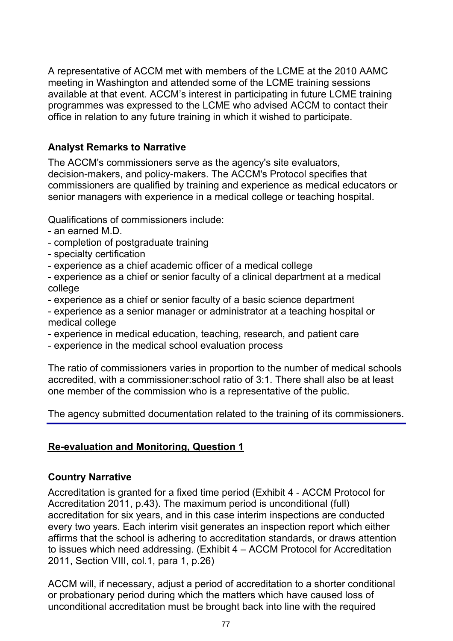A representative of ACCM met with members of the LCME at the 2010 AAMC meeting in Washington and attended some of the LCME training sessions available at that event. ACCM's interest in participating in future LCME training programmes was expressed to the LCME who advised ACCM to contact their office in relation to any future training in which it wished to participate.

### **Analyst Remarks to Narrative**

The ACCM's commissioners serve as the agency's site evaluators, decision-makers, and policy-makers. The ACCM's Protocol specifies that commissioners are qualified by training and experience as medical educators or senior managers with experience in a medical college or teaching hospital.

Qualifications of commissioners include:

- an earned M.D.
- completion of postgraduate training
- specialty certification
- experience as a chief academic officer of a medical college
- experience as a chief or senior faculty of a clinical department at a medical college
- experience as a chief or senior faculty of a basic science department
- experience as a senior manager or administrator at a teaching hospital or medical college
- experience in medical education, teaching, research, and patient care
- experience in the medical school evaluation process

The ratio of commissioners varies in proportion to the number of medical schools accredited, with a commissioner:school ratio of 3:1. There shall also be at least one member of the commission who is a representative of the public.

The agency submitted documentation related to the training of its commissioners.

## **Re-evaluation and Monitoring, Question 1**

### **Country Narrative**

Accreditation is granted for a fixed time period (Exhibit 4 - ACCM Protocol for Accreditation 2011, p.43). The maximum period is unconditional (full) accreditation for six years, and in this case interim inspections are conducted every two years. Each interim visit generates an inspection report which either affirms that the school is adhering to accreditation standards, or draws attention to issues which need addressing. (Exhibit 4 – ACCM Protocol for Accreditation 2011, Section VIII, col.1, para 1, p.26)

ACCM will, if necessary, adjust a period of accreditation to a shorter conditional or probationary period during which the matters which have caused loss of unconditional accreditation must be brought back into line with the required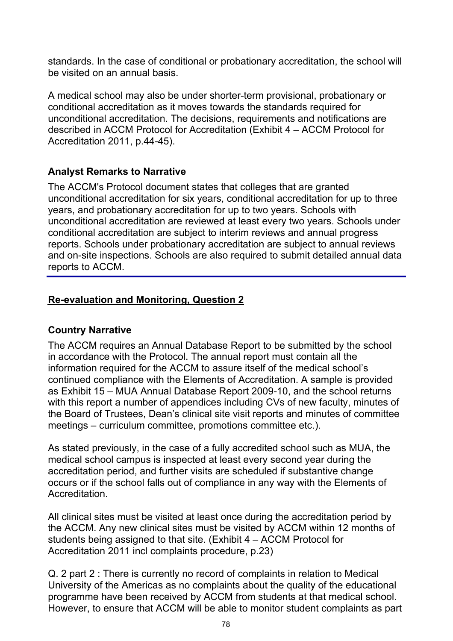standards. In the case of conditional or probationary accreditation, the school will be visited on an annual basis.

A medical school may also be under shorter-term provisional, probationary or conditional accreditation as it moves towards the standards required for unconditional accreditation. The decisions, requirements and notifications are described in ACCM Protocol for Accreditation (Exhibit 4 – ACCM Protocol for Accreditation 2011, p.44-45).

### **Analyst Remarks to Narrative**

The ACCM's Protocol document states that colleges that are granted unconditional accreditation for six years, conditional accreditation for up to three years, and probationary accreditation for up to two years. Schools with unconditional accreditation are reviewed at least every two years. Schools under conditional accreditation are subject to interim reviews and annual progress reports. Schools under probationary accreditation are subject to annual reviews and on-site inspections. Schools are also required to submit detailed annual data reports to ACCM.

## **Re-evaluation and Monitoring, Question 2**

### **Country Narrative**

The ACCM requires an Annual Database Report to be submitted by the school in accordance with the Protocol. The annual report must contain all the information required for the ACCM to assure itself of the medical school's continued compliance with the Elements of Accreditation. A sample is provided as Exhibit 15 – MUA Annual Database Report 2009-10, and the school returns with this report a number of appendices including CVs of new faculty, minutes of the Board of Trustees, Dean's clinical site visit reports and minutes of committee meetings – curriculum committee, promotions committee etc.).

As stated previously, in the case of a fully accredited school such as MUA, the medical school campus is inspected at least every second year during the accreditation period, and further visits are scheduled if substantive change occurs or if the school falls out of compliance in any way with the Elements of Accreditation.

All clinical sites must be visited at least once during the accreditation period by the ACCM. Any new clinical sites must be visited by ACCM within 12 months of students being assigned to that site. (Exhibit 4 – ACCM Protocol for Accreditation 2011 incl complaints procedure, p.23)

Q. 2 part 2 : There is currently no record of complaints in relation to Medical University of the Americas as no complaints about the quality of the educational programme have been received by ACCM from students at that medical school. However, to ensure that ACCM will be able to monitor student complaints as part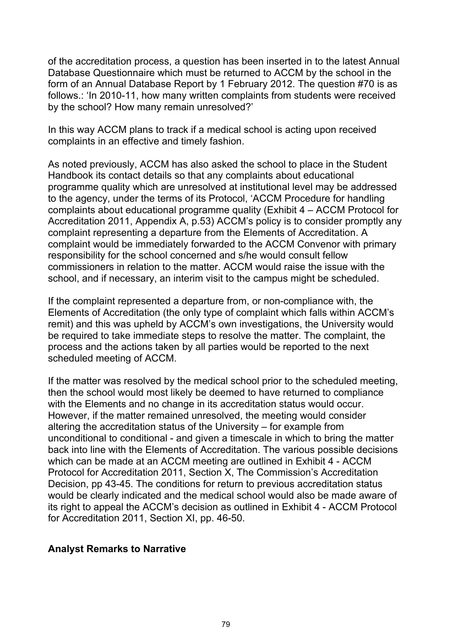of the accreditation process, a question has been inserted in to the latest Annual Database Questionnaire which must be returned to ACCM by the school in the form of an Annual Database Report by 1 February 2012. The question #70 is as follows.: 'In 2010-11, how many written complaints from students were received by the school? How many remain unresolved?'

In this way ACCM plans to track if a medical school is acting upon received complaints in an effective and timely fashion.

As noted previously, ACCM has also asked the school to place in the Student Handbook its contact details so that any complaints about educational programme quality which are unresolved at institutional level may be addressed to the agency, under the terms of its Protocol, 'ACCM Procedure for handling complaints about educational programme quality (Exhibit 4 – ACCM Protocol for Accreditation 2011, Appendix A, p.53) ACCM's policy is to consider promptly any complaint representing a departure from the Elements of Accreditation. A complaint would be immediately forwarded to the ACCM Convenor with primary responsibility for the school concerned and s/he would consult fellow commissioners in relation to the matter. ACCM would raise the issue with the school, and if necessary, an interim visit to the campus might be scheduled.

If the complaint represented a departure from, or non-compliance with, the Elements of Accreditation (the only type of complaint which falls within ACCM's remit) and this was upheld by ACCM's own investigations, the University would be required to take immediate steps to resolve the matter. The complaint, the process and the actions taken by all parties would be reported to the next scheduled meeting of ACCM.

If the matter was resolved by the medical school prior to the scheduled meeting, then the school would most likely be deemed to have returned to compliance with the Elements and no change in its accreditation status would occur. However, if the matter remained unresolved, the meeting would consider altering the accreditation status of the University – for example from unconditional to conditional - and given a timescale in which to bring the matter back into line with the Elements of Accreditation. The various possible decisions which can be made at an ACCM meeting are outlined in Exhibit 4 - ACCM Protocol for Accreditation 2011, Section X, The Commission's Accreditation Decision, pp 43-45. The conditions for return to previous accreditation status would be clearly indicated and the medical school would also be made aware of its right to appeal the ACCM's decision as outlined in Exhibit 4 - ACCM Protocol for Accreditation 2011, Section XI, pp. 46-50.

#### **Analyst Remarks to Narrative**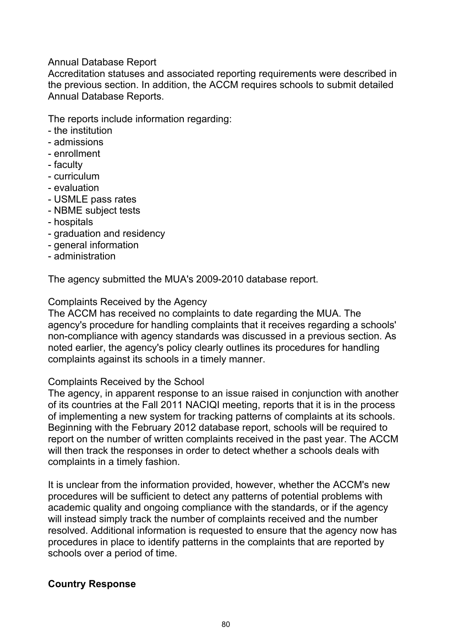#### Annual Database Report

Accreditation statuses and associated reporting requirements were described in the previous section. In addition, the ACCM requires schools to submit detailed Annual Database Reports.

The reports include information regarding:

- the institution
- admissions
- enrollment
- faculty
- curriculum
- evaluation
- USMLE pass rates
- NBME subject tests
- hospitals
- graduation and residency
- general information
- administration

The agency submitted the MUA's 2009-2010 database report.

#### Complaints Received by the Agency

The ACCM has received no complaints to date regarding the MUA. The agency's procedure for handling complaints that it receives regarding a schools' non-compliance with agency standards was discussed in a previous section. As noted earlier, the agency's policy clearly outlines its procedures for handling complaints against its schools in a timely manner.

#### Complaints Received by the School

The agency, in apparent response to an issue raised in conjunction with another of its countries at the Fall 2011 NACIQI meeting, reports that it is in the process of implementing a new system for tracking patterns of complaints at its schools. Beginning with the February 2012 database report, schools will be required to report on the number of written complaints received in the past year. The ACCM will then track the responses in order to detect whether a schools deals with complaints in a timely fashion.

It is unclear from the information provided, however, whether the ACCM's new procedures will be sufficient to detect any patterns of potential problems with academic quality and ongoing compliance with the standards, or if the agency will instead simply track the number of complaints received and the number resolved. Additional information is requested to ensure that the agency now has procedures in place to identify patterns in the complaints that are reported by schools over a period of time.

### **Country Response**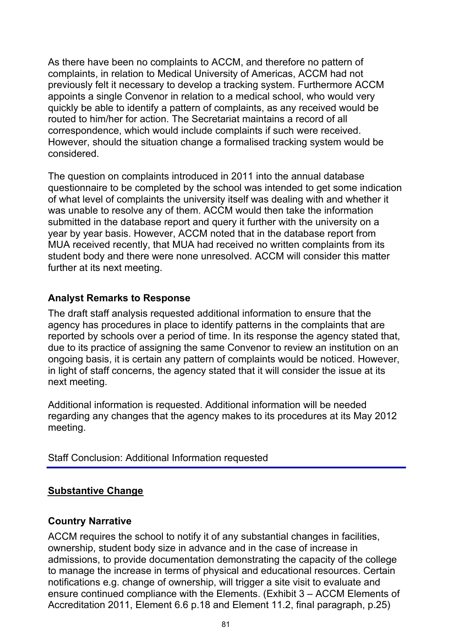As there have been no complaints to ACCM, and therefore no pattern of complaints, in relation to Medical University of Americas, ACCM had not previously felt it necessary to develop a tracking system. Furthermore ACCM appoints a single Convenor in relation to a medical school, who would very quickly be able to identify a pattern of complaints, as any received would be routed to him/her for action. The Secretariat maintains a record of all correspondence, which would include complaints if such were received. However, should the situation change a formalised tracking system would be considered.

The question on complaints introduced in 2011 into the annual database questionnaire to be completed by the school was intended to get some indication of what level of complaints the university itself was dealing with and whether it was unable to resolve any of them. ACCM would then take the information submitted in the database report and query it further with the university on a year by year basis. However, ACCM noted that in the database report from MUA received recently, that MUA had received no written complaints from its student body and there were none unresolved. ACCM will consider this matter further at its next meeting.

### **Analyst Remarks to Response**

The draft staff analysis requested additional information to ensure that the agency has procedures in place to identify patterns in the complaints that are reported by schools over a period of time. In its response the agency stated that, due to its practice of assigning the same Convenor to review an institution on an ongoing basis, it is certain any pattern of complaints would be noticed. However, in light of staff concerns, the agency stated that it will consider the issue at its next meeting.

Additional information is requested. Additional information will be needed regarding any changes that the agency makes to its procedures at its May 2012 meeting.

Staff Conclusion: Additional Information requested

#### **Substantive Change**

#### **Country Narrative**

ACCM requires the school to notify it of any substantial changes in facilities, ownership, student body size in advance and in the case of increase in admissions, to provide documentation demonstrating the capacity of the college to manage the increase in terms of physical and educational resources. Certain notifications e.g. change of ownership, will trigger a site visit to evaluate and ensure continued compliance with the Elements. (Exhibit 3 – ACCM Elements of Accreditation 2011, Element 6.6 p.18 and Element 11.2, final paragraph, p.25)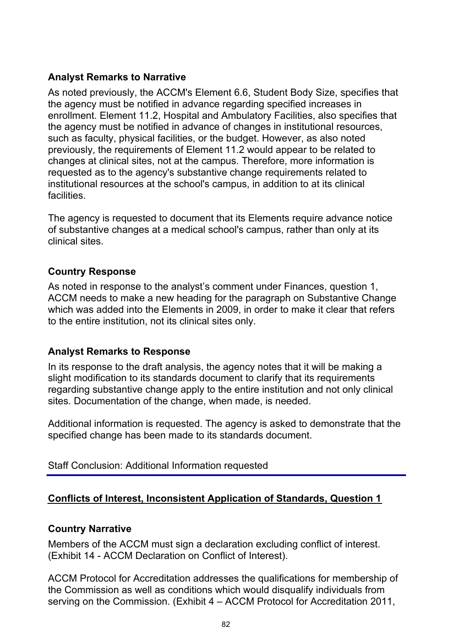### **Analyst Remarks to Narrative**

As noted previously, the ACCM's Element 6.6, Student Body Size, specifies that the agency must be notified in advance regarding specified increases in enrollment. Element 11.2, Hospital and Ambulatory Facilities, also specifies that the agency must be notified in advance of changes in institutional resources, such as faculty, physical facilities, or the budget. However, as also noted previously, the requirements of Element 11.2 would appear to be related to changes at clinical sites, not at the campus. Therefore, more information is requested as to the agency's substantive change requirements related to institutional resources at the school's campus, in addition to at its clinical facilities.

The agency is requested to document that its Elements require advance notice of substantive changes at a medical school's campus, rather than only at its clinical sites.

### **Country Response**

As noted in response to the analyst's comment under Finances, question 1, ACCM needs to make a new heading for the paragraph on Substantive Change which was added into the Elements in 2009, in order to make it clear that refers to the entire institution, not its clinical sites only.

### **Analyst Remarks to Response**

In its response to the draft analysis, the agency notes that it will be making a slight modification to its standards document to clarify that its requirements regarding substantive change apply to the entire institution and not only clinical sites. Documentation of the change, when made, is needed.

Additional information is requested. The agency is asked to demonstrate that the specified change has been made to its standards document.

Staff Conclusion: Additional Information requested

## **Conflicts of Interest, Inconsistent Application of Standards, Question 1**

### **Country Narrative**

Members of the ACCM must sign a declaration excluding conflict of interest. (Exhibit 14 - ACCM Declaration on Conflict of Interest).

ACCM Protocol for Accreditation addresses the qualifications for membership of the Commission as well as conditions which would disqualify individuals from serving on the Commission. (Exhibit 4 – ACCM Protocol for Accreditation 2011,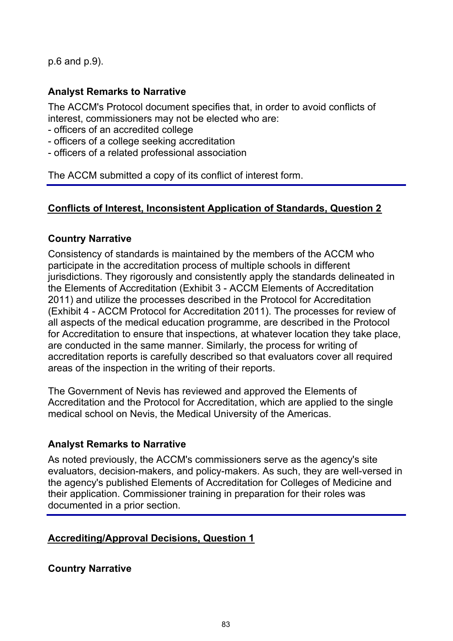p.6 and p.9).

#### **Analyst Remarks to Narrative**

The ACCM's Protocol document specifies that, in order to avoid conflicts of interest, commissioners may not be elected who are:

- officers of an accredited college
- officers of a college seeking accreditation
- officers of a related professional association

The ACCM submitted a copy of its conflict of interest form.

### **Conflicts of Interest, Inconsistent Application of Standards, Question 2**

### **Country Narrative**

Consistency of standards is maintained by the members of the ACCM who participate in the accreditation process of multiple schools in different jurisdictions. They rigorously and consistently apply the standards delineated in the Elements of Accreditation (Exhibit 3 - ACCM Elements of Accreditation 2011) and utilize the processes described in the Protocol for Accreditation (Exhibit 4 - ACCM Protocol for Accreditation 2011). The processes for review of all aspects of the medical education programme, are described in the Protocol for Accreditation to ensure that inspections, at whatever location they take place, are conducted in the same manner. Similarly, the process for writing of accreditation reports is carefully described so that evaluators cover all required areas of the inspection in the writing of their reports.

The Government of Nevis has reviewed and approved the Elements of Accreditation and the Protocol for Accreditation, which are applied to the single medical school on Nevis, the Medical University of the Americas.

### **Analyst Remarks to Narrative**

As noted previously, the ACCM's commissioners serve as the agency's site evaluators, decision-makers, and policy-makers. As such, they are well-versed in the agency's published Elements of Accreditation for Colleges of Medicine and their application. Commissioner training in preparation for their roles was documented in a prior section.

### **Accrediting/Approval Decisions, Question 1**

**Country Narrative**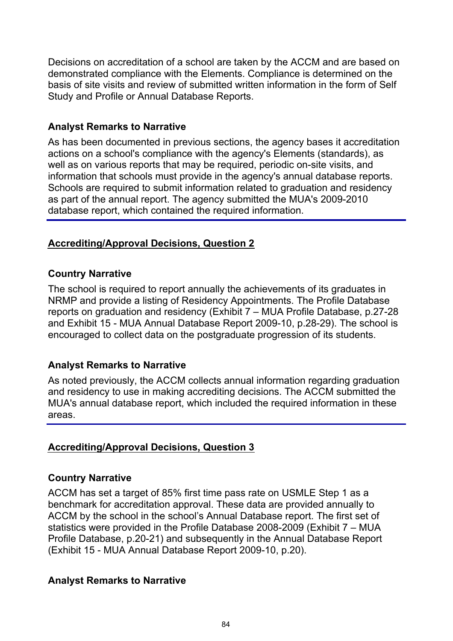Decisions on accreditation of a school are taken by the ACCM and are based on demonstrated compliance with the Elements. Compliance is determined on the basis of site visits and review of submitted written information in the form of Self Study and Profile or Annual Database Reports.

### **Analyst Remarks to Narrative**

As has been documented in previous sections, the agency bases it accreditation actions on a school's compliance with the agency's Elements (standards), as well as on various reports that may be required, periodic on-site visits, and information that schools must provide in the agency's annual database reports. Schools are required to submit information related to graduation and residency as part of the annual report. The agency submitted the MUA's 2009-2010 database report, which contained the required information.

### **Accrediting/Approval Decisions, Question 2**

#### **Country Narrative**

The school is required to report annually the achievements of its graduates in NRMP and provide a listing of Residency Appointments. The Profile Database reports on graduation and residency (Exhibit 7 – MUA Profile Database, p.27-28 and Exhibit 15 - MUA Annual Database Report 2009-10, p.28-29). The school is encouraged to collect data on the postgraduate progression of its students.

### **Analyst Remarks to Narrative**

As noted previously, the ACCM collects annual information regarding graduation and residency to use in making accrediting decisions. The ACCM submitted the MUA's annual database report, which included the required information in these areas.

### **Accrediting/Approval Decisions, Question 3**

#### **Country Narrative**

ACCM has set a target of 85% first time pass rate on USMLE Step 1 as a benchmark for accreditation approval. These data are provided annually to ACCM by the school in the school's Annual Database report. The first set of statistics were provided in the Profile Database 2008-2009 (Exhibit 7 – MUA Profile Database, p.20-21) and subsequently in the Annual Database Report (Exhibit 15 - MUA Annual Database Report 2009-10, p.20).

#### **Analyst Remarks to Narrative**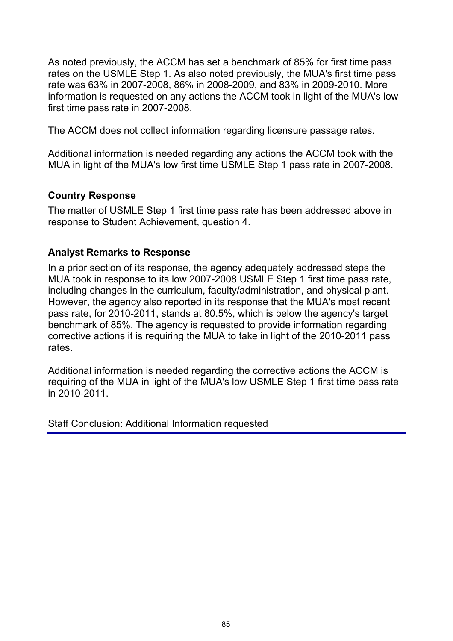As noted previously, the ACCM has set a benchmark of 85% for first time pass rates on the USMLE Step 1. As also noted previously, the MUA's first time pass rate was 63% in 2007-2008, 86% in 2008-2009, and 83% in 2009-2010. More information is requested on any actions the ACCM took in light of the MUA's low first time pass rate in 2007-2008.

The ACCM does not collect information regarding licensure passage rates.

Additional information is needed regarding any actions the ACCM took with the MUA in light of the MUA's low first time USMLE Step 1 pass rate in 2007-2008.

### **Country Response**

The matter of USMLE Step 1 first time pass rate has been addressed above in response to Student Achievement, question 4.

### **Analyst Remarks to Response**

In a prior section of its response, the agency adequately addressed steps the MUA took in response to its low 2007-2008 USMLE Step 1 first time pass rate, including changes in the curriculum, faculty/administration, and physical plant. However, the agency also reported in its response that the MUA's most recent pass rate, for 2010-2011, stands at 80.5%, which is below the agency's target benchmark of 85%. The agency is requested to provide information regarding corrective actions it is requiring the MUA to take in light of the 2010-2011 pass rates.

Additional information is needed regarding the corrective actions the ACCM is requiring of the MUA in light of the MUA's low USMLE Step 1 first time pass rate in 2010-2011.

Staff Conclusion: Additional Information requested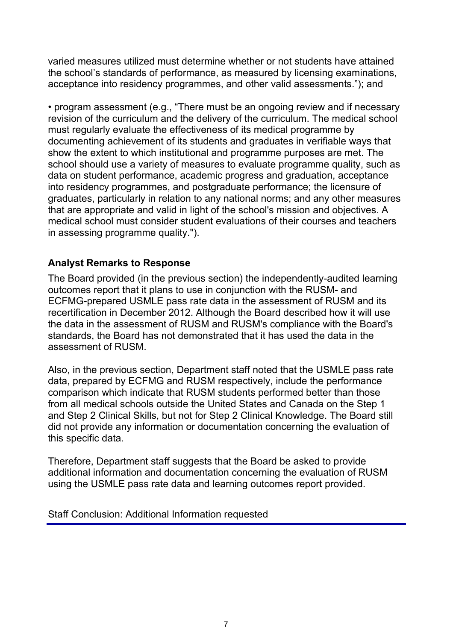varied measures utilized must determine whether or not students have attained the school's standards of performance, as measured by licensing examinations, acceptance into residency programmes, and other valid assessments."); and

• program assessment (e.g., "There must be an ongoing review and if necessary revision of the curriculum and the delivery of the curriculum. The medical school must regularly evaluate the effectiveness of its medical programme by documenting achievement of its students and graduates in verifiable ways that show the extent to which institutional and programme purposes are met. The school should use a variety of measures to evaluate programme quality, such as data on student performance, academic progress and graduation, acceptance into residency programmes, and postgraduate performance; the licensure of graduates, particularly in relation to any national norms; and any other measures that are appropriate and valid in light of the school's mission and objectives. A medical school must consider student evaluations of their courses and teachers in assessing programme quality.").

### **Analyst Remarks to Response**

The Board provided (in the previous section) the independently-audited learning outcomes report that it plans to use in conjunction with the RUSM- and ECFMG-prepared USMLE pass rate data in the assessment of RUSM and its recertification in December 2012. Although the Board described how it will use the data in the assessment of RUSM and RUSM's compliance with the Board's standards, the Board has not demonstrated that it has used the data in the assessment of RUSM.

Also, in the previous section, Department staff noted that the USMLE pass rate data, prepared by ECFMG and RUSM respectively, include the performance comparison which indicate that RUSM students performed better than those from all medical schools outside the United States and Canada on the Step 1 and Step 2 Clinical Skills, but not for Step 2 Clinical Knowledge. The Board still did not provide any information or documentation concerning the evaluation of this specific data.

Therefore, Department staff suggests that the Board be asked to provide additional information and documentation concerning the evaluation of RUSM using the USMLE pass rate data and learning outcomes report provided.

Staff Conclusion: Additional Information requested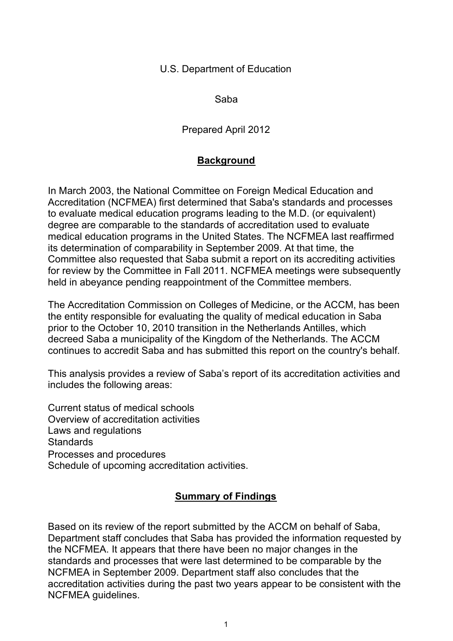#### U.S. Department of Education

Saba

Prepared April 2012

### **Background**

In March 2003, the National Committee on Foreign Medical Education and Accreditation (NCFMEA) first determined that Saba's standards and processes to evaluate medical education programs leading to the M.D. (or equivalent) degree are comparable to the standards of accreditation used to evaluate medical education programs in the United States. The NCFMEA last reaffirmed its determination of comparability in September 2009. At that time, the Committee also requested that Saba submit a report on its accrediting activities for review by the Committee in Fall 2011. NCFMEA meetings were subsequently held in abeyance pending reappointment of the Committee members.

The Accreditation Commission on Colleges of Medicine, or the ACCM, has been the entity responsible for evaluating the quality of medical education in Saba prior to the October 10, 2010 transition in the Netherlands Antilles, which decreed Saba a municipality of the Kingdom of the Netherlands. The ACCM continues to accredit Saba and has submitted this report on the country's behalf.

This analysis provides a review of Saba's report of its accreditation activities and includes the following areas:

Current status of medical schools Overview of accreditation activities Laws and regulations **Standards** Processes and procedures Schedule of upcoming accreditation activities.

## **Summary of Findings**

Based on its review of the report submitted by the ACCM on behalf of Saba, Department staff concludes that Saba has provided the information requested by the NCFMEA. It appears that there have been no major changes in the standards and processes that were last determined to be comparable by the NCFMEA in September 2009. Department staff also concludes that the accreditation activities during the past two years appear to be consistent with the NCFMEA guidelines.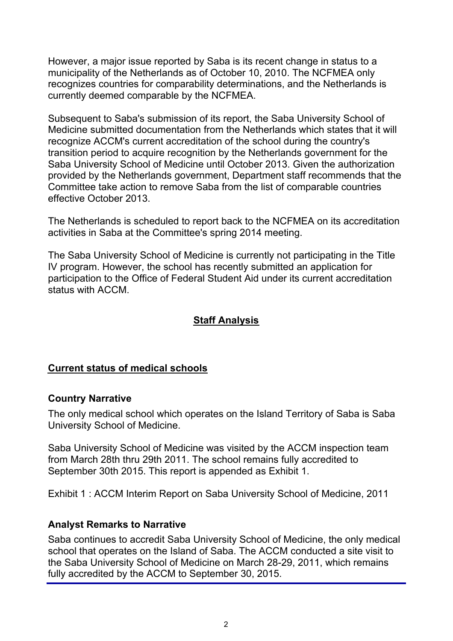However, a major issue reported by Saba is its recent change in status to a municipality of the Netherlands as of October 10, 2010. The NCFMEA only recognizes countries for comparability determinations, and the Netherlands is currently deemed comparable by the NCFMEA.

Subsequent to Saba's submission of its report, the Saba University School of Medicine submitted documentation from the Netherlands which states that it will recognize ACCM's current accreditation of the school during the country's transition period to acquire recognition by the Netherlands government for the Saba University School of Medicine until October 2013. Given the authorization provided by the Netherlands government, Department staff recommends that the Committee take action to remove Saba from the list of comparable countries effective October 2013.

The Netherlands is scheduled to report back to the NCFMEA on its accreditation activities in Saba at the Committee's spring 2014 meeting.

The Saba University School of Medicine is currently not participating in the Title IV program. However, the school has recently submitted an application for participation to the Office of Federal Student Aid under its current accreditation status with ACCM.

## **Staff Analysis**

### **Current status of medical schools**

#### **Country Narrative**

The only medical school which operates on the Island Territory of Saba is Saba University School of Medicine.

Saba University School of Medicine was visited by the ACCM inspection team from March 28th thru 29th 2011. The school remains fully accredited to September 30th 2015. This report is appended as Exhibit 1.

Exhibit 1 : ACCM Interim Report on Saba University School of Medicine, 2011

### **Analyst Remarks to Narrative**

Saba continues to accredit Saba University School of Medicine, the only medical school that operates on the Island of Saba. The ACCM conducted a site visit to the Saba University School of Medicine on March 28-29, 2011, which remains fully accredited by the ACCM to September 30, 2015.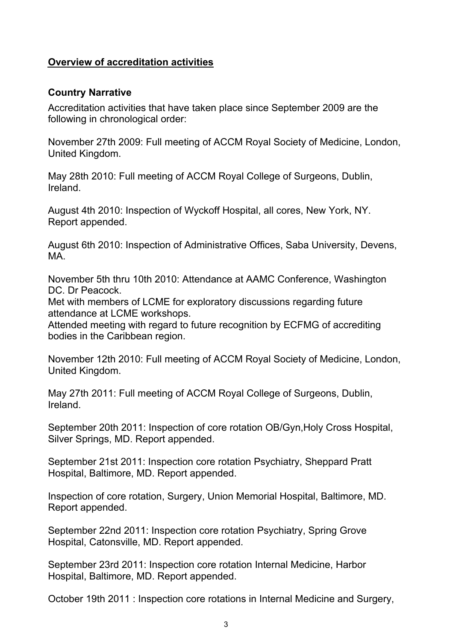### **Overview of accreditation activities**

#### **Country Narrative**

Accreditation activities that have taken place since September 2009 are the following in chronological order:

November 27th 2009: Full meeting of ACCM Royal Society of Medicine, London, United Kingdom.

May 28th 2010: Full meeting of ACCM Royal College of Surgeons, Dublin, Ireland.

August 4th 2010: Inspection of Wyckoff Hospital, all cores, New York, NY. Report appended.

August 6th 2010: Inspection of Administrative Offices, Saba University, Devens, MA.

November 5th thru 10th 2010: Attendance at AAMC Conference, Washington DC. Dr Peacock.

Met with members of LCME for exploratory discussions regarding future attendance at LCME workshops.

Attended meeting with regard to future recognition by ECFMG of accrediting bodies in the Caribbean region.

November 12th 2010: Full meeting of ACCM Royal Society of Medicine, London, United Kingdom.

May 27th 2011: Full meeting of ACCM Royal College of Surgeons, Dublin, Ireland.

September 20th 2011: Inspection of core rotation OB/Gyn,Holy Cross Hospital, Silver Springs, MD. Report appended.

September 21st 2011: Inspection core rotation Psychiatry, Sheppard Pratt Hospital, Baltimore, MD. Report appended.

Inspection of core rotation, Surgery, Union Memorial Hospital, Baltimore, MD. Report appended.

September 22nd 2011: Inspection core rotation Psychiatry, Spring Grove Hospital, Catonsville, MD. Report appended.

September 23rd 2011: Inspection core rotation Internal Medicine, Harbor Hospital, Baltimore, MD. Report appended.

October 19th 2011 : Inspection core rotations in Internal Medicine and Surgery,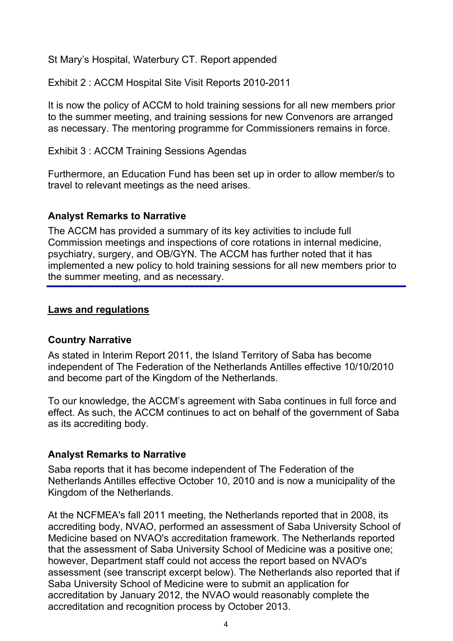St Mary's Hospital, Waterbury CT. Report appended

Exhibit 2 : ACCM Hospital Site Visit Reports 2010-2011

It is now the policy of ACCM to hold training sessions for all new members prior to the summer meeting, and training sessions for new Convenors are arranged as necessary. The mentoring programme for Commissioners remains in force.

Exhibit 3 : ACCM Training Sessions Agendas

Furthermore, an Education Fund has been set up in order to allow member/s to travel to relevant meetings as the need arises.

#### **Analyst Remarks to Narrative**

The ACCM has provided a summary of its key activities to include full Commission meetings and inspections of core rotations in internal medicine, psychiatry, surgery, and OB/GYN. The ACCM has further noted that it has implemented a new policy to hold training sessions for all new members prior to the summer meeting, and as necessary.

#### **Laws and regulations**

### **Country Narrative**

As stated in Interim Report 2011, the Island Territory of Saba has become independent of The Federation of the Netherlands Antilles effective 10/10/2010 and become part of the Kingdom of the Netherlands.

To our knowledge, the ACCM's agreement with Saba continues in full force and effect. As such, the ACCM continues to act on behalf of the government of Saba as its accrediting body.

### **Analyst Remarks to Narrative**

Saba reports that it has become independent of The Federation of the Netherlands Antilles effective October 10, 2010 and is now a municipality of the Kingdom of the Netherlands.

At the NCFMEA's fall 2011 meeting, the Netherlands reported that in 2008, its accrediting body, NVAO, performed an assessment of Saba University School of Medicine based on NVAO's accreditation framework. The Netherlands reported that the assessment of Saba University School of Medicine was a positive one; however, Department staff could not access the report based on NVAO's assessment (see transcript excerpt below). The Netherlands also reported that if Saba University School of Medicine were to submit an application for accreditation by January 2012, the NVAO would reasonably complete the accreditation and recognition process by October 2013.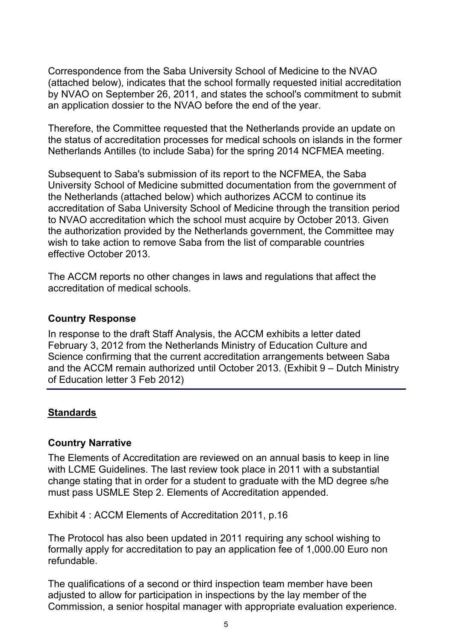Correspondence from the Saba University School of Medicine to the NVAO (attached below), indicates that the school formally requested initial accreditation by NVAO on September 26, 2011, and states the school's commitment to submit an application dossier to the NVAO before the end of the year.

Therefore, the Committee requested that the Netherlands provide an update on the status of accreditation processes for medical schools on islands in the former Netherlands Antilles (to include Saba) for the spring 2014 NCFMEA meeting.

Subsequent to Saba's submission of its report to the NCFMEA, the Saba University School of Medicine submitted documentation from the government of the Netherlands (attached below) which authorizes ACCM to continue its accreditation of Saba University School of Medicine through the transition period to NVAO accreditation which the school must acquire by October 2013. Given the authorization provided by the Netherlands government, the Committee may wish to take action to remove Saba from the list of comparable countries effective October 2013.

The ACCM reports no other changes in laws and regulations that affect the accreditation of medical schools.

### **Country Response**

In response to the draft Staff Analysis, the ACCM exhibits a letter dated February 3, 2012 from the Netherlands Ministry of Education Culture and Science confirming that the current accreditation arrangements between Saba and the ACCM remain authorized until October 2013. (Exhibit 9 – Dutch Ministry of Education letter 3 Feb 2012)

## **Standards**

## **Country Narrative**

The Elements of Accreditation are reviewed on an annual basis to keep in line with LCME Guidelines. The last review took place in 2011 with a substantial change stating that in order for a student to graduate with the MD degree s/he must pass USMLE Step 2. Elements of Accreditation appended.

Exhibit 4 : ACCM Elements of Accreditation 2011, p.16

The Protocol has also been updated in 2011 requiring any school wishing to formally apply for accreditation to pay an application fee of 1,000.00 Euro non refundable.

The qualifications of a second or third inspection team member have been adjusted to allow for participation in inspections by the lay member of the Commission, a senior hospital manager with appropriate evaluation experience.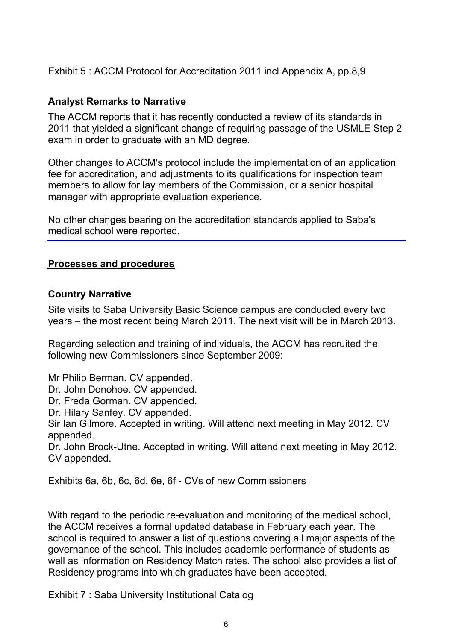Exhibit 5 : ACCM Protocol for Accreditation 2011 incl Appendix A, pp.8,9

## **Analyst Remarks to Narrative**

The ACCM reports that it has recently conducted a review of its standards in 2011 that yielded a significant change of requiring passage of the USMLE Step 2 exam in order to graduate with an MD degree.

Other changes to ACCM's protocol include the implementation of an application fee for accreditation, and adjustments to its qualifications for inspection team members to allow for lay members of the Commission, or a senior hospital manager with appropriate evaluation experience.

No other changes bearing on the accreditation standards applied to Saba's medical school were reported.

## **Processes and procedures**

#### **Country Narrative**

Site visits to Saba University Basic Science campus are conducted every two years – the most recent being March 2011. The next visit will be in March 2013.

Regarding selection and training of individuals, the ACCM has recruited the following new Commissioners since September 2009:

Mr Philip Berman. CV appended.

Dr. John Donohoe. CV appended.

Dr. Freda Gorman. CV appended.

Dr. Hilary Sanfey. CV appended.

Sir Ian Gilmore. Accepted in writing. Will attend next meeting in May 2012. CV appended.

Dr. John Brock-Utne. Accepted in writing. Will attend next meeting in May 2012. CV appended.

Exhibits 6a, 6b, 6c, 6d, 6e, 6f - CVs of new Commissioners

With regard to the periodic re-evaluation and monitoring of the medical school, the ACCM receives a formal updated database in February each year. The school is required to answer a list of questions covering all major aspects of the governance of the school. This includes academic performance of students as well as information on Residency Match rates. The school also provides a list of Residency programs into which graduates have been accepted.

Exhibit 7 : Saba University Institutional Catalog